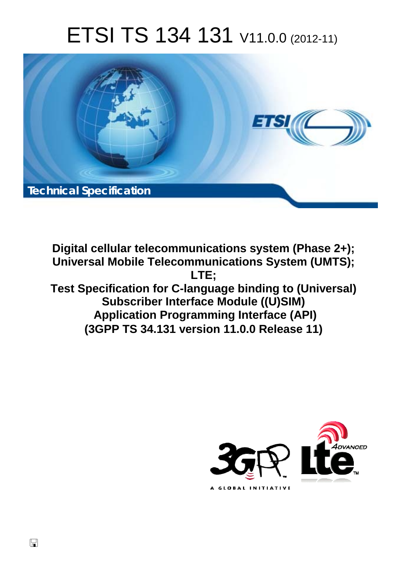# ETSI TS 134 131 V11.0.0 (2012-11)



**Digital cellular telecommunications system (Phase 2+); Universal Mobile Telecommunications System (UMTS); LTE; Test Specification for C-language binding to (Universal) Subscriber Interface Module ((U)SIM) Application Programming Interface (API) (3GPP TS 34.131 version 11.0.0 Release 11)** 



 $\Box$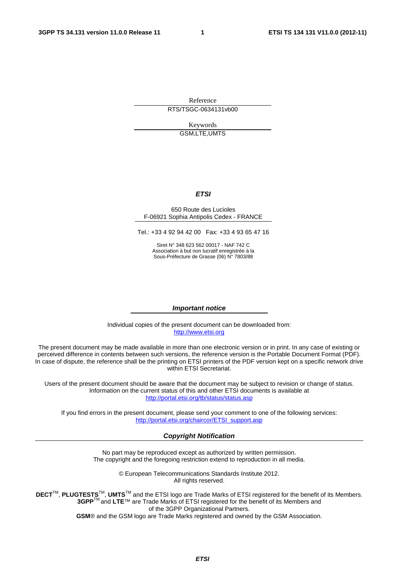Reference RTS/TSGC-0634131vb00

> Keywords GSM,LTE,UMTS

#### *ETSI*

#### 650 Route des Lucioles F-06921 Sophia Antipolis Cedex - FRANCE

Tel.: +33 4 92 94 42 00 Fax: +33 4 93 65 47 16

Siret N° 348 623 562 00017 - NAF 742 C Association à but non lucratif enregistrée à la Sous-Préfecture de Grasse (06) N° 7803/88

#### *Important notice*

Individual copies of the present document can be downloaded from: [http://www.etsi.org](http://www.etsi.org/)

The present document may be made available in more than one electronic version or in print. In any case of existing or perceived difference in contents between such versions, the reference version is the Portable Document Format (PDF). In case of dispute, the reference shall be the printing on ETSI printers of the PDF version kept on a specific network drive within ETSI Secretariat.

Users of the present document should be aware that the document may be subject to revision or change of status. Information on the current status of this and other ETSI documents is available at <http://portal.etsi.org/tb/status/status.asp>

If you find errors in the present document, please send your comment to one of the following services: [http://portal.etsi.org/chaircor/ETSI\\_support.asp](http://portal.etsi.org/chaircor/ETSI_support.asp)

#### *Copyright Notification*

No part may be reproduced except as authorized by written permission. The copyright and the foregoing restriction extend to reproduction in all media.

> © European Telecommunications Standards Institute 2012. All rights reserved.

**DECT**TM, **PLUGTESTS**TM, **UMTS**TM and the ETSI logo are Trade Marks of ETSI registered for the benefit of its Members. **3GPP**TM and **LTE**™ are Trade Marks of ETSI registered for the benefit of its Members and of the 3GPP Organizational Partners.

**GSM**® and the GSM logo are Trade Marks registered and owned by the GSM Association.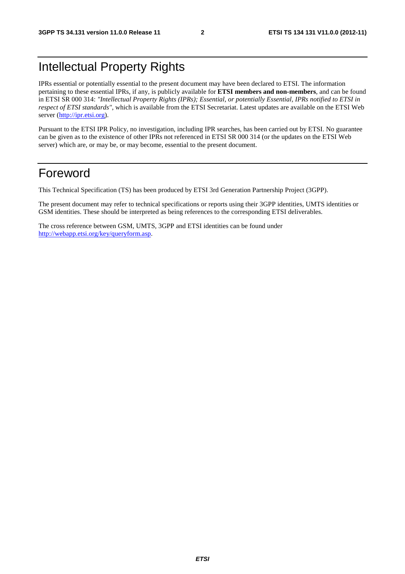# Intellectual Property Rights

IPRs essential or potentially essential to the present document may have been declared to ETSI. The information pertaining to these essential IPRs, if any, is publicly available for **ETSI members and non-members**, and can be found in ETSI SR 000 314: *"Intellectual Property Rights (IPRs); Essential, or potentially Essential, IPRs notified to ETSI in respect of ETSI standards"*, which is available from the ETSI Secretariat. Latest updates are available on the ETSI Web server [\(http://ipr.etsi.org](http://webapp.etsi.org/IPR/home.asp)).

Pursuant to the ETSI IPR Policy, no investigation, including IPR searches, has been carried out by ETSI. No guarantee can be given as to the existence of other IPRs not referenced in ETSI SR 000 314 (or the updates on the ETSI Web server) which are, or may be, or may become, essential to the present document.

# Foreword

This Technical Specification (TS) has been produced by ETSI 3rd Generation Partnership Project (3GPP).

The present document may refer to technical specifications or reports using their 3GPP identities, UMTS identities or GSM identities. These should be interpreted as being references to the corresponding ETSI deliverables.

The cross reference between GSM, UMTS, 3GPP and ETSI identities can be found under [http://webapp.etsi.org/key/queryform.asp.](http://webapp.etsi.org/key/queryform.asp)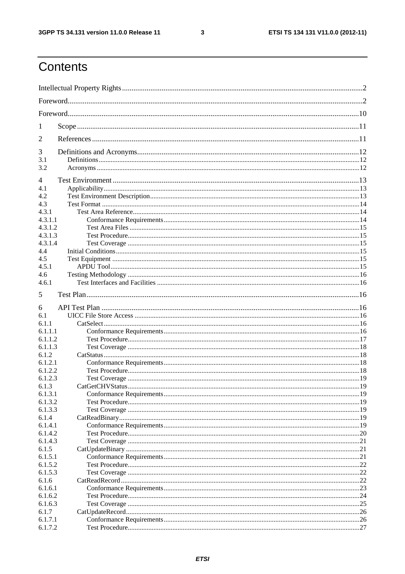$\mathbf{3}$ 

# Contents

| 1                |     |
|------------------|-----|
| 2                |     |
| 3                |     |
| 3.1<br>3.2       |     |
|                  |     |
| 4<br>4.1         |     |
| 4.2              |     |
| 4.3              |     |
| 4.3.1            |     |
| 4.3.1.1          |     |
| 4.3.1.2          |     |
| 4.3.1.3          |     |
| 4.3.1.4          |     |
| 4.4              |     |
| 4.5              |     |
| 4.5.1            |     |
| 4.6              |     |
| 4.6.1            |     |
| 5                |     |
| 6                |     |
| 6.1              |     |
| 6.1.1            |     |
| 6.1.1.1          |     |
| 6.1.1.2          |     |
| 6.1.1.3          |     |
| 6.1.2            |     |
| 6.1.2.1          |     |
| 6.1.2.2          |     |
| 6.1.2.3          |     |
| 6.1.3            |     |
| 6.1.3.1          |     |
| 6.1.3.2          |     |
| 6.1.3.3          |     |
| 6.1.4            |     |
| 6.1.4.1          |     |
| 6.1.4.2          |     |
| 6.1.4.3          |     |
| 6.1.5            |     |
| 6.1.5.1          |     |
| 6.1.5.2          |     |
| 6.1.5.3<br>6.1.6 |     |
| 6.1.6.1          |     |
| 6.1.6.2          | .24 |
| 6.1.6.3          | 25  |
| 6.1.7            |     |
| 6.1.7.1          |     |
| 6.1.7.2          |     |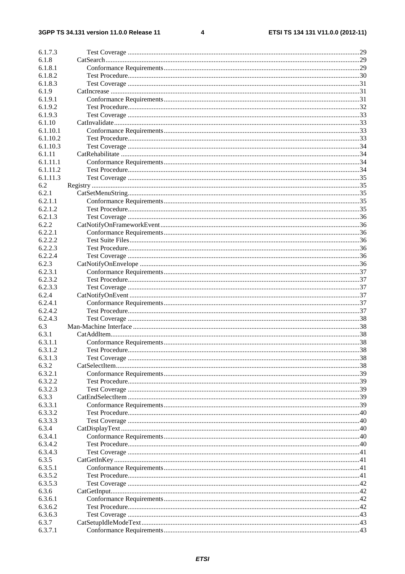#### $\overline{\mathbf{4}}$

| 6.1.7.3  |  |
|----------|--|
| 6.1.8    |  |
| 6.1.8.1  |  |
| 6.1.8.2  |  |
| 6.1.8.3  |  |
| 6.1.9    |  |
| 6.1.9.1  |  |
| 6.1.9.2  |  |
| 6.1.9.3  |  |
| 6.1.10   |  |
| 6.1.10.1 |  |
| 6.1.10.2 |  |
| 6.1.10.3 |  |
| 6.1.11   |  |
| 6.1.11.1 |  |
| 6.1.11.2 |  |
| 6.1.11.3 |  |
| 6.2      |  |
| 6.2.1    |  |
| 6.2.1.1  |  |
| 6.2.1.2  |  |
| 6.2.1.3  |  |
| 6.2.2    |  |
| 6.2.2.1  |  |
| 6.2.2.2  |  |
| 6.2.2.3  |  |
| 6.2.2.4  |  |
| 6.2.3    |  |
| 6.2.3.1  |  |
| 6.2.3.2  |  |
| 6.2.3.3  |  |
| 6.2.4    |  |
| 6.2.4.1  |  |
| 6.2.4.2  |  |
| 6.2.4.3  |  |
| 6.3      |  |
| 6.3.1    |  |
| 6.3.1.1  |  |
|          |  |
| 6.3.1.2  |  |
| 6.3.1.3  |  |
| 6.3.2    |  |
| 6.3.2.1  |  |
| 6.3.2.2  |  |
| 6.3.2.3  |  |
| 6.3.3    |  |
| 6.3.3.1  |  |
| 6.3.3.2  |  |
| 6.3.3.3  |  |
| 6.3.4    |  |
| 6.3.4.1  |  |
| 6.3.4.2  |  |
| 6.3.4.3  |  |
| 6.3.5    |  |
| 6.3.5.1  |  |
| 6.3.5.2  |  |
| 6.3.5.3  |  |
| 6.3.6    |  |
| 6.3.6.1  |  |
| 6.3.6.2  |  |
| 6.3.6.3  |  |
| 6.3.7    |  |
| 6.3.7.1  |  |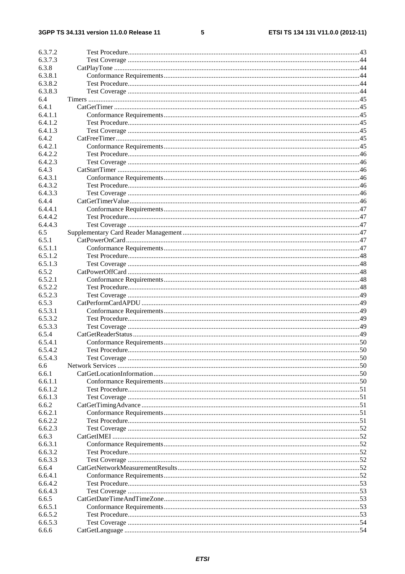#### $5\overline{)}$

| Test Procedure. | 50 |
|-----------------|----|
|                 |    |
|                 |    |
|                 |    |
|                 |    |
|                 |    |
|                 |    |
|                 |    |
|                 |    |
|                 |    |
|                 |    |
|                 |    |
|                 |    |
|                 |    |
|                 |    |
|                 |    |
|                 |    |
|                 |    |
|                 |    |
|                 |    |
|                 |    |
|                 |    |
|                 |    |
|                 |    |
|                 |    |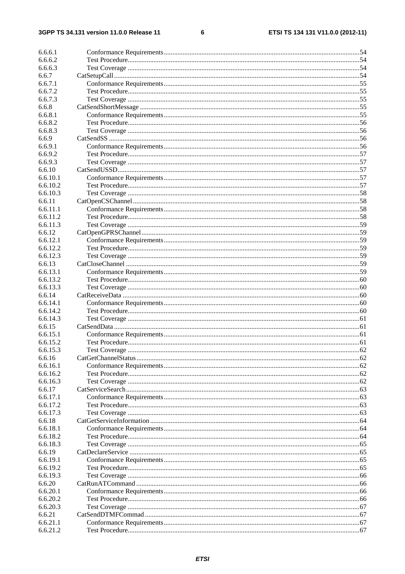#### $\bf 6$

| 6.6.6.1              |  |
|----------------------|--|
| 6.6.6.2              |  |
| 6.6.6.3              |  |
| 6.6.7                |  |
| 6.6.7.1              |  |
| 6.6.7.2              |  |
| 6.6.7.3              |  |
| 6.6.8                |  |
| 6.6.8.1              |  |
| 6.6.8.2              |  |
| 6.6.8.3              |  |
| 6.6.9                |  |
| 6.6.9.1              |  |
| 6.6.9.2              |  |
| 6.6.9.3              |  |
| 6.6.10               |  |
| 6.6.10.1             |  |
| 6.6.10.2             |  |
| 6.6.10.3             |  |
| 6.6.11               |  |
| 6.6.11.1             |  |
| 6.6.11.2             |  |
| 6.6.11.3             |  |
| 6.6.12               |  |
| 6.6.12.1             |  |
| 6.6.12.2             |  |
| 6.6.12.3             |  |
| 6.6.13               |  |
| 6.6.13.1             |  |
| 6.6.13.2             |  |
| 6.6.13.3             |  |
| 6.6.14               |  |
| 6.6.14.1             |  |
| 6.6.14.2             |  |
| 6.6.14.3             |  |
| 6.6.15               |  |
| 6.6.15.1             |  |
| 6.6.15.2             |  |
| 6.6.15.3             |  |
| 6.6.16               |  |
| 6.6.16.1             |  |
| 6.6.16.2             |  |
| 6.6.16.3             |  |
| 6.6.17               |  |
| 6.6.17.1             |  |
| 6.6.17.2             |  |
| 6.6.17.3             |  |
| 6.6.18               |  |
| 6.6.18.1             |  |
| 6.6.18.2             |  |
| 6.6.18.3             |  |
| 6.6.19               |  |
| 6.6.19.1             |  |
| 6.6.19.2             |  |
| 6.6.19.3             |  |
| 6.6.20               |  |
| 6.6.20.1<br>6.6.20.2 |  |
| 6.6.20.3             |  |
| 6.6.21               |  |
| 6.6.21.1             |  |
| 6.6.21.2             |  |
|                      |  |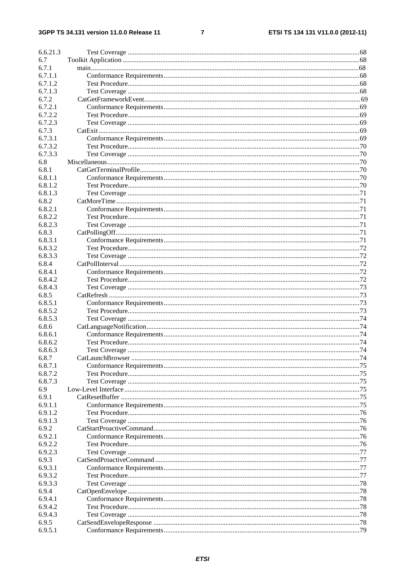#### $\overline{7}$

| 6.6.21.3 |               |      |
|----------|---------------|------|
| 6.7      |               |      |
| 6.7.1    |               |      |
| 6.7.1.1  |               |      |
| 6.7.1.2  |               |      |
| 6.7.1.3  |               |      |
|          |               |      |
| 6.7.2    |               |      |
| 6.7.2.1  |               |      |
| 6.7.2.2  |               |      |
| 6.7.2.3  |               |      |
| 6.7.3    |               |      |
| 6.7.3.1  |               |      |
| 6.7.3.2  |               |      |
| 6.7.3.3  |               |      |
|          |               |      |
| 6.8      |               |      |
| 6.8.1    |               |      |
| 6.8.1.1  |               |      |
| 6.8.1.2  |               |      |
| 6.8.1.3  |               |      |
| 6.8.2    |               |      |
| 6.8.2.1  |               |      |
| 6.8.2.2  |               |      |
| 6.8.2.3  |               |      |
| 6.8.3    |               |      |
|          |               |      |
| 6.8.3.1  |               |      |
| 6.8.3.2  |               |      |
| 6.8.3.3  |               |      |
| 6.8.4    |               |      |
| 6.8.4.1  |               |      |
| 6.8.4.2  |               |      |
| 6.8.4.3  |               |      |
| 6.8.5    |               |      |
|          |               |      |
| 6.8.5.1  |               |      |
| 6.8.5.2  |               |      |
| 6.8.5.3  |               |      |
| 6.8.6    |               |      |
| 6.8.6.1  |               |      |
| 6.8.6.2  |               |      |
| 6.8.6.3  | Test Coverage | . 74 |
| 6.8.7    |               |      |
| 6.8.7.1  |               |      |
| 6.8.7.2  |               |      |
|          |               |      |
| 6.8.7.3  |               |      |
| 6.9      |               |      |
| 6.9.1    |               |      |
| 6.9.1.1  |               |      |
| 6.9.1.2  |               |      |
| 6.9.1.3  |               |      |
| 6.9.2    |               |      |
| 6.9.2.1  |               |      |
| 6.9.2.2  |               |      |
| 6.9.2.3  |               |      |
|          |               |      |
| 6.9.3    |               |      |
| 6.9.3.1  |               |      |
| 6.9.3.2  |               |      |
| 6.9.3.3  |               |      |
| 6.9.4    |               |      |
| 6.9.4.1  |               |      |
| 6.9.4.2  |               |      |
| 6.9.4.3  |               |      |
| 6.9.5    |               |      |
| 6.9.5.1  |               |      |
|          |               |      |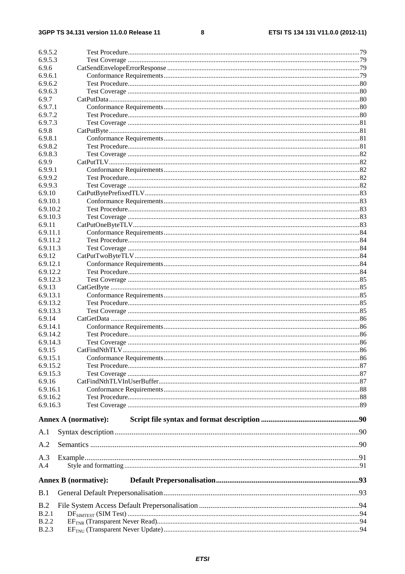#### $\overline{\mathbf{8}}$

| 6.9.5.2              |                             |    |
|----------------------|-----------------------------|----|
| 6.9.5.3              |                             |    |
| 6.9.6                |                             |    |
| 6.9.6.1              |                             |    |
| 6.9.6.2              |                             |    |
| 6.9.6.3              |                             |    |
| 6.9.7                |                             |    |
| 6.9.7.1              |                             |    |
| 6.9.7.2              |                             |    |
| 6.9.7.3<br>6.9.8     |                             |    |
| 6.9.8.1              |                             |    |
| 6.9.8.2              |                             |    |
| 6.9.8.3              |                             |    |
| 6.9.9                |                             |    |
| 6.9.9.1              |                             |    |
| 6.9.9.2              |                             |    |
| 6.9.9.3              |                             |    |
| 6.9.10               |                             |    |
| 6.9.10.1             |                             |    |
| 6.9.10.2             |                             |    |
| 6.9.10.3             |                             |    |
| 6.9.11               |                             |    |
| 6.9.11.1             |                             |    |
| 6.9.11.2             |                             |    |
| 6.9.11.3             |                             |    |
| 6.9.12               |                             |    |
| 6.9.12.1             |                             |    |
| 6.9.12.2<br>6.9.12.3 |                             |    |
| 6.9.13               |                             |    |
| 6.9.13.1             |                             |    |
| 6.9.13.2             |                             |    |
| 6.9.13.3             |                             |    |
| 6.9.14               |                             |    |
| 6.9.14.1             |                             |    |
| 6.9.14.2             |                             |    |
| 6.9.14.3             |                             |    |
| 6.9.15               |                             | 86 |
| 6.9.15.1             |                             |    |
| 6.9.15.2             |                             |    |
| 6.9.15.3             |                             |    |
| 6.9.16               |                             |    |
| 6.9.16.1             |                             |    |
| 6.9.16.2             |                             |    |
| 6.9.16.3             |                             |    |
|                      | <b>Annex A (normative):</b> |    |
| A.1                  |                             |    |
| A.2                  |                             |    |
|                      |                             |    |
| A.3<br>A.4           |                             |    |
|                      |                             |    |
|                      | <b>Annex B</b> (normative): |    |
| B.1                  |                             |    |
| B.2                  |                             |    |
| B.2.1                |                             |    |
| B.2.2                |                             |    |
| <b>B.2.3</b>         |                             |    |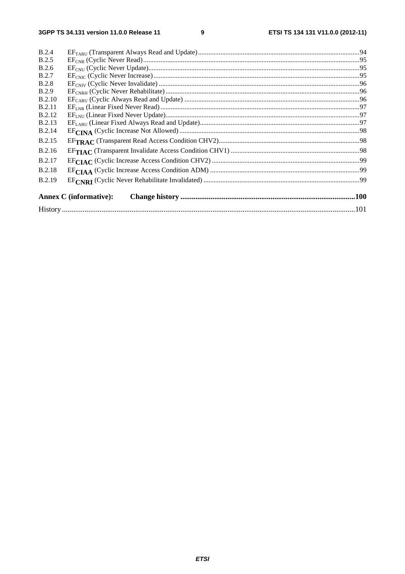$\boldsymbol{9}$ 

| B.2.4         |                               |  |
|---------------|-------------------------------|--|
| B.2.5         |                               |  |
| B.2.6         |                               |  |
| <b>B.2.7</b>  |                               |  |
| <b>B.2.8</b>  |                               |  |
| <b>B.2.9</b>  |                               |  |
| <b>B.2.10</b> |                               |  |
| <b>B.2.11</b> |                               |  |
| <b>B.2.12</b> |                               |  |
| <b>B.2.13</b> |                               |  |
| <b>B.2.14</b> |                               |  |
| <b>B.2.15</b> |                               |  |
| <b>B.2.16</b> |                               |  |
| <b>B.2.17</b> |                               |  |
| <b>B.2.18</b> |                               |  |
| <b>B.2.19</b> |                               |  |
|               | <b>Annex C</b> (informative): |  |
|               |                               |  |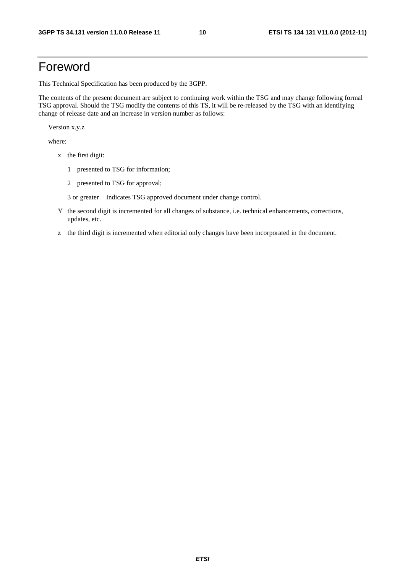# Foreword

This Technical Specification has been produced by the 3GPP.

The contents of the present document are subject to continuing work within the TSG and may change following formal TSG approval. Should the TSG modify the contents of this TS, it will be re-released by the TSG with an identifying change of release date and an increase in version number as follows:

Version x.y.z

where:

- x the first digit:
	- 1 presented to TSG for information;
	- 2 presented to TSG for approval;

3 or greater Indicates TSG approved document under change control.

- Y the second digit is incremented for all changes of substance, i.e. technical enhancements, corrections, updates, etc.
- z the third digit is incremented when editorial only changes have been incorporated in the document.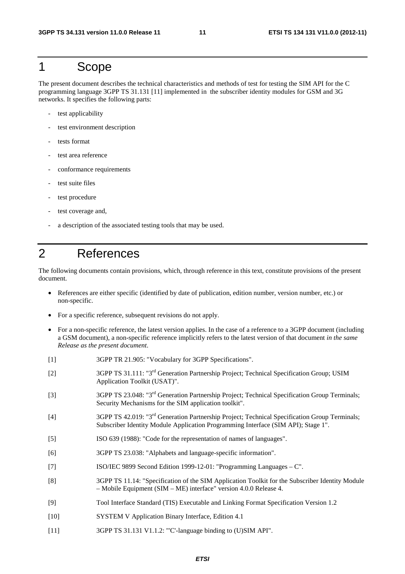# 1 Scope

The present document describes the technical characteristics and methods of test for testing the SIM API for the C programming language 3GPP TS 31.131 [11] implemented in the subscriber identity modules for GSM and 3G networks. It specifies the following parts:

- test applicability
- test environment description
- tests format
- test area reference
- conformance requirements
- test suite files
- test procedure
- test coverage and,
- a description of the associated testing tools that may be used.

# 2 References

The following documents contain provisions, which, through reference in this text, constitute provisions of the present document.

- References are either specific (identified by date of publication, edition number, version number, etc.) or non-specific.
- For a specific reference, subsequent revisions do not apply.
- For a non-specific reference, the latest version applies. In the case of a reference to a 3GPP document (including a GSM document), a non-specific reference implicitly refers to the latest version of that document *in the same Release as the present document*.
- [1] 3GPP TR 21.905: "Vocabulary for 3GPP Specifications".
- [2] 3GPP TS 31.111: "3rd Generation Partnership Project; Technical Specification Group; USIM Application Toolkit (USAT)".
- [3] 3GPP TS 23.048: "3rd Generation Partnership Project; Technical Specification Group Terminals; Security Mechanisms for the SIM application toolkit".
- [4] 3GPP TS 42.019: "3rd Generation Partnership Project; Technical Specification Group Terminals; Subscriber Identity Module Application Programming Interface (SIM API); Stage 1".
- [5] ISO 639 (1988): "Code for the representation of names of languages".
- [6] 3GPP TS 23.038: "Alphabets and language-specific information".
- [7] ISO/IEC 9899 Second Edition 1999-12-01: "Programming Languages C".
- [8] 3GPP TS 11.14: "Specification of the SIM Application Toolkit for the Subscriber Identity Module – Mobile Equipment (SIM – ME) interface" version 4.0.0 Release 4.
- [9] Tool Interface Standard (TIS) Executable and Linking Format Specification Version 1.2
- [10] SYSTEM V Application Binary Interface, Edition 4.1
- [11] 3GPP TS 31.131 V1.1.2: "C'-language binding to (U)SIM API".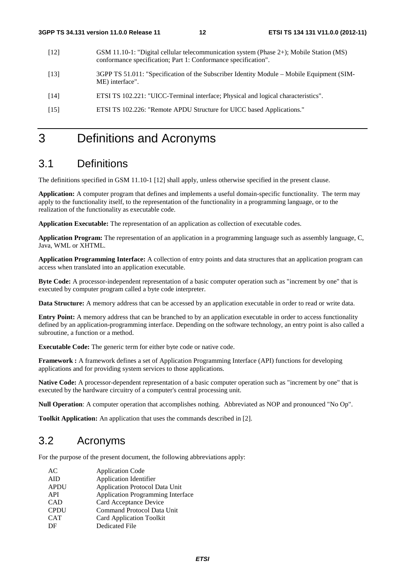- [12] GSM 11.10-1: "Digital cellular telecommunication system (Phase 2+); Mobile Station (MS) conformance specification; Part 1: Conformance specification".
- [13] 3GPP TS 51.011: "Specification of the Subscriber Identity Module Mobile Equipment (SIM-ME) interface".
- [14] ETSI TS 102.221: "UICC-Terminal interface; Physical and logical characteristics".
- [15] ETSI TS 102.226: "Remote APDU Structure for UICC based Applications."

# 3 Definitions and Acronyms

# 3.1 Definitions

The definitions specified in GSM 11.10-1 [12] shall apply, unless otherwise specified in the present clause.

**Application:** A computer program that defines and implements a useful domain-specific functionality. The term may apply to the functionality itself, to the representation of the functionality in a programming language, or to the realization of the functionality as executable code.

**Application Executable:** The representation of an application as collection of executable codes.

**Application Program:** The representation of an application in a programming language such as assembly language, C, Java, WML or XHTML.

**Application Programming Interface:** A collection of entry points and data structures that an application program can access when translated into an application executable.

**Byte Code:** A processor-independent representation of a basic computer operation such as "increment by one" that is executed by computer program called a byte code interpreter.

**Data Structure:** A memory address that can be accessed by an application executable in order to read or write data.

**Entry Point:** A memory address that can be branched to by an application executable in order to access functionality defined by an application-programming interface. Depending on the software technology, an entry point is also called a subroutine, a function or a method.

**Executable Code:** The generic term for either byte code or native code.

**Framework :** A framework defines a set of Application Programming Interface (API) functions for developing applications and for providing system services to those applications.

**Native Code:** A processor-dependent representation of a basic computer operation such as "increment by one" that is executed by the hardware circuitry of a computer's central processing unit.

**Null Operation**: A computer operation that accomplishes nothing. Abbreviated as NOP and pronounced "No Op".

**Toolkit Application:** An application that uses the commands described in [2].

# 3.2 Acronyms

For the purpose of the present document, the following abbreviations apply:

| AC          | <b>Application Code</b>               |
|-------------|---------------------------------------|
| <b>AID</b>  | <b>Application Identifier</b>         |
| <b>APDU</b> | <b>Application Protocol Data Unit</b> |
| API         | Application Programming Interface     |
| <b>CAD</b>  | Card Acceptance Device                |
| <b>CPDU</b> | Command Protocol Data Unit            |
| <b>CAT</b>  | <b>Card Application Toolkit</b>       |
| DF          | Dedicated File                        |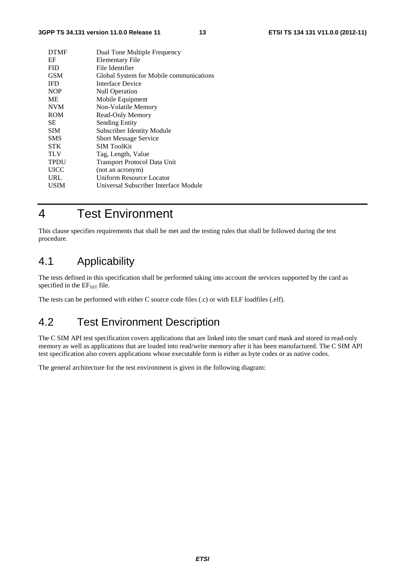#### **3GPP TS 34.131 version 11.0.0 Release 11 13 ETSI TS 134 131 V11.0.0 (2012-11)**

| <b>DTMF</b> | Dual Tone Multiple Frequency            |
|-------------|-----------------------------------------|
| EF          | Elementary File                         |
| <b>FID</b>  | File Identifier                         |
| <b>GSM</b>  | Global System for Mobile communications |
| <b>IFD</b>  | Interface Device                        |
| <b>NOP</b>  | <b>Null Operation</b>                   |
| <b>ME</b>   | Mobile Equipment                        |
| <b>NVM</b>  | Non-Volatile Memory                     |
| ROM         | Read-Only Memory                        |
| SE.         | <b>Sending Entity</b>                   |
| <b>SIM</b>  | <b>Subscriber Identity Module</b>       |
| <b>SMS</b>  | <b>Short Message Service</b>            |
| <b>STK</b>  | <b>SIM ToolKit</b>                      |
| <b>TLV</b>  | Tag, Length, Value                      |
| <b>TPDU</b> | <b>Transport Protocol Data Unit</b>     |
| <b>UICC</b> | (not an acronym)                        |
| URL         | Uniform Resource Locator                |
| USIM        | Universal Subscriber Interface Module   |
|             |                                         |

# 4 Test Environment

This clause specifies requirements that shall be met and the testing rules that shall be followed during the test procedure.

# 4.1 Applicability

The tests defined in this specification shall be performed taking into account the services supported by the card as specified in the EF<sub>SST</sub> file.

The tests can be performed with either C source code files (.c) or with ELF loadfiles (.elf).

# 4.2 Test Environment Description

The C SIM API test specification covers applications that are linked into the smart card mask and stored in read-only memory as well as applications that are loaded into read/write memory after it has been manufactured. The C SIM API test specification also covers applications whose executable form is either as byte codes or as native codes.

The general architecture for the test environment is given in the following diagram: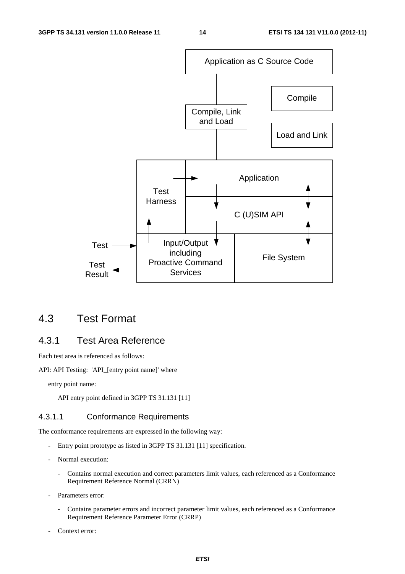

# 4.3 Test Format

# 4.3.1 Test Area Reference

Each test area is referenced as follows:

API: API Testing: 'API\_[entry point name]' where

entry point name:

API entry point defined in 3GPP TS 31.131 [11]

### 4.3.1.1 Conformance Requirements

The conformance requirements are expressed in the following way:

- Entry point prototype as listed in 3GPP TS 31.131 [11] specification.
- Normal execution:
	- Contains normal execution and correct parameters limit values, each referenced as a Conformance Requirement Reference Normal (CRRN)
- Parameters error:
	- Contains parameter errors and incorrect parameter limit values, each referenced as a Conformance Requirement Reference Parameter Error (CRRP)
- Context error: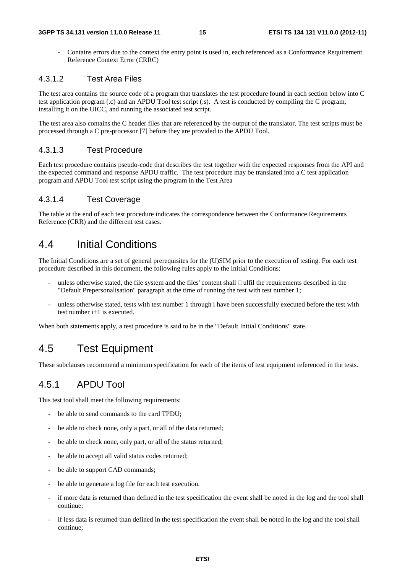- Contains errors due to the context the entry point is used in, each referenced as a Conformance Requirement Reference Context Error (CRRC)

#### 4.3.1.2 Test Area Files

The test area contains the source code of a program that translates the test procedure found in each section below into C test application program (.c) and an APDU Tool test script (.s). A test is conducted by compiling the C program, installing it on the UICC, and running the associated test script.

The test area also contains the C header files that are referenced by the output of the translator. The test scripts must be processed through a C pre-processor [7] before they are provided to the APDU Tool.

### 4.3.1.3 Test Procedure

Each test procedure contains pseudo-code that describes the test together with the expected responses from the API and the expected command and response APDU traffic. The test procedure may be translated into a C test application program and APDU Tool test script using the program in the Test Area

#### 4.3.1.4 Test Coverage

The table at the end of each test procedure indicates the correspondence between the Conformance Requirements Reference (CRR) and the different test cases.

# 4.4 Initial Conditions

The Initial Conditions are a set of general prerequisites for the (U)SIM prior to the execution of testing. For each test procedure described in this document, the following rules apply to the Initial Conditions:

- unless otherwise stated, the file system and the files' content shall  $\Box$ ulfil the requirements described in the "Default Prepersonalisation" paragraph at the time of running the test with test number 1;
- unless otherwise stated, tests with test number 1 through i have been successfully executed before the test with test number i+1 is executed.

When both statements apply, a test procedure is said to be in the "Default Initial Conditions" state.

# 4.5 Test Equipment

These subclauses recommend a minimum specification for each of the items of test equipment referenced in the tests.

# 4.5.1 APDU Tool

This test tool shall meet the following requirements:

- be able to send commands to the card TPDU;
- be able to check none, only a part, or all of the data returned;
- be able to check none, only part, or all of the status returned;
- be able to accept all valid status codes returned;
- be able to support CAD commands;
- be able to generate a log file for each test execution.
- if more data is returned than defined in the test specification the event shall be noted in the log and the tool shall continue;
- if less data is returned than defined in the test specification the event shall be noted in the log and the tool shall continue;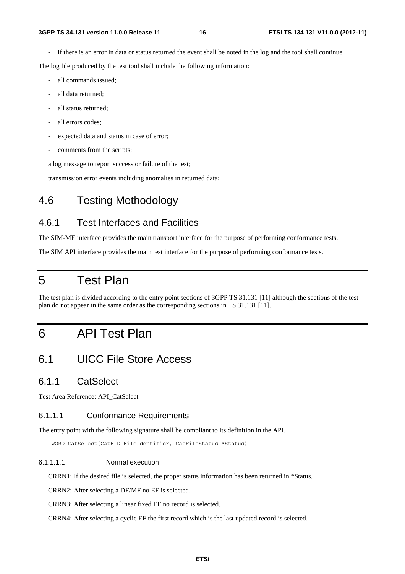if there is an error in data or status returned the event shall be noted in the log and the tool shall continue.

The log file produced by the test tool shall include the following information:

- all commands issued;
- all data returned:
- all status returned;
- all errors codes;
- expected data and status in case of error;
- comments from the scripts;

a log message to report success or failure of the test;

transmission error events including anomalies in returned data;

# 4.6 Testing Methodology

# 4.6.1 Test Interfaces and Facilities

The SIM-ME interface provides the main transport interface for the purpose of performing conformance tests.

The SIM API interface provides the main test interface for the purpose of performing conformance tests.

# 5 Test Plan

The test plan is divided according to the entry point sections of 3GPP TS 31.131 [11] although the sections of the test plan do not appear in the same order as the corresponding sections in TS 31.131 [11].

# 6 API Test Plan

# 6.1 UICC File Store Access

### 6.1.1 CatSelect

Test Area Reference: API\_CatSelect

### 6.1.1.1 Conformance Requirements

The entry point with the following signature shall be compliant to its definition in the API.

WORD CatSelect(CatFID FileIdentifier, CatFileStatus \*Status)

#### 6.1.1.1.1 Normal execution

CRRN1: If the desired file is selected, the proper status information has been returned in \*Status.

CRRN2: After selecting a DF/MF no EF is selected.

CRRN3: After selecting a linear fixed EF no record is selected.

CRRN4: After selecting a cyclic EF the first record which is the last updated record is selected.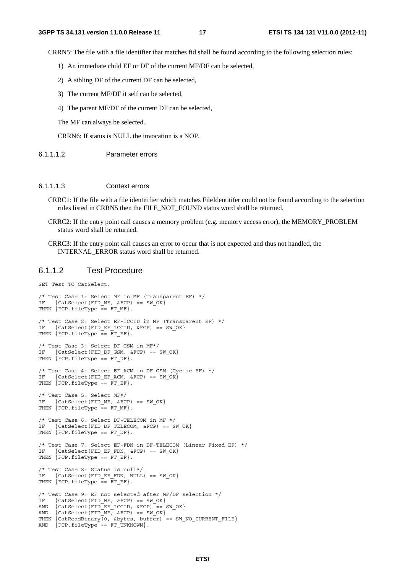CRRN5: The file with a file identifier that matches fid shall be found according to the following selection rules:

- 1) An immediate child EF or DF of the current MF/DF can be selected,
- 2) A sibling DF of the current DF can be selected,
- 3) The current MF/DF it self can be selected,
- 4) The parent MF/DF of the current DF can be selected,

The MF can always be selected.

CRRN6: If status is NULL the invocation is a NOP.

6.1.1.1.2 Parameter errors

#### 6.1.1.1.3 Context errors

- CRRC1: If the file with a file identitifier which matches FileIdentitifer could not be found according to the selection rules listed in CRRN5 then the FILE\_NOT\_FOUND status word shall be returned.
- CRRC2: If the entry point call causes a memory problem (e.g. memory access error), the MEMORY\_PROBLEM status word shall be returned.
- CRRC3: If the entry point call causes an error to occur that is not expected and thus not handled, the INTERNAL\_ERROR status word shall be returned.

#### 6.1.1.2 Test Procedure

SET Test TO CatSelect.

```
/* Test Case 1: Select MF in MF (Transparent EF) */ 
IF \{Catselect(FID MF, \&FCP) == SW OK\}THEN {FCP.fit1eType == FT MF}./* Test Case 2: Select EF-ICCID in MF (Transparent EF) */ 
IF \{Catselect(FID EF ICCID, \&FCP) = SW OK\}THEN {FCP.fit1eType = FT EF}./* Test Case 3: Select DF-GSM in MF*/ 
IF {CatSelect(FID DF GSM, &FCP) == SW OK}
THEN {FCP.fit1eType = FT_DF}./* Test Case 4: Select EF-ACM in DF-GSM (Cyclic EF) */ 
IF \{Catselect(FID EF ACM, \&FCP) == SW OK\}THEN \{FCP.filerype == FT_EF\}.
/* Test Case 5: Select MF*/ 
IF \{Catselect(FIDMF, \&FCP) == SWOK\}THEN {FCP.fit1eType = FT MF}./* Test Case 6: Select DF-TELECOM in MF */ 
IF {CatSelect(FID DF TELECOM, &FCP) == SW OK}
THEN {FCP.fit1eType == FT DF}./* Test Case 7: Select EF-FDN in DF-TELECOM (Linear Fixed EF) */ 
IF {CatSelect(FID_EF_FDN, &FCP) == SW_OK} 
THEN {FCP.fit1eType = FTr EF}./* Test Case 8: Status is null*/ 
IF {CatSelect(FID_EF_FDN, NULL) == SW_OK} 
THEN {FCP.fit1erype = FTLFF}./* Test Case 9: EF not selected after MF/DF selection */ 
IF {Catselect(FID MF, & FCP) == SW OK}AND {CatSelect(FID_EF_ICCID, &FCP) == SW_OK} 
AND \{Catselect(FID MF, \&FCP) == SW OK\}THEN {CatReadBinary(0, &bytes, buffer) == SW_NO_CURRENT_FILE}
AND {FCP.fitlerype == FT_UNKNOWLED}.
```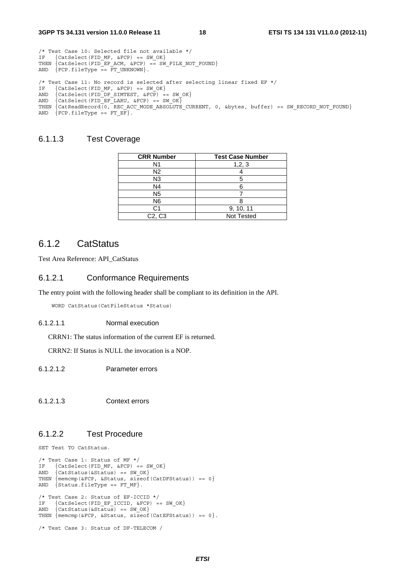/\* Test Case 10: Selected file not available \*/ IF  ${Catselect(FID MF, \&FCP) == SW OK}$ 

```
THEN \{Catselect(FID EF ACM, \&FCP) == SW FILE NOT FOUND\}AND {FCP.fit1erype = FT_UNKNOWN}./* Test Case 11: No record is selected after selecting linear fixed EF */<br>IF {CatSelect(FID MF, &FCP) == SW OK}
IF {Catselect(FID MF, \&FCP) == SW OK}AND \{Catselect(FID DF SIMTEST, \&FCP) = sw OK\}AND \{Catselect(FID\_EF\_LARU, \&FCP) == SW_OK\}THEN \{CatReadRecord(0, "REC ACC MODE ABSOLUTE CURIENT, 0, sbytes, buffer) == SW RECORP NOT FOUND\}AND {FCP.fitlerype == FT EF}.
```
#### 6.1.1.3 Test Coverage

| <b>CRR Number</b>               | <b>Test Case Number</b> |
|---------------------------------|-------------------------|
| N1                              | 1, 2, 3                 |
| N2                              |                         |
| N3                              |                         |
| N4                              |                         |
| N <sub>5</sub>                  |                         |
| N6                              |                         |
| C1                              | 9, 10, 11               |
| C <sub>2</sub> , C <sub>3</sub> | Not Tested              |

### 6.1.2 CatStatus

Test Area Reference: API\_CatStatus

#### 6.1.2.1 Conformance Requirements

The entry point with the following header shall be compliant to its definition in the API.

WORD CatStatus(CatFileStatus \*Status)

#### 6.1.2.1.1 Normal execution

CRRN1: The status information of the current EF is returned.

CRRN2: If Status is NULL the invocation is a NOP.

6.1.2.1.2 Parameter errors

6.1.2.1.3 Context errors

### 6.1.2.2 Test Procedure

SET Test TO CatStatus.

```
/* Test Case 1: Status of MF */ 
IF {CatSelect(FID_MF, &FCP) == SW_OK}
AND \{Catstatus(\&Status) == SW_OK\}THEN {memcmp(&FCP, &Status, sizeof(CatDFStatus)) == 0} 
AND \{Status.filerype == FT MF\}.
/* Test Case 2: Status of EF-ICCID */ 
IF {CatSelect(FID_EF_ICCID, &FCP) == SW_0K}<br>AND {CatStatus(&Status) == SW_0K}
     \{Catstatus(\&Status) == SWOK\}THEN \{ memcmp(&FCP, & Status, size of (CatEFStatus)) == 0\}.
/* Test Case 3: Status of DF-TELECOM /
```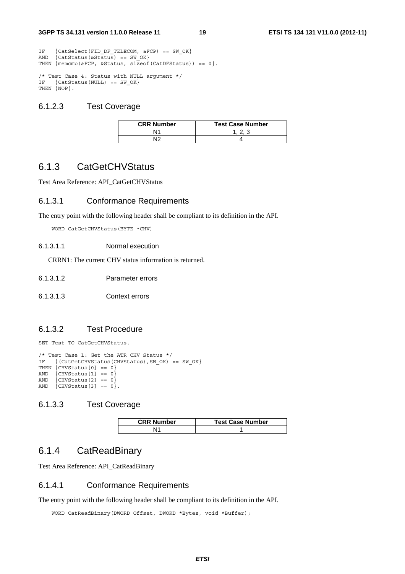IF {CatSelect(FID\_DF\_TELECOM,  $\&$ FCP) == SW\_OK}<br>AND {CatStatus( $\&$ Status) == SW OK}  $\{Catstatus(\& status) == SWOK\}$ THEN  $\{$  memcmp(&FCP, & Status, size of (CatDFStatus)) == 0 $\}$ .

/\* Test Case 4: Status with NULL argument \*/ IF {CatStatus(NULL) == SW\_OK} THEN {NOP}.

#### 6.1.2.3 Test Coverage

| <b>CRR Number</b> | <b>Test Case Number</b> |
|-------------------|-------------------------|
| ۱1                |                         |
| ∼ا⊾               |                         |

### 6.1.3 CatGetCHVStatus

Test Area Reference: API\_CatGetCHVStatus

#### 6.1.3.1 Conformance Requirements

The entry point with the following header shall be compliant to its definition in the API.

WORD CatGetCHVStatus(BYTE \*CHV)

#### 6.1.3.1.1 Normal execution

CRRN1: The current CHV status information is returned.

6.1.3.1.2 Parameter errors

6.1.3.1.3 Context errors

#### 6.1.3.2 Test Procedure

SET Test TO CatGetCHVStatus.

```
/* Test Case 1: Get the ATR CHV Status */ 
   \{ (CatGetCHVStatus(CHVStatus), SW_OK) == SW_OK\}THEN \{CHVStatus[0] == 0\}AND \{CHVStatus [1] == 0\}AND \{CHVStatus [2] == 0\}AND \{CHVStatus[3] == 0\}.
```
#### 6.1.3.3 Test Coverage

| <b>CRR Number</b> | <b>Test Case Number</b> |
|-------------------|-------------------------|
|                   |                         |

## 6.1.4 CatReadBinary

Test Area Reference: API\_CatReadBinary

#### 6.1.4.1 Conformance Requirements

The entry point with the following header shall be compliant to its definition in the API.

WORD CatReadBinary(DWORD Offset, DWORD \*Bytes, void \*Buffer);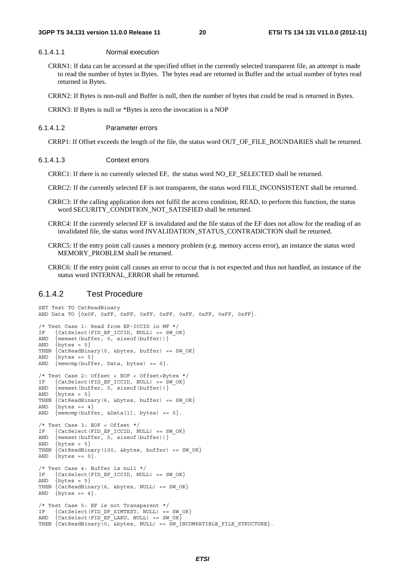#### 6.1.4.1.1 Normal execution

- CRRN1: If data can be accessed at the specified offset in the currently selected transparent file, an attempt is made to read the number of bytes in Bytes. The bytes read are returned in Buffer and the actual number of bytes read returned in Bytes.
- CRRN2: If Bytes is non-null and Buffer is null, then the number of bytes that could be read is returned in Bytes.

CRRN3: If Bytes is null or \*Bytes is zero the invocation is a NOP

#### 6.1.4.1.2 Parameter errors

CRRP1: If Offset exceeds the length of the file, the status word OUT\_OF\_FILE\_BOUNDARIES shall be returned.

#### 6.1.4.1.3 Context errors

CRRC1: If there is no currently selected EF, the status word NO\_EF\_SELECTED shall be returned.

- CRRC2: If the currently selected EF is not transparent, the status word FILE\_INCONSISTENT shall be returned.
- CRRC3: If the calling application does not fulfil the access condition, READ, to perform this function, the status word SECURITY\_CONDITION\_NOT\_SATISFIED shall be returned.
- CRRC4: If the currently selected EF is invalidated and the file status of the EF does not allow for the reading of an invalidated file, the status word INVALIDATION\_STATUS\_CONTRADICTION shall be returned.
- CRRC5: If the entry point call causes a memory problem (e.g. memory access error), an instance the status word MEMORY\_PROBLEM shall be returned.
- CRRC6: If the entry point call causes an error to occur that is not expected and thus not handled, an instance of the status word INTERNAL\_ERROR shall be returned.

#### 6.1.4.2 Test Procedure

```
SET Test TO CatReadBinary 
AND Data TO {0x0F, 0xFF, 0xFF, 0xFF, 0xFF, 0xFF, 0xFF, 0xFF, 0xFF}. 
/* Test Case 1: Read from EF-ICCID in MF */ 
IF {CatSelect(FID EF ICCID, NULL) == SW OK}
AND \{ memset(buffer, 0, sizeof(buffer))}
AND \{bctes = 5\}THEN {CatReadBinary(0, &bytes, buffer) == SW_OK} 
AND \{bytes == 5\}AND \{ memcmp(buffer, Data, bytes) == 0\}.
/* Test Case 2: Offset < EOF < Offset+Bytes */ 
IF {CatSelect(FID_EF_ICCID, NULL) == SW_OK} 
AND { memset(buffer, 0, sizeof(buffer))}
AND \{ bytes = 5\}THEN \{CatReadBinary(6, \&bytes, buffer) == SW_OK\}<br>AND \{bytes == 4\}\{bytes == 4\}AND {mmomp(buffer, \&Data[1], bytes) == 0}./* Test Case 3: EOF < Offset */<br>IF {CatSelect(FID EF ICCID N
    \{Catselect(FID EF ICCID, NULL) == SW OK\}AND { memset(buffer, 0, sizeof(buffer))}
AND \{ bytes = 5\}THEN \{CatReadBinary(100, \text{ sbytes}, buffer) == SW OK\}AND \{bytes == 0\}.
/* Test Case 4: Buffer is null */ 
IF {CatSelect(FID EF ICCID, NULL) == SW OK}
AND \{bytes = 5\}THEN {CatReadBinary(6, &bytes, NULL) == SW OK}
AND \{bytes == 4\}./* Test Case 5: EF is not Transparent */ 
IF {CatSelect(FID DF SIMTEST, NULL) == SW OK}
AND \{Catselect(FID\_EF\_LARU, NULL\} = = SW_OK\}THEN \{CatReadBinary(0, \&bytes, NULL) == \& INCOMPATHIBLE_FILE_STRUCTURE\}.
```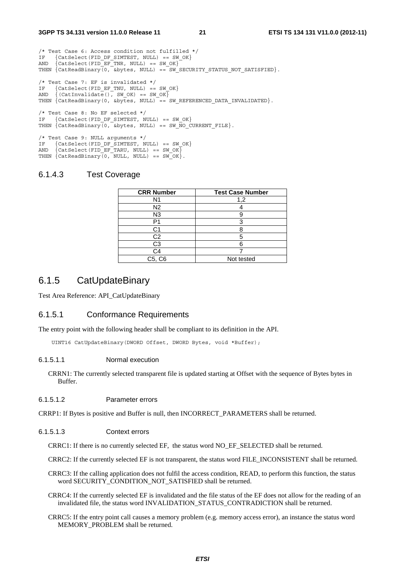/\* Test Case 6: Access condition not fulfilled \*/ IF {CatSelect(FID DF SIMTEST, NULL) == SW OK} AND {CatSelect(FID\_EF\_TNR, NULL) == SW\_OK} THEN  $\{CatReadBinary(0, \&bytes, NULL) == SW\_SECTION_STATUS_NOT\_SATISFIED\}.$ /\* Test Case 7: EF is invalidated \*/ IF  $\{Catselect(FID EF TWU, NULL) == SW OK\}$ AND  $\{(CatInvalidate(), SWOK) == SWOK\}$ THEN {CatReadBinary(0, &bytes, NULL) == SW REFERENCED DATA INVALIDATED}. /\* Test Case 8: No EF selected \*/ IF {CatSelect(FID DF SIMTEST, NULL) == SW OK} THEN  ${CateadBinary(0, \text{ sbytes}, NULL) == SWNO CURRENT FILE}.$ /\* Test Case 9: NULL arguments \*/

IF {CatSelect(FID DF SIMTEST, NULL) == SW OK}  $AND \{Catselect(FID EF TARU, NULL) == SW OK\}$ THEN {CatReadBinary(0, NULL, NULL) == SW\_OK}.

#### 6.1.4.3 Test Coverage

| <b>CRR Number</b> | <b>Test Case Number</b> |
|-------------------|-------------------------|
| N1                | 1,2                     |
| N <sub>2</sub>    |                         |
| N <sub>3</sub>    |                         |
|                   | 3                       |
| C1                |                         |
| C2                | 5                       |
| C3                | 6                       |
| ි4                |                         |
| C5, C6            | Not tested              |

### 6.1.5 CatUpdateBinary

Test Area Reference: API\_CatUpdateBinary

#### 6.1.5.1 Conformance Requirements

The entry point with the following header shall be compliant to its definition in the API.

UINT16 CatUpdateBinary(DWORD Offset, DWORD Bytes, void \*Buffer);

#### 6.1.5.1.1 Normal execution

CRRN1: The currently selected transparent file is updated starting at Offset with the sequence of Bytes bytes in Buffer.

#### 6.1.5.1.2 Parameter errors

CRRP1: If Bytes is positive and Buffer is null, then INCORRECT\_PARAMETERS shall be returned.

#### 6.1.5.1.3 Context errors

CRRC1: If there is no currently selected EF, the status word NO\_EF\_SELECTED shall be returned.

- CRRC2: If the currently selected EF is not transparent, the status word FILE\_INCONSISTENT shall be returned.
- CRRC3: If the calling application does not fulfil the access condition, READ, to perform this function, the status word SECURITY\_CONDITION\_NOT\_SATISFIED shall be returned.
- CRRC4: If the currently selected EF is invalidated and the file status of the EF does not allow for the reading of an invalidated file, the status word INVALIDATION\_STATUS\_CONTRADICTION shall be returned.
- CRRC5: If the entry point call causes a memory problem (e.g. memory access error), an instance the status word MEMORY\_PROBLEM shall be returned.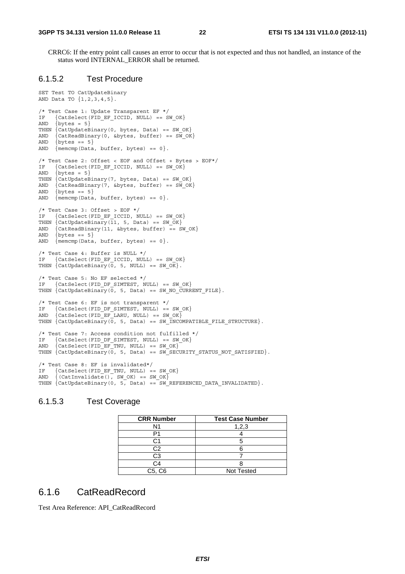CRRC6: If the entry point call causes an error to occur that is not expected and thus not handled, an instance of the status word INTERNAL\_ERROR shall be returned.

#### 6.1.5.2 Test Procedure

```
SET Test TO CatUpdateBinary 
AND Data TO {1,2,3,4,5}. 
/* Test Case 1: Update Transparent EF */ 
IF {CatSelect(FID_EF_ICCID, NULL) == SW_OK} 
AND \{bytes = 5\}THEN \{CatUpdateBinary(0, bytes, Data) == SW_OK\}AND \{CatReadBinary(0, \&bytes, buffer) == SW_OK\}<br>AND \{bytes == 5\}\text{bytes} == 5AND \{ memcmp(Data, buffer, bytes) == 0\}.
/* Test Case 2: Offset < EOF and Offset + Bytes > EOF*/ 
IF {CatSelect(FID_EF_ICCID, NULL) == SW_OK} 
AND \{bytes = 5\}THEN {CatUpdateBinary(7, bytes, Data) == SW_OK} 
AND \{CatReadBinary(7, \&bytes, buffer) == SW_OK\}<br>AND {bytes == 5}
     \{bytes == 5\}AND \{\text{mememp}(Data, buffer, bytes) == 0\}./* Test Case 3: Offset > EOF */
IF {CatSelect(FID EF ICCID, NULL) == SW OK}
THEN \{CatUpdateBinary(11, 5, Data) == SWOK\}AND {CatReadBinary(11, &bytes, buffer) == SW OK}
AND \{ bytes == 5\}AND {mencmp(Data, buffer, bytes) == 0}./* Test Case 4: Buffer is NULL */ 
IF \{Catselect(FID EF ICCID, NULL) == SW OK\}THEN \{ CatUpdateBinary(0, 5, NULL) == SW OK\}.
/* Test Case 5: No EF selected */ 
IF {CatSelect(FID DF SIMTEST, NULL) == SW OK}
THEN \{CatUpdateBinary(0, 5, Data) == SWNO_CURRENT_FILE\}./* Test Case 6: EF is not transparent */ 
IF {CatSelect(FID_DF_SIMTEST, NULL) == SW_OK} 
AND {CatSelect(FID_EF_LARU, NULL) == SW_OK} 
THEN \{CatUpdateBinary(\overline{0}, 5, Data) == SWINCOMPATHIBLE FILE STRUCTURE\}./* Test Case 7: Access condition not fulfilled */ 
IF \{Catselect(FID DF SIMTEST, NULL) == SW OK\}AND \{Catselect(FID\_EF_TNU, NULL) == SW_OK\}THEN \{ CatUpdateBinary(0, 5, Data) == SW SECURITY STATUS NOT SATISFIED\}.
/* Test Case 8: EF is invalidated*/ 
IF {CatSelect(FID EF TNU, NULL) == SW OK}
AND \{ (CatInvalidate (), SW OK) == SW OK\}THEN \{ CatUpdateBinary(0, 5, Data) == SW_REFERENCED_DATA_INVALIDATED\}.
```
#### 6.1.5.3 Test Coverage

| <b>CRR Number</b> | <b>Test Case Number</b> |
|-------------------|-------------------------|
| N1                | 1,2,3                   |
|                   |                         |
|                   |                         |
| C2                |                         |
| C <sub>3</sub>    |                         |
| C4                |                         |
| C5, C6            | <b>Not Tested</b>       |

# 6.1.6 CatReadRecord

Test Area Reference: API\_CatReadRecord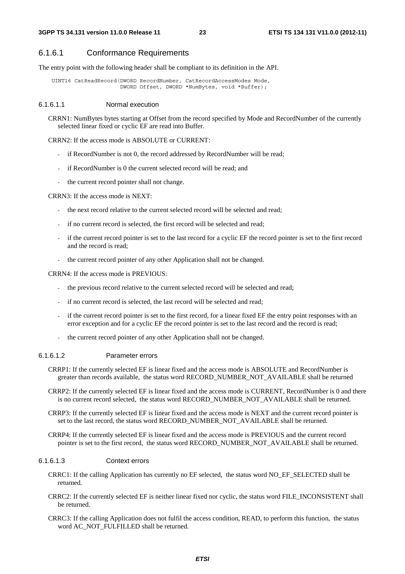### 6.1.6.1 Conformance Requirements

The entry point with the following header shall be compliant to its definition in the API.

 UINT16 CatReadRecord(DWORD RecordNumber, CatRecordAccessModes Mode, DWORD Offset, DWORD \*NumBytes, void \*Buffer);

#### 6.1.6.1.1 Normal execution

CRRN1: NumBytes bytes starting at Offset from the record specified by Mode and RecordNumber of the currently selected linear fixed or cyclic EF are read into Buffer.

#### CRRN2: If the access mode is ABSOLUTE or CURRENT:

- if RecordNumber is not 0, the record addressed by RecordNumber will be read;
- if RecordNumber is 0 the current selected record will be read; and
- the current record pointer shall not change.

#### CRRN3: If the access mode is NEXT:

- the next record relative to the current selected record will be selected and read;
- if no current record is selected, the first record will be selected and read;
- if the current record pointer is set to the last record for a cyclic EF the record pointer is set to the first record and the record is read;
- the current record pointer of any other Application shall not be changed.

#### CRRN4: If the access mode is PREVIOUS:

- the previous record relative to the current selected record will be selected and read;
- if no current record is selected, the last record will be selected and read;
- if the current record pointer is set to the first record, for a linear fixed EF the entry point responses with an error exception and for a cyclic EF the record pointer is set to the last record and the record is read;
- the current record pointer of any other Application shall not be changed.

#### 6.1.6.1.2 Parameter errors

- CRRP1: If the currently selected EF is linear fixed and the access mode is ABSOLUTE and RecordNumber is greater than records available, the status word RECORD\_NUMBER\_NOT\_AVAILABLE shall be returned
- CRRP2: If the currently selected EF is linear fixed and the access mode is CURRENT, RecordNumber is 0 and there is no current record selected, the status word RECORD\_NUMBER\_NOT\_AVAILABLE shall be returned.
- CRRP3: If the currently selected EF is linear fixed and the access mode is NEXT and the current record pointer is set to the last record, the status word RECORD\_NUMBER\_NOT\_AVAILABLE shall be returned.
- CRRP4: If the currently selected EF is linear fixed and the access mode is PREVIOUS and the current record pointer is set to the first record, the status word RECORD\_NUMBER\_NOT\_AVAILABLE shall be returned.

#### 6.1.6.1.3 Context errors

- CRRC1: If the calling Application has currently no EF selected, the status word NO\_EF\_SELECTED shall be returned.
- CRRC2: If the currently selected EF is neither linear fixed nor cyclic, the status word FILE\_INCONSISTENT shall be returned.
- CRRC3: If the calling Application does not fulfil the access condition, READ, to perform this function, the status word AC\_NOT\_FULFILLED shall be returned.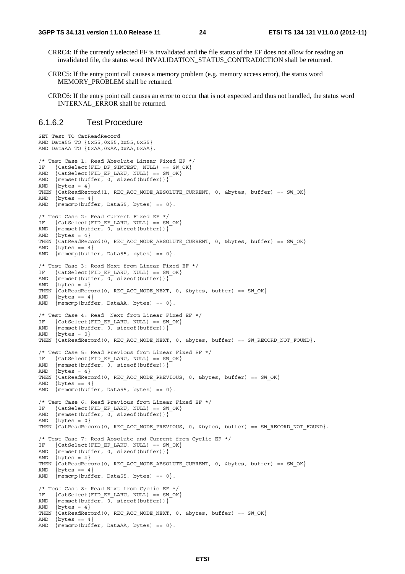- CRRC4: If the currently selected EF is invalidated and the file status of the EF does not allow for reading an invalidated file, the status word INVALIDATION\_STATUS\_CONTRADICTION shall be returned.
- CRRC5: If the entry point call causes a memory problem (e.g. memory access error), the status word MEMORY PROBLEM shall be returned.
- CRRC6: If the entry point call causes an error to occur that is not expected and thus not handled, the status word INTERNAL\_ERROR shall be returned.

#### 6.1.6.2 Test Procedure

```
SET Test TO CatReadRecord 
AND Data55 TO {0x55,0x55,0x55,0x55} 
AND DataAA TO {0xAA,0xAA,0xAA,0xAA}. 
/* Test Case 1: Read Absolute Linear Fixed EF */ 
IF {CatSelect(FID_DF_SIMTEST, NULL) == SW_0K}<br>AND {CatSelect(FID_EF_LARU, NULL) == SW_0K}
     \{Catselect(FID EF LARU, NULL) == SW OK\}AND { memset(buffer, 0, sizeof(buffer))}
AND \{b v \text{tes} = 4\}THEN {CatReadRecord(1, REC ACC MODE ABSOLUTE CURRENT, 0, &bytes, buffer) == SW OK}
AND \{ bytes == 4\}AND \{ memcmp(buffer, Data55, bytes) == 0\}.
/* Test Case 2: Read Current Fixed EF */ 
IF {CatSelect(FID_EF_LARU, NULL) == SW_OK} 
AND {mmset(butter, 0, sizeof(butter))}AND \{ bytes = 4\}THEN {CatReadRecord(0, REC_ACC_MODE_ABSOLUTE_CURRENT, 0, &bytes, buffer) == SW OK}
AND \{bytes == 4\}AND {mencmp(buffer, Data55, bytes) == 0}./* Test Case 3: Read Next from Linear Fixed EF */ 
IF {CatSelect(FID_EF_LARU, NULL) == SW_OK} 
AND \{ memset(buffer, 0, sizeof(buffer))}
AND \{ bytes = 4\}THEN \{CatReadRecord(0, REC ACC MODE NEXT, 0, kbytes, buffer) == SW OK\}AND \{bvtes == 4\}AND \{\text{mem}(\text{buffer}, \text{DataAA}, \text{bytes}) == 0\}./* Test Case 4: Read Next from Linear Fixed EF */ 
IF {CatSelect(FID EF LARU, NULL) == SW OK}
AND {memset(buffer, 0, sizeof(buffer))}
AND \{bytes = 0\}THEN {CatReadRecord(0, REC_ACC_MODE_NEXT, 0, &bytes, buffer) == SW_RECORD_NOT_FOUND}.
/* Test Case 5: Read Previous from Linear Fixed EF */ 
IF {Catselect(FID_EF_LARU, NULL) == SW_OX}<br>AND {memset(bulfer. 0. sizeof(huffer))}{mmset(buster, 0, sizeof(butter))}AND \{ bytes = 4\}THEN {CatReadRecord(0, REC ACC MODE PREVIOUS, 0, &bytes, buffer) == SW OK}
AND \{bytes == 4\}AND {mencmp(buffer, Data55, bytes) == 0}./* Test Case 6: Read Previous from Linear Fixed EF */ 
IF \{Catselect(FID EF LARU, NULL) == SW OK\}AND {memset(buffer, 0, sizeof(buffer))}
AND \{ bytes = 0\}THEN \{CatReadRecord(0, REC ACC MODE PREVIOUS, 0, ebytes, buffer) == SW RECORD NOT FOUND\}./* Test Case 7: Read Absolute and Current from Cyclic EF */ 
IF {CatSelect(FID EF LARU, NULL) == SW OK}
AND { memset(buffer, 0, sizeof(buffer))}
AND \{bvtes = 4\}THEN {CatReadRecord(0, REC_ACC_MODE_ABSOLUTE_CURRENT, 0, &bytes, buffer) == SW_OK} 
AND \{bytes == 4\}AND \{ memcmp(buffer, Data55, bytes) == 0\}.
/* Test Case 8: Read Next from Cyclic EF */ 
IF {CatSelect(FID_EF_LARU, NULL) == SW_OK}<br>AND {memset(buffer. 0. sizeof(buffer))}
     {mmset(butter, 0, sizeof(butter))}AND {bytes = 4}
THEN \{CatReadRecord(0, REC ACC MODE NEXT, 0, kbytes, buffer) == SWOK\}AND \{bvtes == 4\}AND {mencmp(buffer, DataAA, bytes) == 0}.
```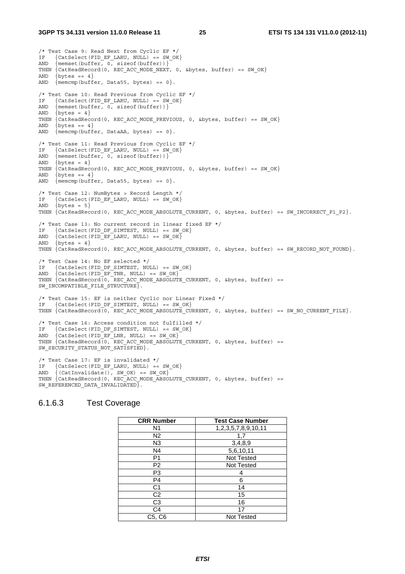/\* Test Case 9: Read Next from Cyclic EF \*/ IF {CatSelect(FID EF LARU, NULL) == SW OK} AND {memset(buffer, 0, sizeof(buffer))} THEN {CatReadRecord(0, REC\_ACC\_MODE\_NEXT, 0, &bytes, buffer) == SW\_OK} AND  $\{bytes == 4\}$ AND  $\{$  memcmp(buffer, Data55, bytes) == 0 $\}$ . /\* Test Case 10: Read Previous from Cyclic EF \*/ IF  $\{Catselect(FID_EF_LARU, NULL) = - SWOK\}$ <br>AND  $\{memset(buffer, 0. sizeof(buffer))\}$  $\{\text{member}, 0, \text{ sizeof}(\text{buffer})\}\$ AND  $\{$  bytes = 4 $\}$ THEN {CatReadRecord(0, REC\_ACC\_MODE\_PREVIOUS, 0, &bytes, buffer) == SW\_OK} AND  $\{bctes == 4\}$ AND  $\{$  memcmp(buffer, DataAA, bytes) == 0 $\}$ . /\* Test Case 11: Read Previous from Cyclic EF \*/ IF {CatSelect(FID EF LARU, NULL) == SW OK} AND {memset(buffer, 0, sizeof(buffer))} AND  $\{b$ vtes = 4 $\}$ THEN  $\{CartineedRecord(0, REC ACC MODE PREVIOUS, 0, %bytes, buffer) == SW OK\}$ AND  $\{$  bytes == 4 $\}$ AND  $\{\text{memp}(\text{buffer}, \text{Data55}, \text{bytes}) == 0\}.$ /\* Test Case 12: NumBytes > Record Length \*/ IF  $\{Catselect(FID EF LARU, NULL) == SW OK\}$ AND  $\{bytes = 5\}$ THEN  $\{C \text{atReadRecord}(0, REC ACC MODE ABSOLUTE CURRENT, 0, sbytes, buffer) == SW INCORRECT PL P2\}.$ /\* Test Case 13: No current record in linear fixed EF \*/<br> $TF = \{Cat\text{Salect (FID DR STMTRST - NITL)} \} = \text{SW OK}$  ${Catselect(FID DF SIMTEST, NULL)} = = SW OK$ AND  $\{Catselect(FID-EF-LARU, NULL) == SW OK\}$ AND  $\{$  bytes = 4 $\}$ THEN  $\{CartReadRecord(0, REC ACC MODE ABSOLUTE CURRENT, 0, ebytes, buffer) == SN RECORD NOT FOUND\}.$ /\* Test Case 14: No EF selected \*/ IF {CatSelect(FID DF SIMTEST, NULL) == SW OK} AND  $\{Catselect(FID EF TNR, NULL) == SN OK\}$ THEN {CatReadRecord(0, REC ACC MODE ABSOLUTE CURRENT, 0, &bytes, buffer) == SW INCOMPATIBLE FILE STRUCTURE  $\rceil$ . /\* Test Case 15: EF is neither Cyclic nor Linear Fixed \*/ IF {CatSelect(FID\_DF\_SIMTEST, NULL) == SW\_OK} THEN  $\{CatReadRecord(0, REC ACC'MODEABSOLUTE CURRENT, 0, kbytes, buffer) == SW NO CURRENT FILE\}.$ /\* Test Case 16: Access condition not fulfilled \*/ IF {CatSelect(FID DF SIMTEST, NULL) == SW OK}  $AND \{Catselect(FID\_EF\_LNR, NULL) == SW_OK\}$ THEN  $\{CatReadRecord(0, RECACC_MODEABSOLUTE_CURRENT, 0, kbytes, buffer) ==$ SW\_SECURITY\_STATUS\_NOT\_SATISFIED }. /\* Test Case 17: EF is invalidated \*/ IF {CatSelect(FID\_EF\_LARU, NULL) == SW\_OK}<br>IF {CatSelect(FID\_EF\_LARU, NULL) == SW\_OK}  $\{$  (CatInvalidate(), SW OK) == SW OK $\}$ THEN  $\{CatReadRecord(0, REC<sub>ACC</sub> MODEL-BISOLUTE<sub>C</sub>CURRENT, 0, *kbvtes*, buffer) =$ SW\_REFERENCED\_DATA\_INVALIDATED $\overline{\}$ .

#### 6.1.6.3 Test Coverage

| <b>CRR Number</b> | <b>Test Case Number</b> |
|-------------------|-------------------------|
| N <sub>1</sub>    | 1,2,3,5,7,8,9,10,11     |
| N <sub>2</sub>    | 1,7                     |
| N <sub>3</sub>    | 3,4,8,9                 |
| N4                | 5,6,10,11               |
| P <sub>1</sub>    | Not Tested              |
| P <sub>2</sub>    | <b>Not Tested</b>       |
| P <sub>3</sub>    | 4                       |
| P <sub>4</sub>    | 6                       |
| C1                | 14                      |
| C <sub>2</sub>    | 15                      |
| C3                | 16                      |
| C4                | 17                      |
| C5, C6            | <b>Not Tested</b>       |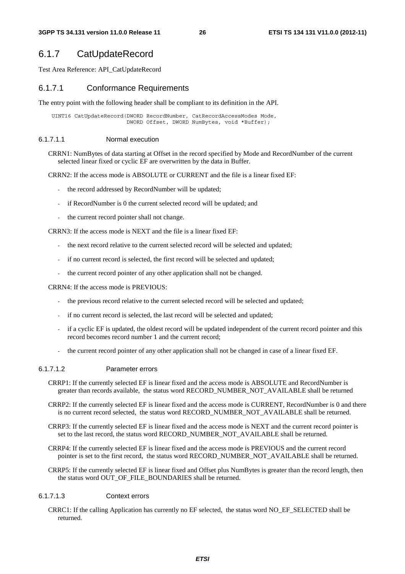# 6.1.7 CatUpdateRecord

Test Area Reference: API\_CatUpdateRecord

#### 6.1.7.1 Conformance Requirements

The entry point with the following header shall be compliant to its definition in the API.

 UINT16 CatUpdateRecord(DWORD RecordNumber, CatRecordAccessModes Mode, DWORD Offset, DWORD NumBytes, void \*Buffer);

#### 6.1.7.1.1 Normal execution

CRRN1: NumBytes of data starting at Offset in the record specified by Mode and RecordNumber of the current selected linear fixed or cyclic EF are overwritten by the data in Buffer.

CRRN2: If the access mode is ABSOLUTE or CURRENT and the file is a linear fixed EF:

- the record addressed by RecordNumber will be updated;
- if RecordNumber is 0 the current selected record will be updated; and
- the current record pointer shall not change.

CRRN3: If the access mode is NEXT and the file is a linear fixed EF:

- the next record relative to the current selected record will be selected and updated;
- if no current record is selected, the first record will be selected and updated:
- the current record pointer of any other application shall not be changed.

CRRN4: If the access mode is PREVIOUS:

- the previous record relative to the current selected record will be selected and updated;
- if no current record is selected, the last record will be selected and updated;
- if a cyclic EF is updated, the oldest record will be updated independent of the current record pointer and this record becomes record number 1 and the current record;
- the current record pointer of any other application shall not be changed in case of a linear fixed EF.

#### 6.1.7.1.2 Parameter errors

- CRRP1: If the currently selected EF is linear fixed and the access mode is ABSOLUTE and RecordNumber is greater than records available, the status word RECORD\_NUMBER\_NOT\_AVAILABLE shall be returned
- CRRP2: If the currently selected EF is linear fixed and the access mode is CURRENT, RecordNumber is 0 and there is no current record selected, the status word RECORD\_NUMBER\_NOT\_AVAILABLE shall be returned.
- CRRP3: If the currently selected EF is linear fixed and the access mode is NEXT and the current record pointer is set to the last record, the status word RECORD\_NUMBER\_NOT\_AVAILABLE shall be returned.
- CRRP4: If the currently selected EF is linear fixed and the access mode is PREVIOUS and the current record pointer is set to the first record, the status word RECORD\_NUMBER\_NOT\_AVAILABLE shall be returned.
- CRRP5: If the currently selected EF is linear fixed and Offset plus NumBytes is greater than the record length, then the status word OUT\_OF\_FILE\_BOUNDARIES shall be returned.

#### 6.1.7.1.3 Context errors

CRRC1: If the calling Application has currently no EF selected, the status word NO\_EF\_SELECTED shall be returned.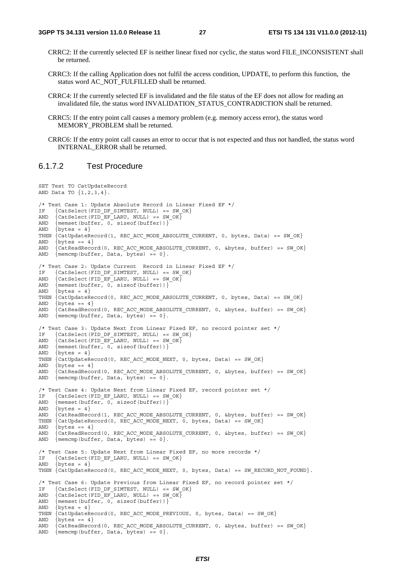- CRRC2: If the currently selected EF is neither linear fixed nor cyclic, the status word FILE\_INCONSISTENT shall be returned.
- CRRC3: If the calling Application does not fulfil the access condition, UPDATE, to perform this function, the status word AC\_NOT\_FULFILLED shall be returned.
- CRRC4: If the currently selected EF is invalidated and the file status of the EF does not allow for reading an invalidated file, the status word INVALIDATION\_STATUS\_CONTRADICTION shall be returned.
- CRRC5: If the entry point call causes a memory problem (e.g. memory access error), the status word MEMORY PROBLEM shall be returned.
- CRRC6: If the entry point call causes an error to occur that is not expected and thus not handled, the status word INTERNAL\_ERROR shall be returned.

#### 6.1.7.2 Test Procedure

```
SET Test TO CatUpdateRecord 
AND Data TO \{1, 2, 3, 4\}.
/* Test Case 1: Update Absolute Record in Linear Fixed EF */<br>IF {CatSelect(FID DF SIMTEST. NULL) == SW OK}
     {Catselect(FID DF SIMTEST, NULL)} = SW OKAND \{Catselect(FID\_EF\_LARU, NULL) == SW_OX\}<br>AND \{memset(buffer. 0. sizeof(buffer))\}{memset(buffer, 0, sizeof(buffer))}AND \{bctes = 4\}THEN \overline{CatUpdateRecord(1, REC ACC MODE ABSOLUTE CURRENT, 0, bytes, Data) == SN OK}AND \{bytes == 4\}<br>AND \{CatReadReco{CatReadRecord(0, REC ACC MODE ABSOLUTE CURRENT, 0, Sbytes, buffer) == SW OK}AND {mencmp(buffer, Data, bytes) == 0}./* Test Case 2: Update Current Record in Linear Fixed EF */<br>IF {CatSelect(FID DF SIMTEST. NULL) == SW OK}
     {Catselect(FID DF SIMTEST, NULL) == SW OK}AND \{Catselect(FID-EF-LARU, NULL) == SW OK\}AND {mmset(butter, 0, sizeof(butter))}AND \{bctes = 4\}THEN \{CatUpdateRecord(0, REC ACC MODE ABSOLUTE CURRENT, 0, bytes, Data) == SW OK\}AND \{bytes == 4\}AND \{CatReadRecord(0, REC ACC MODE ABSOLUTE CURRENT, 0, \&bytes, buffer) == SW OK\}AND \{\text{mememp}(\text{buffer}, \text{Data}, \text{bytes}) = 0\}./* Test Case 3: Update Next from Linear Fixed EF, no record pointer set */ 
IF {CatSelect(FID DF SIMTEST, NULL) == SW OK}
AND \{Catselect(FID\_EF\_LARU, NULL\} = = SW_OK\}AND {memset(buffer, 0, sizeof(buffer))}AND \{bytes = 4\}THEN {CatUpdateRecord(0, REC ACC MODE NEXT, 0, bytes, Data) == SW OK}AND \{bytes == 4\}<br>AND \{CatReadRecO\{CartReadRecord(0, REC ACC MODE ABSOLUTE CURRENT, 0, \&bytes, buffer) == SW OK\}AND \{ memcmp(buffer, Data, bytes) == 0\}.
/* Test Case 4: Update Next from Linear Fixed EF, record pointer set */ 
IF {CatSelect(FID EF LARU, NULL) == SW OK}
AND {memset(buffer, 0, sizeof(buffer))}
AND \{b v \text{tes} = 4\}AND {CatReadRecord(1, REC ACC MODE ABSOLUTE CURRENT, 0, &bytes, buffer) == SW OK}
THEN \{CatUpdateRecord(0, REC ACC MODE NEXT, 0, bytes, Data) == SW OK\}AND \{b \vee t \in s == 4\}AND {CatReadRecord(0, REC_ACC_MODE_ABSOLUTE_CURRENT, 0, &bytes, buffer) == SW OK}
AND \{ memcmp(buffer, Data, bytes) == 0\}.
/* Test Case 5: Update Next from Linear Fixed EF, no more records */ 
IF {CatSelect(FID EF LARU, NULL) == SW OK}
AND \{ bytes = 4\}THEN {CatUpdateRecord(0, REC_ACC_MODE_NEXT, 0, bytes, Data) == SW_RECORD_NOT_FOUND}. 
/* Test Case 6: Update Previous from Linear Fixed EF, no record pointer set */ 
IF {CatSelect(FID DF SIMTEST, NULL) == SW OK}
AND \{Catselect(FID-EF-LARU, NULL) == SW OK\}AND {mmset(butter, 0, sizeof(butter))}AND \{bctes = 4\}THEN {CatUpdateRecord(0, REC_ACC_MODE_PREVIOUS, 0, bytes, Data) == SW OK}
AND \{bytes == 4\}AND {CatReadRecord(0, REC_ACC_MODE_ABSOLUTE_CURRENT, 0, &bytes, buffer) == SW_OK} 
AND \{\text{memcmp}(\text{buffer}, \text{Data}, \text{bytes}) = 0\}.
```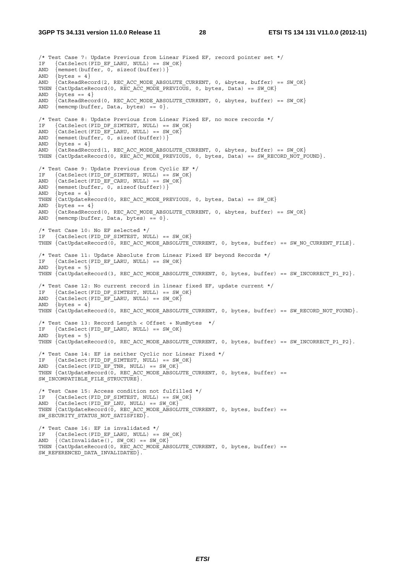/\* Test Case 7: Update Previous from Linear Fixed EF, record pointer set \*/ IF  $\{Catselect(FID EF LARU, NULL) == SW OK\}$ AND  $\{\text{memset}(\text{buffer}, 0, \text{sizeof}(\text{buffer}))\}$ <br>AND  $\{\text{bytes} = 4\}$  $\{bytes = 4\}$ AND  $\{CatReadRecord(2, REC ACC MODE ABSOLUTE CURRENT, 0, \&bytes, buffer) == SW OK\}$ THEN (CatUpdateRecord(0, REC ACC MODE PREVIOUS, 0, bytes, Data) == SW\_OK} AND  $\{$  bytes == 4 $\}$ AND  $\{CatReadRecord(0, REC ACC MODE ABSOLUTE CURRENT, 0,  $\&bytes$ , buffer) == SW OK\}$ AND  $\{\text{memcmp}(\text{buffer}, \text{Data}, \text{bytes}) = 0\}.$ /\* Test Case 8: Update Previous from Linear Fixed EF, no more records \*/ IF {CatSelect(FID\_DF\_SIMTEST, NULL) ==  $SW_0$ OK}<br>AND {CatSelect(FID\_EF\_LARU, NULL) ==  $SW_0$ OK}  $\{Catselect(FID-EF-LARU, NULL) == SWOK\}$ AND  $\{\text{mmset(butter, 0, sizeof(butter))}\}$ <br>AND  $\{bytes = 4\}$  $\{b$ vtes = 4 $\}$ AND  $\{CatReadRecord(1, REC ACC MODE_ABSOLUTE_CURRENT, 0, \&bytes, buffer) == SW_OK\}$ THEN  $\{CatUpdateRecord(0, REC ACC MODE PREVIOUS, 0, bytes, Data) == SN RECORD NOT FOUND\}.$ /\* Test Case 9: Update Previous from Cyclic EF \*/ IF  $\{Catselect(FID\_DF\_SIMTEST, NULL\} = SN_{OK}\$ <br>AND  $\{Catselect(FID\_RF\_CARI, MIT.L)\} = SN_{OK}$  $\{Catselect(FID-EF-CARU, NULL) == SW OK\}$ AND  ${$  memset(buffer,  $0,$  sizeof(buffer))} AND  $\{$  bytes = 4 $\}$ THEN  $\{CatUpdateRecord(0, REC ACC MODE PREVIOUS, 0, bytes, Data) == SW OK\}$ AND  $\{bytes == 4\}$ AND {CatReadRecord(0, REC\_ACC\_MODE\_ABSOLUTE\_CURRENT, 0, &bytes, buffer) == SW\_OK} AND  $\{$  memcmp(buffer, Data, bytes) == 0 $\}$ . /\* Test Case 10: No EF selected \*/ IF {CatSelect(FID DF SIMTEST, NULL) == SW OK} THEN  $\{CatUpdateRecord(\overline{0}, REC ACC MODE ABSOLUTE^c CURRENT, 0, bytes, buffer) == SW NO CURRENT FILE\}.$ /\* Test Case 11: Update Absolute from Linear Fixed EF beyond Records \*/ IF  $\{Catselect(FID_EF_LARU, NULL) == SW_OK\}$ <br>AND  $\{bytes = 5\}$  $\{bytes = 5\}$ THEN  $\{CatUpdateRecord(3, REC ACC MODE ABSOLUTE CURRENT, 0, bytes, buffer) == SW INCORRECT PL P2\}.$ /\* Test Case 12: No current record in linear fixed EF, update current \*/ IF {CatSelect(FID\_DF\_SIMTEST, NULL) == SW\_OK} AND  $\{Catselect(FID-EF-LARU, NULL) == SW OK\}$ AND  $\{b$ vtes = 4 $\}$ THEN  $\{CatUpdateRecord(0, REC ACC MODE ABSOLUTE CURRENT, 0, bytes, buffer) == SW RECORED NOT FOUND\}.$ /\* Test Case 13: Record Length < Offset + NumBytes \*/ IF {CatSelect(FID\_EF\_LARU, NULL) == SW\_OK} AND  $\{$  bytes = 5 $\}$ THEN  $\{CatUpdateRecord(0, REC ACC MODE ABSOLUTE CURRENT, 0, bytes, buffer) == SW INCORRECT PL P2\}.$ /\* Test Case 14: EF is neither Cyclic nor Linear Fixed \*/ IF {CatSelect(FID DF SIMTEST, NULL) == SW OK} AND  $\{Catselect(FID EF TNR, NULL) == SW OK\}$ THEN  $\{CatUpdateRecord(0, REC ACC MODE ABSOLUTE CURRENT, 0, bytes, buffer) ==$ SW\_INCOMPATIBLE\_FILE\_STRUCTURE}. /\* Test Case 15: Access condition not fulfilled \*/ IF {CatSelect(FID DF SIMTEST, NULL) == SW OK} AND  $\{Catselect(FID EF_LNU, NULL) == SW OK\}$ THEN  $\{CatUpdateRecord(0, REC ACC MODE ABSOLUTE CURRENT, 0, bytes, buffer) =$ SW\_SECURITY\_STATUS\_NOT\_SATISFIED}. /\* Test Case 16: EF is invalidated \*/ IF {CatSelect(FID\_EF\_LARU, NULL) == SW\_OK} AND {(CatInvalidate(), SW\_OK) == SW\_OK} THEN {CatUpdateRecord(0, REC ACC MODE ABSOLUTE CURRENT, 0, bytes, buffer) == SW\_REFERENCED\_DATA\_INVALIDATED}.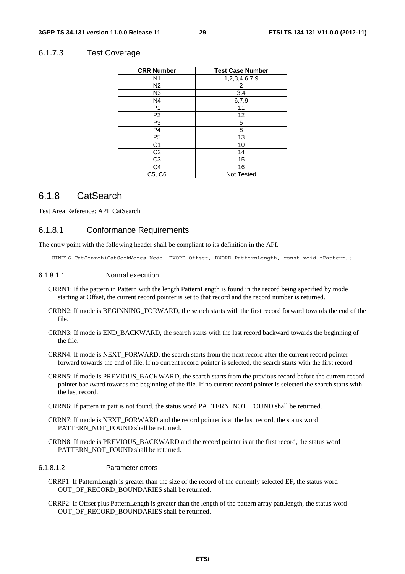#### 6.1.7.3 Test Coverage

| <b>CRR Number</b> | <b>Test Case Number</b> |
|-------------------|-------------------------|
| N <sub>1</sub>    | 1,2,3,4,6,7,9           |
| N2                | 2                       |
| N <sub>3</sub>    | 3,4                     |
| N4                | 6,7,9                   |
| P <sub>1</sub>    | 11                      |
| P <sub>2</sub>    | 12                      |
| P <sub>3</sub>    | 5                       |
| P <sub>4</sub>    | 8                       |
| P <sub>5</sub>    | 13                      |
| C <sub>1</sub>    | 10                      |
| C <sub>2</sub>    | 14                      |
| C <sub>3</sub>    | 15                      |
| C <sub>4</sub>    | 16                      |
| C5, C6            | <b>Not Tested</b>       |

### 6.1.8 CatSearch

Test Area Reference: API\_CatSearch

#### 6.1.8.1 Conformance Requirements

The entry point with the following header shall be compliant to its definition in the API.

UINT16 CatSearch(CatSeekModes Mode, DWORD Offset, DWORD PatternLength, const void \*Pattern);

#### 6.1.8.1.1 Normal execution

- CRRN1: If the pattern in Pattern with the length PatternLength is found in the record being specified by mode starting at Offset, the current record pointer is set to that record and the record number is returned.
- CRRN2: If mode is BEGINNING\_FORWARD, the search starts with the first record forward towards the end of the file.
- CRRN3: If mode is END\_BACKWARD, the search starts with the last record backward towards the beginning of the file.
- CRRN4: If mode is NEXT\_FORWARD, the search starts from the next record after the current record pointer forward towards the end of file. If no current record pointer is selected, the search starts with the first record.
- CRRN5: If mode is PREVIOUS\_BACKWARD, the search starts from the previous record before the current record pointer backward towards the beginning of the file. If no current record pointer is selected the search starts with the last record.

CRRN6: If pattern in patt is not found, the status word PATTERN\_NOT\_FOUND shall be returned.

- CRRN7: If mode is NEXT\_FORWARD and the record pointer is at the last record, the status word PATTERN\_NOT\_FOUND shall be returned.
- CRRN8: If mode is PREVIOUS\_BACKWARD and the record pointer is at the first record, the status word PATTERN\_NOT\_FOUND shall be returned.

#### 6.1.8.1.2 Parameter errors

- CRRP1: If PatternLength is greater than the size of the record of the currently selected EF, the status word OUT OF RECORD BOUNDARIES shall be returned.
- CRRP2: If Offset plus PatternLength is greater than the length of the pattern array patt.length, the status word OUT\_OF\_RECORD\_BOUNDARIES shall be returned.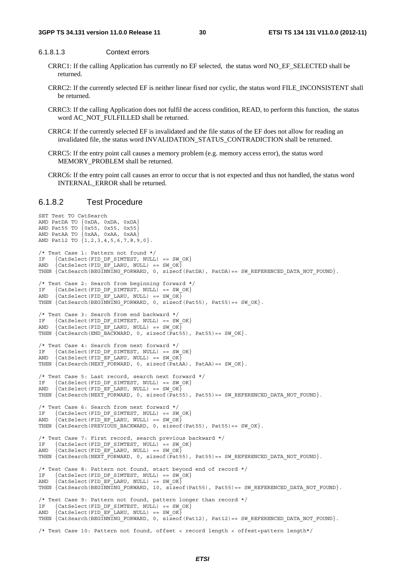#### 6.1.8.1.3 Context errors

- CRRC1: If the calling Application has currently no EF selected, the status word NO\_EF\_SELECTED shall be returned.
- CRRC2: If the currently selected EF is neither linear fixed nor cyclic, the status word FILE\_INCONSISTENT shall be returned.
- CRRC3: If the calling Application does not fulfil the access condition, READ, to perform this function, the status word AC\_NOT\_FULFILLED shall be returned.
- CRRC4: If the currently selected EF is invalidated and the file status of the EF does not allow for reading an invalidated file, the status word INVALIDATION\_STATUS\_CONTRADICTION shall be returned.
- CRRC5: If the entry point call causes a memory problem (e.g. memory access error), the status word MEMORY PROBLEM shall be returned.
- CRRC6: If the entry point call causes an error to occur that is not expected and thus not handled, the status word INTERNAL\_ERROR shall be returned.

#### 6.1.8.2 Test Procedure

```
SET Test TO CatSearch 
AND PatDA TO {0xDA, 0xDA, 0xDA} 
AND Pat55 TO {0x55, 0x55, 0x55} 
AND PatAA TO {0xAA, 0xAA, 0xAA} 
AND Pat12 TO \{1, 2, 3, 4, 5, 6, 7, 8, 9, 0\}.
/* Test Case 1: Pattern not found */ 
IF {CatSelect(FID_DF_SIMTEST, NULL) == SW_OK}<br>AND {CatSelect(FID_EF_LARU. NULL) == SW_OK \RD
      \{Catselect(FID\_EF\_LARU, NULL) == SW_OK\}THEN {CatSearch(BEGINNING FORWARD, 0, sizeof(PatDA), PatDA) == SW_REFERENCED_DATA_NOT_FOUND}.
/* Test Case 2: Search from beginning forward */ 
IF \{Catselect(FID DF SIMTEST, NULL\} = 5W OK\}AND \{Catselect(FID-EF-LARU, NULL) == SW OK\}THEN \{Catsaarch(BEGINNING_FORMARD, 0, sizeof(Pats5), Pat55) == SWOK\}./* Test Case 3: Search from end backward */ 
IF \{Catselect(FID\_DF\_SIMTEST, NULL) == SW_OX\}<br>AND \{Catselect(FID\_EF\_LARU, NULL) == SW_OX\}\{Catselect(FID-EF-LARU, NULL) == SW OK\}THEN \{Catsaarch(END_BACKWARD, 0, sizeof(Pats5), Pat55) == SWOK\}./* Test Case 4: Search from next forward */ 
IF {CatSelect(FID DF SIMTEST, NULL) == SW OK}
AND \{Catselect(FID-EF-LARU, NULL) == SW OK\}THEN \{Catssearch(NEXT_FORWARD, 0, sizeof(FataA), PatAA) == SWOK\}.
/* Test Case 5: Last record, search next forward */ 
IF {CatSelect(FID DF SIMTEST, NULL) == SW OK}
AND \{Catselect(FID-EF-LARU, NULL) == SW OK\}THEN \{Catssearch(NEXT_FORMARD, 0, sizeof(Fats5), Pat55) == SN REFERENCED DATA NOT FOUND\}./* Test Case 6: Search from next forward */<br>IF {CatSelect(FID DF SIMTEST, NULL) == SW
IF \{Catselect(FID\_DF\_SIMTEST, NULL\} = \text{SW } OK\}<br>AND \{Catselect(FID\_RF\_LARI, MIT.L)\} = \text{SW } OK\{Catselect(FID EF LARU, NULL) == SW OK\}THEN \{Catssearch(PREVIOUS BACKWARD, 0, sizeof(Pats5), Pat55) == SW_OK\}./* Test Case 7: First record, search previous backward */ 
IF {CatSelect(FID_DF_SIMTEST, NULL) == SW_OK} 
AND \{Catselect(FID \nightharpoonup EF \nightharpoonup LARU, NULL) == SW_OK\}THEN {CatSearch(NEXT_FORWARD, 0, sizeof(Pat55), Pat55)== SW_REFERENCED_DATA_NOT_FOUND}.
/* Test Case 8: Pattern not found, start beyond end of record */<br>IF {CatSelect(FID DF SIMTEST, NULL) == SW OK}
     IF {CatSelect(FID_DF_SIMTEST, NULL) == SW_OK} 
AND \{Catselect(FID-EF-LARU, NULL) == SW OK\}THEN \{CatSearch(BEGINNING FORMARD, 10, sizeof(Pat55), Pat55) == SW REFERENCED DATA NOT FOUND\}./* Test Case 9: Pattern not found, pattern longer than record */ 
IF {CatSelect(FID_DF_SIMTEST, NULL) == SW_OK} 
AND \{Catselect(FID-EF-LARU, NULL) == SW OK\}THEN \{CatsSearch(BEGINNING~FORMARD, 0, size of (Pat12), Pat12) == SW REFERENCED DATA NOT FOUND\}./* Test Case 10: Pattern not found, offset < record length < offest+pattern length*/
```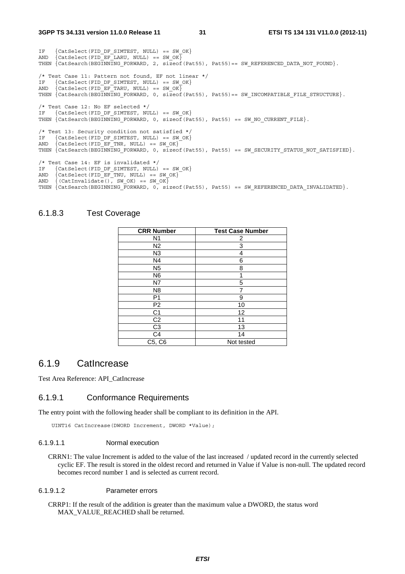#### **3GPP TS 34.131 version 11.0.0 Release 11 31 ETSI TS 134 131 V11.0.0 (2012-11)**

IF {CatSelect(FID DF SIMTEST, NULL) == SW OK} AND  $\{$ CatSelect(FID\_EF\_LARU, NULL) == SW\_OK $\}$ THEN  $\{CatsSearch(BEGINNING$  FORWARD, 2, sizeof(Pat55), Pat55)== SW REFERENCED DATA NOT FOUND $\}$ . /\* Test Case 11: Pattern not found, EF not linear \*/ IF  $\{Catselect(FID\_DF\_SIMTEST, NULL) == SW_OOK\}$ <br>and  $\{Catselect(FID\_FF\_TAPII, NIII.I.) == SW_OK\}$  $\{Catselect(FID-EFTARU, NULL) = SN OK\}$ THEN {CatSearch(BEGINNING FORWARD, 0, sizeof(Pat55), Pat55)== SW\_INCOMPATIBLE\_FILE\_STRUCTURE}. /\* Test Case 12: No EF selected \*/ IF {CatSelect(FID DF SIMTEST, NULL) == SW OK} THEN  $\{Catssearch(BEGINNING_FORMARD, 0, sizeof(Pats5), Pat55) == SW_NO_CURRENT_FILE\}.$ /\* Test 13: Security condition not satisfied \*/ IF  $\{Catselect(FIDDF_SIMTEST, NULL) == SWOK\}$ <br>AND  $\{Catselect(FIDEFTRY, NULL) == SWOK\}$  $\{Catselect(FID\_EF\_TNR, NULL\} = SW_OK\}$ THEN  $\{CatsSearch(BEGINNING_FORMARD, 0, sizeof(Pats5), Pat55) == SN_SECURITY_STATUS_NOT_SATISFIED.\}$ /\* Test Case 14: EF is invalidated \*/ IF  $\{Catselect(FID\_DF\_SIMTEST, NULL) == SW_OOK\}$ <br>AND  $\{Catselect(FID\_RF\_TNII, NIII.I)\} == SW_OOK$  $\{Catselect(FID\_EF\_TNU, NULL) = 5W_OK\}$ AND  $\{$  (CatInvalidate(), SW OK) == SW OK $\}$ THEN  $\{CatsSearch(BEGINNING FORMARD, 0, sizeof(Pats5), Pat55) == SN REFERENCED DATA INVALIDATED.$ 

### 6.1.8.3 Test Coverage

| <b>CRR Number</b> | <b>Test Case Number</b> |
|-------------------|-------------------------|
| N1                | 2                       |
| N <sub>2</sub>    | 3                       |
| N <sub>3</sub>    | 4                       |
| N4                | 6                       |
| N <sub>5</sub>    | 8                       |
| N <sub>6</sub>    | 1                       |
| N7                | 5                       |
| N <sub>8</sub>    |                         |
| P <sub>1</sub>    | 9                       |
| P <sub>2</sub>    | 10                      |
| C <sub>1</sub>    | 12                      |
| C <sub>2</sub>    | 11                      |
| C <sub>3</sub>    | 13                      |
| C4                | 14                      |
| C5, C6            | Not tested              |

### 6.1.9 CatIncrease

Test Area Reference: API\_CatIncrease

#### 6.1.9.1 Conformance Requirements

The entry point with the following header shall be compliant to its definition in the API.

UINT16 CatIncrease(DWORD Increment, DWORD \*Value);

#### 6.1.9.1.1 Normal execution

CRRN1: The value Increment is added to the value of the last increased / updated record in the currently selected cyclic EF. The result is stored in the oldest record and returned in Value if Value is non-null. The updated record becomes record number 1 and is selected as current record.

#### 6.1.9.1.2 Parameter errors

CRRP1: If the result of the addition is greater than the maximum value a DWORD, the status word MAX\_VALUE\_REACHED shall be returned.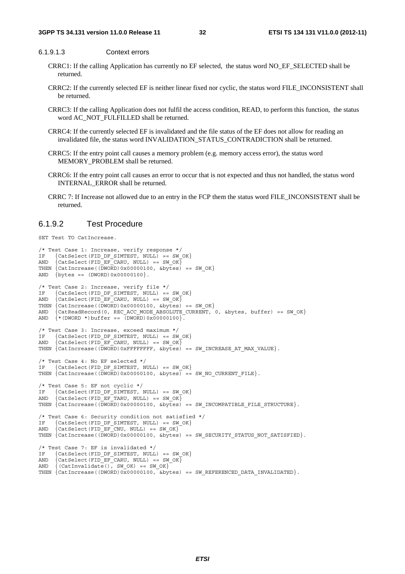#### 6.1.9.1.3 Context errors

- CRRC1: If the calling Application has currently no EF selected, the status word NO\_EF\_SELECTED shall be returned.
- CRRC2: If the currently selected EF is neither linear fixed nor cyclic, the status word FILE\_INCONSISTENT shall be returned.
- CRRC3: If the calling Application does not fulfil the access condition, READ, to perform this function, the status word AC\_NOT\_FULFILLED shall be returned.
- CRRC4: If the currently selected EF is invalidated and the file status of the EF does not allow for reading an invalidated file, the status word INVALIDATION\_STATUS\_CONTRADICTION shall be returned.
- CRRC5: If the entry point call causes a memory problem (e.g. memory access error), the status word MEMORY PROBLEM shall be returned.
- CRRC6: If the entry point call causes an error to occur that is not expected and thus not handled, the status word INTERNAL\_ERROR shall be returned.
- CRRC 7: If Increase not allowed due to an entry in the FCP them the status word FILE\_INCONSISTENT shall be returned.

#### 6.1.9.2 Test Procedure

SET Test TO CatIncrease.

```
/* Test Case 1: Increase, verify response */ 
IF {CatSelect(FID DF SIMTEST, NULL) == SW OK}
AND \Big\{ CatSelect(FID EF CARU, NULL) == SW OK\Big\}THEN {CatIncrease( (DWORD) 0x0000100,  \&bytes) == SW OK}AND \{bytes == (DWORD)0x00000100\}./* Test Case 2: Increase, verify file */ 
IF \{Catselect(FIDDF SIMTEST, NULL) == SWOK\}AND \{Catselect(FID-EF-CARU, NULL) == SW OK\}THEN {CatIncrease( (DWORD) 0x0000100, 6bytes) == SW OK}AND \{CatReadRecord(0, REC ACC MODE ABSOLUTE CURRENT, 0, kbytes, buffer) == SW OK\}AND \left\{ * \left( \text{DWORD } * \right) \text{buffer } == \left( \text{DWORD} \right) \text{0x0000100} \right\}/* Test Case 3: Increase, exceed maximum */ 
IF {CatSelect(FID DF SIMTEST, NULL) == SW OK}
AND \{Catselect(FID-EF-CARU, NULL) == SW OK\}THEN \{CatIncrease(CDWORD)0xFFFFFF, \&byLes) == SWINCREASE_AT_MAX_VALUE\}./* Test Case 4: No EF selected */ 
IF {CatSelect(FID DF SIMTEST, NULL) == SW OK}
THEN \{CatIncrease((\overline{DWORD})0x00000100, \&bytes) = SWNO CURRENT FILE\}./* Test Case 5: EF not cyclic */ 
IF {CatSelect(FID_DF_SIMTEST, NULL) == SW_OK}<br>AND {CatSelect(FID_EF_TARII, NIIL) == SW_OK}
      \{Catselect(FID-EF-TARU, NULL) == SW OK\}THEN \{CatIncrease(\overline{DWORD})0x0000100, \&bytes) == SW_INCOMPATHBLE_FILE_STRUE}./* Test Case 6: Security condition not satisfied */ 
IF {CatSelect(FID DF_SIMTEST, NULL) == SW_OK}
AND \{Catselect(FID-EF-CNU, NULL) == SWOK\}THEN \{CatIncrease( (DW) 0x0000100, 6bytes) == SN SECURITY_TATUS_NOT_SATISFIED \}./* Test Case 7: EF is invalidated */ 
IF {CatSelect(FID DF SIMTEST, NULL) == SW OK}
AND \{Catselect(FID \t\t\t EF \t\t\t CART, NULL) == SW OK\}AND \{ (CatInvalidate(), SW OK) == SW OK}
THEN \{CatIncrease( (DWORD) 0x0000100, <math>\&c</math> 0x0000100, <math>\&c</math> 0x0000100, <math>\&c</math> 0x0000100, <math>\&c</math> 0x0000100, <math>\&c</math> 0x0000100, <math>\&c</math> 0x0000100, <math>\&c</math> 0x0000100, <math>\&c</math> 0x0000100, <math>\&c</math> 0x0000100, <math>\&c</math> 0x0000100, <math>\&
```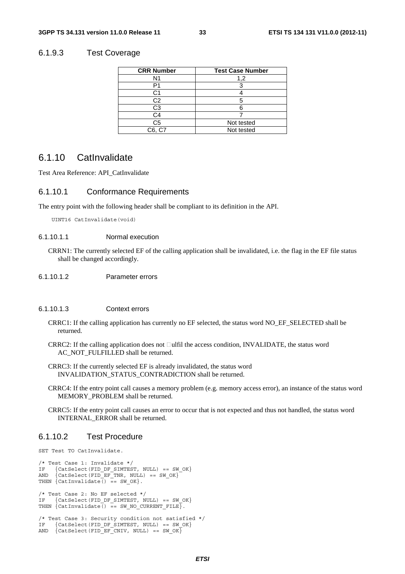#### 6.1.9.3 Test Coverage

| <b>CRR Number</b> | <b>Test Case Number</b> |
|-------------------|-------------------------|
| N <sub>1</sub>    | 1,2                     |
| Ρ1                |                         |
| ි1                |                         |
| C2                |                         |
| C3                |                         |
| C4                |                         |
| C <sub>5</sub>    | Not tested              |
| C6, C7            | Not tested              |

### 6.1.10 CatInvalidate

Test Area Reference: API\_CatInvalidate

#### 6.1.10.1 Conformance Requirements

The entry point with the following header shall be compliant to its definition in the API.

UINT16 CatInvalidate(void)

#### 6.1.10.1.1 Normal execution

CRRN1: The currently selected EF of the calling application shall be invalidated, i.e. the flag in the EF file status shall be changed accordingly.

6.1.10.1.2 Parameter errors

#### 6.1.10.1.3 Context errors

- CRRC1: If the calling application has currently no EF selected, the status word NO\_EF\_SELECTED shall be returned.
- CRRC2: If the calling application does not  $\Box$ ulfil the access condition, INVALIDATE, the status word AC\_NOT\_FULFILLED shall be returned.
- CRRC3: If the currently selected EF is already invalidated, the status word INVALIDATION\_STATUS\_CONTRADICTION shall be returned.
- CRRC4: If the entry point call causes a memory problem (e.g. memory access error), an instance of the status word MEMORY\_PROBLEM shall be returned.
- CRRC5: If the entry point call causes an error to occur that is not expected and thus not handled, the status word INTERNAL\_ERROR shall be returned.

#### 6.1.10.2 Test Procedure

```
SET Test TO CatInvalidate.
```

```
/* Test Case 1: Invalidate */IF \{Catselect(FID\_DF\_SIMTEST, NULL\} = SW_OOK\}<br>AND \{CatsElect(FID\_RF\_TNR, NIII.I)\} = SW_OK\{Catselect(FID_EF_TNR, NULL) == SW_OK\}THEN \{CatInvaliate() = sw_OK\}./* Test Case 2: No EF selected */ 
IF {CatSelect(FID_DF_SIMTEST, NULL) == SW_OK} 
THEN \overline{C} CatInvalidate() == SW NO CURRENT FILE\overline{C}.
/* Test Case 3: Security condition not satisfied */ 
IF {CatSelect(FID DF SIMTEST, NULL) == SW OK}
AND \{Catselect(FID EF CNIV, NULL) == SW OK\}
```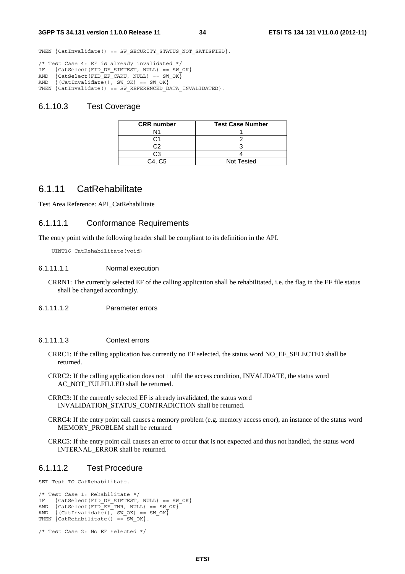THEN {CatInvalidate() == SW SECURITY STATUS NOT SATISFIED}.

```
/* Test Case 4: EF is already invalidated */ 
IF {CatSelect(FID_DF_SIMTEST, NULL) == SW_OK} 
AND \{Catselect(FID\_EF\_CARU, NULL\} = = SW_OK\}AND \{ (CatInvalidate(), SW OK) == SW OK\}THEN \overline{C} (CatInvalidate() == SW REFERENCED DATA INVALIDATED).
```
#### 6.1.10.3 Test Coverage

| <b>CRR</b> number | <b>Test Case Number</b> |
|-------------------|-------------------------|
|                   |                         |
|                   |                         |
|                   |                         |
| ۰,                |                         |
| C4. C5            | <b>Not Tested</b>       |

### 6.1.11 CatRehabilitate

Test Area Reference: API\_CatRehabilitate

#### 6.1.11.1 Conformance Requirements

The entry point with the following header shall be compliant to its definition in the API.

UINT16 CatRehabilitate(void)

#### 6.1.11.1.1 Normal execution

- CRRN1: The currently selected EF of the calling application shall be rehabilitated, i.e. the flag in the EF file status shall be changed accordingly.
- 6.1.11.1.2 Parameter errors

#### 6.1.11.1.3 Context errors

- CRRC1: If the calling application has currently no EF selected, the status word NO\_EF\_SELECTED shall be returned.
- $CRRC2$ : If the calling application does not  $\Box$ ulfil the access condition, INVALIDATE, the status word AC\_NOT\_FULFILLED shall be returned.
- CRRC3: If the currently selected EF is already invalidated, the status word INVALIDATION\_STATUS\_CONTRADICTION shall be returned.
- CRRC4: If the entry point call causes a memory problem (e.g. memory access error), an instance of the status word MEMORY\_PROBLEM shall be returned.
- CRRC5: If the entry point call causes an error to occur that is not expected and thus not handled, the status word INTERNAL\_ERROR shall be returned.

#### 6.1.11.2 Test Procedure

SET Test TO CatRehabilitate.

```
/* Test Case 1: Rehabilitate */ 
IF {CatSelect(FID DF SIMTEST, NULL) == SW OK}
AND \{Catselect(FID EF TNR, NULL) == SW OK\}AND {(CatInvalidate(), SW_OK) == SW_OK} 
THEN {CatRehabilitate() == SW OK}.
```

```
/* Test Case 2: No EF selected */
```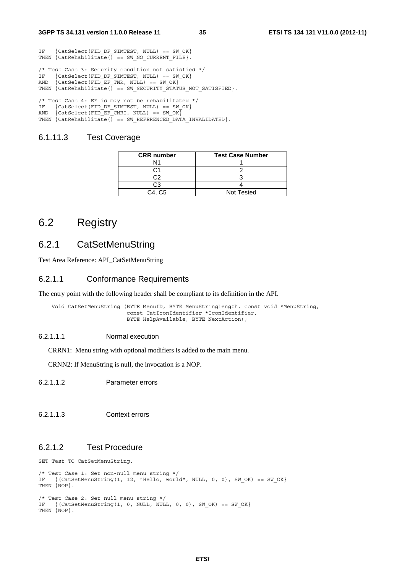IF {CatSelect(FID DF SIMTEST, NULL) == SW OK}

```
THEN \{CatRehabilitate() == SWNO CURRENT FILE\}./* Test Case 3: Security condition not satisfied */ 
IF {CatSelect(FID_DF_SIMTEST, NULL) == SW_QOK}<br>AND {CatSelect(FID_EF_TNR, NULL) == SW_QOK}
     \{Catselect(FID\_EF\_TNR, NULL\} = SW_OK\}THEN \{ CatRehabilitate() == SW_SECURITY_STATUS_NOT_SATISFIED}.
/* Test Case 4: EF is may not be rehabilitated */ 
IF {CatSelect(FID DF SIMTEST, NULL) == SW OK}
AND \{Catselect(FID EF CNRI, NULL) == SW OK\}
```
#### THEN  ${Catehabilitate() = = SW REFERENCED DATA INVALIDATED}.$

#### 6.1.11.3 Test Coverage

| <b>CRR</b> number | <b>Test Case Number</b> |
|-------------------|-------------------------|
| N1                |                         |
|                   |                         |
| ^י                |                         |
| CЗ                |                         |
| C4. C5            | <b>Not Tested</b>       |

# 6.2 Registry

# 6.2.1 CatSetMenuString

Test Area Reference: API\_CatSetMenuString

#### 6.2.1.1 Conformance Requirements

The entry point with the following header shall be compliant to its definition in the API.

Void CatSetMenuString (BYTE MenuID, BYTE MenuStringLength, const void \*MenuString, const CatIconIdentifier \*IconIdentifier, BYTE HelpAvailable, BYTE NextAction);

#### 6.2.1.1.1 Normal execution

CRRN1: Menu string with optional modifiers is added to the main menu.

CRNN2: If MenuString is null, the invocation is a NOP.

#### 6.2.1.1.2 Parameter errors

6.2.1.1.3 Context errors

### 6.2.1.2 Test Procedure

SET Test TO CatSetMenuString.

```
/* Test Case 1: Set non-null menu string */ 
IF \{ (CatSetMenuString(1, 12, "Hello, world", NULL, 0, 0), SW OK) == SW OK}
THEN {NOP}. 
/* Test Case 2: Set null menu string */ 
IF \{ (CatSetMenuString(1, 0, NULL, NULL, 0, 0), SW OK) == SW OK\}THEN {NOP}.
```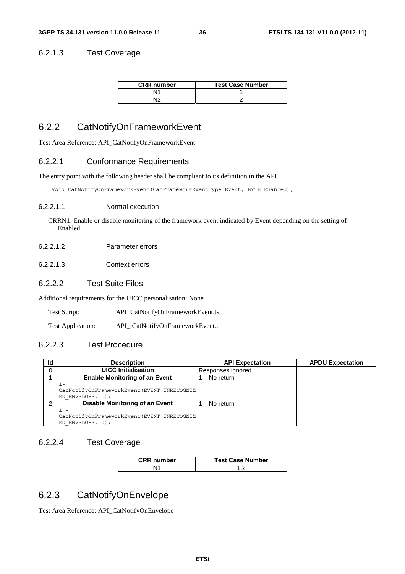### 6.2.1.3 Test Coverage

| <b>CRR</b> number | <b>Test Case Number</b> |
|-------------------|-------------------------|
| Ν١                |                         |
| ١r                |                         |

# 6.2.2 CatNotifyOnFrameworkEvent

Test Area Reference: API\_CatNotifyOnFrameworkEvent

### 6.2.2.1 Conformance Requirements

The entry point with the following header shall be compliant to its definition in the API.

Void CatNotifyOnFrameworkEvent(CatFrameworkEventType Event, BYTE Enabled);

#### 6.2.2.1.1 Normal execution

CRRN1: Enable or disable monitoring of the framework event indicated by Event depending on the setting of Enabled.

- 6.2.2.1.2 Parameter errors
- 6.2.2.1.3 Context errors

### 6.2.2.2 Test Suite Files

Additional requirements for the UICC personalisation: None

Test Script: API\_CatNotifyOnFrameworkEvent.tst

Test Application: API\_ CatNotifyOnFrameworkEvent.c

### 6.2.2.3 Test Procedure

| Id | <b>Description</b>                                                    | <b>API Expectation</b> | <b>APDU Expectation</b> |
|----|-----------------------------------------------------------------------|------------------------|-------------------------|
| 0  | <b>UICC Initialisation</b>                                            | Responses ignored.     |                         |
|    | <b>Enable Monitoring of an Event</b>                                  | $-$ No return          |                         |
|    | 1-<br>CatNotifyOnFrameworkEvent (EVENT UNRECOGNIZ<br>ED ENVELOPE, 1); |                        |                         |
| 2  | <b>Disable Monitoring of an Event</b>                                 | - No return            |                         |
|    |                                                                       |                        |                         |
|    | CatNotifyOnFrameworkEvent (EVENT UNRECOGNIZ                           |                        |                         |
|    | ED ENVELOPE, 0);                                                      |                        |                         |

### 6.2.2.4 Test Coverage

| <b>CRR</b> number | <b>Test Case Number</b> |
|-------------------|-------------------------|
|                   |                         |

# 6.2.3 CatNotifyOnEnvelope

Test Area Reference: API\_CatNotifyOnEnvelope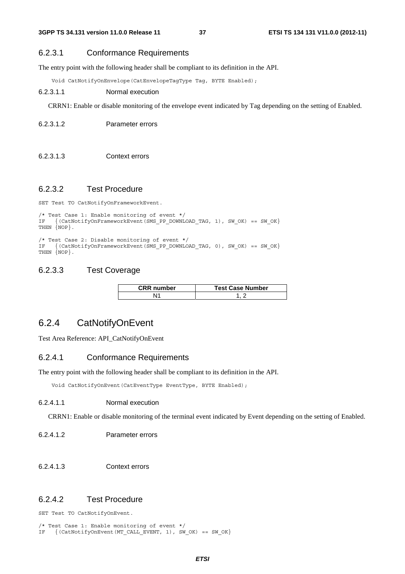### 6.2.3.1 Conformance Requirements

The entry point with the following header shall be compliant to its definition in the API.

Void CatNotifyOnEnvelope(CatEnvelopeTagType Tag, BYTE Enabled);

#### 6.2.3.1.1 Normal execution

CRRN1: Enable or disable monitoring of the envelope event indicated by Tag depending on the setting of Enabled.

6.2.3.1.2 Parameter errors

6.2.3.1.3 Context errors

### 6.2.3.2 Test Procedure

SET Test TO CatNotifyOnFrameworkEvent.

```
/* Test Case 1: Enable monitoring of event */ 
    \{(CatNotifyOnFrameworkEvent(SMS PP-DOWNLOAD TAG, 1), SWOK) == SW OK\}THEN \{NOP\}.
```

```
/* Test Case 2: Disable monitoring of event */ 
IF {(CatNotifyOnFrameworkEvent(SMS_PP_DOWNLOAD_TAG, 0), SW_OK) == SW_OK} 
THEN {NOP}.
```
### 6.2.3.3 Test Coverage

| <b>CRR</b> number | <b>Test Case Number</b> |
|-------------------|-------------------------|
|                   |                         |

# 6.2.4 CatNotifyOnEvent

Test Area Reference: API\_CatNotifyOnEvent

### 6.2.4.1 Conformance Requirements

The entry point with the following header shall be compliant to its definition in the API.

Void CatNotifyOnEvent(CatEventType EventType, BYTE Enabled);

### 6.2.4.1.1 Normal execution

CRRN1: Enable or disable monitoring of the terminal event indicated by Event depending on the setting of Enabled.

- 6.2.4.1.2 Parameter errors
- 6.2.4.1.3 Context errors

### 6.2.4.2 Test Procedure

SET Test TO CatNotifyOnEvent.

```
/* Test Case 1: Enable monitoring of event */ 
IF {(CatNotifyOnEvent(MT_CALL_EVENT, 1), SW_OK) == SW_OK}
```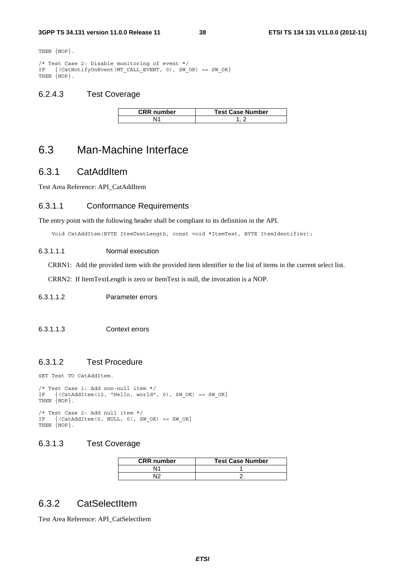THEN  $\{NOP\}$ .

```
/* Test Case 2: Disable monitoring of event */ 
IF {(CatNotifyOnEvent(MT_CALL_EVENT, 0), SW_OK) == SW_OK} 
THEN \{NOP\}.
```
## 6.2.4.3 Test Coverage

| <b>CRR</b> number | <b>Test Case Number</b> |
|-------------------|-------------------------|
|                   |                         |

# 6.3 Man-Machine Interface

# 6.3.1 CatAddItem

Test Area Reference: API\_CatAddItem

## 6.3.1.1 Conformance Requirements

The entry point with the following header shall be compliant to its definition in the API.

Void CatAddItem(BYTE ItemTextLength, const void \*ItemText, BYTE ItemIdentifier);

#### 6.3.1.1.1 Normal execution

CRRN1: Add the provided item with the provided item identifier to the list of items in the current select list.

CRRN2: If ItemTextLength is zero or ItemText is null, the invocation is a NOP.

### 6.3.1.1.2 Parameter errors

#### 6.3.1.1.3 Context errors

### 6.3.1.2 Test Procedure

SET Test TO CatAddItem.

```
/* Test Case 1: Add non-null item */ 
IF \{(\text{CatAddItem}(12, "Hello, world", 0), SW OK) == SW OK\}THEN {NOP}. 
/* Test Case 2: Add null item */
```
#### IF  $\{(\text{CatAddItem}(0, NULL, 0), \text{SW OK}) == \text{SW OK}\}\$ THEN {NOP}.

### 6.3.1.3 Test Coverage

| <b>CRR</b> number | <b>Test Case Number</b> |
|-------------------|-------------------------|
| N۲                |                         |
|                   |                         |

# 6.3.2 CatSelectItem

Test Area Reference: API\_CatSelectItem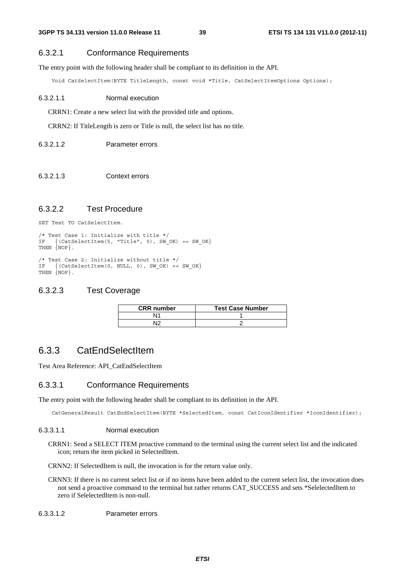### 6.3.2.1 Conformance Requirements

The entry point with the following header shall be compliant to its definition in the API.

Void CatSelectItem(BYTE TitleLength, const void \*Title, CatSelectItemOptions Options);

#### 6.3.2.1.1 Normal execution

CRRN1: Create a new select list with the provided title and options.

CRRN2: If TitleLength is zero or Title is null, the select list has no title.

#### 6.3.2.1.2 Parameter errors

6.3.2.1.3 Context errors

## 6.3.2.2 Test Procedure

SET Test TO CatSelectItem.

```
/* Test Case 1: Initialize with title */ 
IF {(CatSelectItem(5, "Title", 0), SW_OK) == SW_OK} 
THEN {NOP}.
```

```
/* Test Case 2: Initialize without title */ 
IF \{ (CatSelectItem(0, NULL, 0), SW OK) == SW OK\}THEN {NOP}.
```
### 6.3.2.3 Test Coverage

| <b>CRR</b> number | <b>Test Case Number</b> |
|-------------------|-------------------------|
| Ν1                |                         |
| NΙC               |                         |

## 6.3.3 CatEndSelectItem

Test Area Reference: API\_CatEndSelectItem

### 6.3.3.1 Conformance Requirements

The entry point with the following header shall be compliant to its definition in the API.

CatGeneralResult CatEndSelectItem(BYTE \*SelectedItem, const CatIconIdentifier \*IconIdentifier);

#### 6.3.3.1.1 Normal execution

CRRN1: Send a SELECT ITEM proactive command to the terminal using the current select list and the indicated icon; return the item picked in SelectedItem.

CRNN2: If SelectedItem is null, the invocation is for the return value only.

CRNN3: If there is no current select list or if no items have been added to the current select list, the invocation does not send a proactive command to the terminal but rather returns CAT\_SUCCESS and sets \*SelelectedItem to zero if SelelectedItem is non-null.

6.3.3.1.2 Parameter errors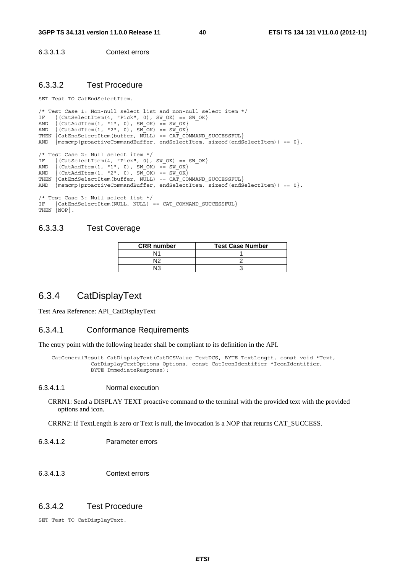6.3.3.1.3 Context errors

### 6.3.3.2 Test Procedure

SET Test TO CatEndSelectItem.

```
/* Test Case 1: Non-null select list and non-null select item */<br>IF {(CatSelectItem(4. "Pick", 0), SW OK) == SW OK}
IF \{(CatselectItem(4, "Pick", 0), SW OK) == SW OK\}AND \{(CatAddItem(1, "1", 0), SWOK) == SWOK\}AND \{(CatAddItem(1, "2", 0), SWOK) == SWOK\}THEN \{CatEndSelectItem(butter, NULL) == CATCOMMAND SUCCESSFUL\}AND \{ memcmp(proactiveCommandBuffer, endSelectItem, sizeof(endSelectItem)) == 0\}.
/* Test Case 2: Null select item */ 
IF \{(\text{CatSelectItem}(4, "Pick", 0), SW OK) == SW OK}\}AND \{(CatAddItem(1, "1", 0), SWOK) == SWOK\}AND \{(CatAddItem(1, "2", 0), SWOK) == SWOK\}THEN {CatEndSelectItem(buffer, NULL) == CAT_COMMAND_SUCCESSFUL} 
AND \{\text{memcmp}(\text{proactiveCommandBuffer}, \text{endSelectItem}, \text{sizeof}(\text{endSelectItem})\}) = 0\}./* Test Case 3: Null select list */ 
IF {CatEndSelectItem(NULL, NULL) == CAT_COMMAND_SUCCESSFUL} 
THEN {NOP}.
```
## 6.3.3.3 Test Coverage

| <b>CRR</b> number | <b>Test Case Number</b> |
|-------------------|-------------------------|
|                   |                         |
| ۱٥                |                         |
| ı٥                |                         |

# 6.3.4 CatDisplayText

Test Area Reference: API\_CatDisplayText

#### 6.3.4.1 Conformance Requirements

The entry point with the following header shall be compliant to its definition in the API.

 CatGeneralResult CatDisplayText(CatDCSValue TextDCS, BYTE TextLength, const void \*Text, CatDisplayTextOptions Options, const CatIconIdentifier \*IconIdentifier, BYTE ImmediateResponse);

#### 6.3.4.1.1 Normal execution

CRRN1: Send a DISPLAY TEXT proactive command to the terminal with the provided text with the provided options and icon.

CRRN2: If TextLength is zero or Text is null, the invocation is a NOP that returns CAT\_SUCCESS.

- 6.3.4.1.2 Parameter errors
- 6.3.4.1.3 Context errors

### 6.3.4.2 Test Procedure

SET Test TO CatDisplayText.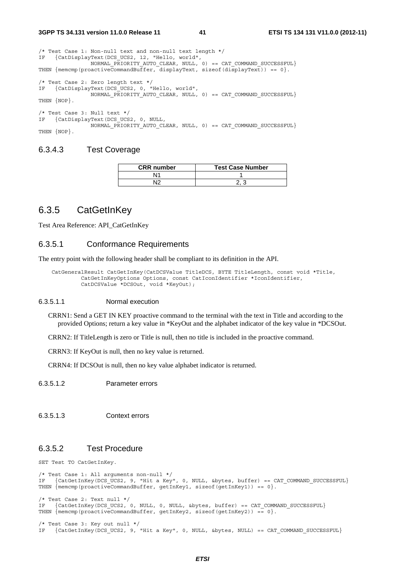| /* Test Case 1: Non-null text and non-null text length $*/$                                                                                                                               |
|-------------------------------------------------------------------------------------------------------------------------------------------------------------------------------------------|
| IF $\{CatDisplayText(DCS UCS2, 12, "Hello, world",\}$                                                                                                                                     |
| NORMAL PRIORITY AUTO CLEAR, NULL, $0$ ) == CAT COMMAND SUCCESSFUL<br>THEN $\{\text{memcmp}(\text{proactiveCommandBuffer}, \text{displayText}, \text{sizeof}(\text{displayText})) == 0\}.$ |
| /* Test Case 2: Zero length text */                                                                                                                                                       |
| IF {CatDisplayText(DCS UCS2, 0, "Hello, world",                                                                                                                                           |
| NORMAL PRIORITY AUTO CLEAR, NULL, $0$ ) == CAT COMMAND SUCCESSFUL}                                                                                                                        |
| THEN {NOP}.                                                                                                                                                                               |
| $/*$ Test Case 3: Null text */                                                                                                                                                            |
| IF {CatDisplayText(DCS UCS2, 0, NULL,                                                                                                                                                     |
| NORMAL PRIORITY AUTO CLEAR, NULL, $0$ ) == CAT COMMAND SUCCESSFUL}                                                                                                                        |
| THEN {NOP}.                                                                                                                                                                               |

#### 6.3.4.3 Test Coverage

| <b>CRR</b> number | <b>Test Case Number</b> |
|-------------------|-------------------------|
|                   |                         |
| רו                |                         |

## 6.3.5 CatGetInKey

Test Area Reference: API\_CatGetInKey

### 6.3.5.1 Conformance Requirements

The entry point with the following header shall be compliant to its definition in the API.

CatGeneralResult CatGetInKey(CatDCSValue TitleDCS, BYTE TitleLength, const void \*Title, CatGetInKeyOptions Options, const CatIconIdentifier \*IconIdentifier, CatDCSValue \*DCSOut, void \*KeyOut);

#### 6.3.5.1.1 Normal execution

CRRN1: Send a GET IN KEY proactive command to the terminal with the text in Title and according to the provided Options; return a key value in \*KeyOut and the alphabet indicator of the key value in \*DCSOut.

CRRN2: If TitleLength is zero or Title is null, then no title is included in the proactive command.

CRRN3: If KeyOut is null, then no key value is returned.

CRRN4: If DCSOut is null, then no key value alphabet indicator is returned.

6.3.5.1.2 Parameter errors

6.3.5.1.3 Context errors

### 6.3.5.2 Test Procedure

SET Test TO CatGetInKey.

```
/* Test Case 1: All arguments non-null */ 
IF {CatGetInKey(DCS_UCS2, 9, "Hit a Key", 0, NULL, &bytes, buffer) == CAT_COMMAND_SUCCESSFUL} 
THEN { (memcmp(proactiveCommandBuffer, getInKey1, sizeof(getInKey1)) == 0}.
/* Test Case 2: Text null */<br>IF {CatGatInKey(DCS, HCS)}{CateetInKey(DCS UCS2, 0, NULL, 0, NULL, 0, buffer) = CATCOMMAND SUCCESSFUL}THEN {memcmp(proactiveCommandBuffer, qetInKey2, sizeof(qetInKey2)) == 0}.
/* Test Case 3: Key out null */ 
IF {CatGetInKey(DCS_UCS2, 9, "Hit a Key", 0, NULL, &bytes, NULL) == CAT_COMMAND_SUCCESSFUL}
```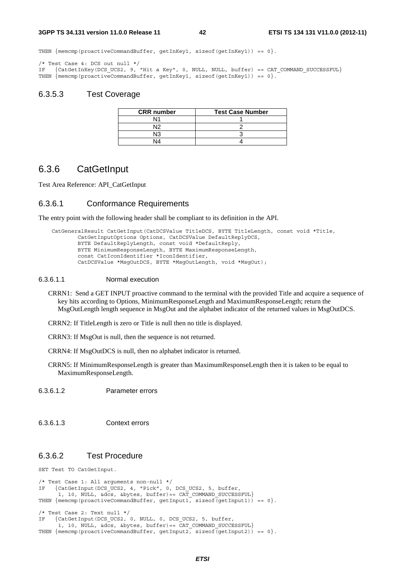THEN  ${$  memcmp(proactiveCommandBuffer, getInKey1, sizeof(getInKey1)) == 0 $}$ .

/\* Test Case 4: DCS out null \*/ IF {CatGetInKey(DCS\_UCS2, 9, "Hit a Key", 0, NULL, NULL, buffer) == CAT\_COMMAND\_SUCCESSFUL} THEN  ${meump(proactiveCommandBuffer, getInKey1, sizeof(getInKey1)) == 0}.$ 

### 6.3.5.3 Test Coverage

| <b>CRR</b> number | <b>Test Case Number</b> |
|-------------------|-------------------------|
| ۱1                |                         |
| N۱つ               |                         |
| NЗ                |                         |
| JΔ                |                         |

# 6.3.6 CatGetInput

Test Area Reference: API\_CatGetInput

#### 6.3.6.1 Conformance Requirements

The entry point with the following header shall be compliant to its definition in the API.

```
 CatGeneralResult CatGetInput(CatDCSValue TitleDCS, BYTE TitleLength, const void *Title, 
         CatGetInputOptions Options, CatDCSValue DefaultReplyDCS, 
         BYTE DefaultReplyLength, const void *DefaultReply, 
         BYTE MinimumResponseLength, BYTE MaximumResponseLength, 
         const CatIconIdentifier *IconIdentifier, 
         CatDCSValue *MsgOutDCS, BYTE *MsgOutLength, void *MsgOut);
```
#### 6.3.6.1.1 Normal execution

- CRRN1: Send a GET INPUT proactive command to the terminal with the provided Title and acquire a sequence of key hits according to Options, MinimumResponseLength and MaximumResponseLength; return the MsgOutLength length sequence in MsgOut and the alphabet indicator of the returned values in MsgOutDCS.
- CRRN2: If TitleLength is zero or Title is null then no title is displayed.
- CRRN3: If MsgOut is null, then the sequence is not returned.
- CRRN4: If MsgOutDCS is null, then no alphabet indicator is returned.
- CRRN5: If MinimumResponseLength is greater than MaximumResponseLength then it is taken to be equal to MaximumResponseLength.

6.3.6.1.2 Parameter errors

6.3.6.1.3 Context errors

### 6.3.6.2 Test Procedure

SET Test TO CatGetInput.

```
/* Test Case 1: All arguments non-null */ 
IF {CatGetInput(DCS UCS2, 4, "Pick", 0, DCS UCS2, 5, buffer,
      1, 10, NULL, \overline{\&}dcs, \&bytes, buffer) == CAT COMMAND SUCCESSFUL}
THEN {meump(proactiveCommandBuffer, getInput1, sizeof(getInput1)) == 0}./* Test Case 2: Text null */ 
IF {CatGetInput(DCS_UCS2, 0, NULL, 0, DCS_UCS2, 5, buffer, 
       1, 10, NULL, \&dcs, \&bytes, butfer) == \overline{CAT}\_COMMAND\_SUCCESSFUL}THEN { memcmp(\text{proxiveCommandBuffer}, \text{getInput2}, \text{sizeof}(\text{getInput2})) == 0{}.
```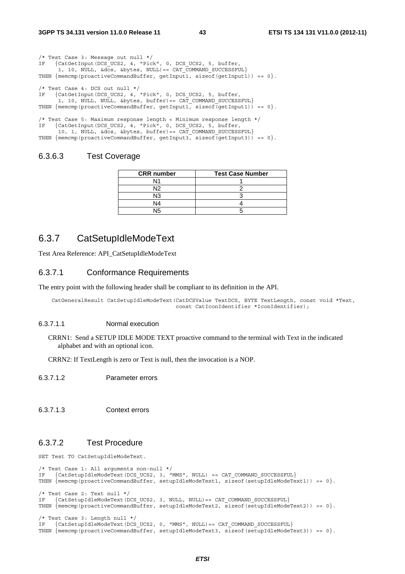| /* Test Case 3: Message out null $*/$<br>IF {CatGetInput(DCS UCS2, 4, "Pick", 0, DCS UCS2, 5, buffer,<br>1, 10, NULL, &dcs, &bytes, NULL) == CAT COMMAND SUCCESSFUL}<br>THEN $\{\text{memcmp}(\text{proactiveCommandBuffer}, \text{getInput1}, \text{sizeof}(\text{getInput1})) == 0\}.$                                  |
|---------------------------------------------------------------------------------------------------------------------------------------------------------------------------------------------------------------------------------------------------------------------------------------------------------------------------|
| /* Test Case 4: DCS out null $*/$<br>IF {CatGetInput(DCS UCS2, 4, "Pick", 0, DCS UCS2, 5, buffer,<br>1, 10, NULL, NULL, &bytes, buffer) == CAT COMMAND SUCCESSFUL}<br>THEN $\{\text{memcmp}(\text{proactiveCommandBuffer}, \text{getInput1}, \text{sizeof}(\text{getInput1})) == 0\}.$                                    |
| /* Test Case 5: Maximum response length < Minimum response length */<br>IF {CatGetInput(DCS UCS2, 4, "Pick", 0, DCS UCS2, 5, buffer,<br>10, 1, NULL, &dcs, &bytes, buffer) == CAT COMMAND SUCCESSFUL}<br>THEN $\{\text{memcmp}(\text{proactiveCommandBuffer}, \text{qetInput3}, \text{sizeof}(\text{qetInput3})) == 0\}.$ |

### 6.3.6.3 Test Coverage

| <b>CRR</b> number | <b>Test Case Number</b> |
|-------------------|-------------------------|
| N11               |                         |
| NIO               |                         |
| N3                |                         |
| N4                |                         |
| N۱F               |                         |

## 6.3.7 CatSetupIdleModeText

Test Area Reference: API\_CatSetupIdleModeText

#### 6.3.7.1 Conformance Requirements

The entry point with the following header shall be compliant to its definition in the API.

```
 CatGeneralResult CatSetupIdleModeText(CatDCSValue TextDCS, BYTE TextLength, const void *Text, 
                                        const CatIconIdentifier *IconIdentifier);
```
#### 6.3.7.1.1 Normal execution

CRRN1: Send a SETUP IDLE MODE TEXT proactive command to the terminal with Text in the indicated alphabet and with an optional icon.

CRRN2: If TextLength is zero or Text is null, then the invocation is a NOP.

6.3.7.1.2 Parameter errors

6.3.7.1.3 Context errors

### 6.3.7.2 Test Procedure

SET Test TO CatSetupIdleModeText.

```
/* Test Case 1: All arguments non-null */ 
IF {CatSetupIdleModeText(DCS_UCS2, 3, "MMS", NULL) == CAT_COMMAND_SUCCESSFUL} 
THEN {memcmp(proactiveCommandBuffer, setupIdleModeText1, sizeof(setupIdleModeText1)) == 0}. 
/* Test Case 2: Text null */ 
IF {CatSetupIdleModeText(DCS_UCS2, 3, NULL, NULL)== CAT_COMMAND_SUCCESSFUL} 
THEN \{\text{memgroup}(product, \text{small})\} = 0\}./* Test Case 3: Length null */ 
IF {CatSetupIdleModeText(DCS_UCS2, 0, "MMS", NULL)== CAT_COMMAND_SUCCESSFUL} 
THEN \{\text{memp}(proxiveCommandBuffer, setupIdleModelText3, sizeof(setupIdleModelText3)) == 0\}.
```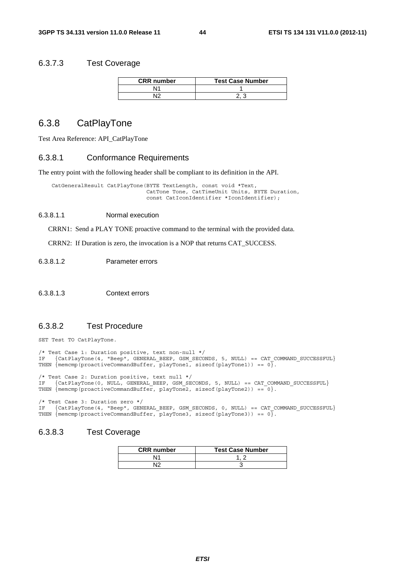### 6.3.7.3 Test Coverage

| <b>CRR</b> number | <b>Test Case Number</b> |
|-------------------|-------------------------|
|                   |                         |
|                   |                         |

# 6.3.8 CatPlayTone

Test Area Reference: API\_CatPlayTone

#### 6.3.8.1 Conformance Requirements

The entry point with the following header shall be compliant to its definition in the API.

 CatGeneralResult CatPlayTone(BYTE TextLength, const void \*Text, CatTone Tone, CatTimeUnit Units, BYTE Duration, const CatIconIdentifier \*IconIdentifier);

#### 6.3.8.1.1 Normal execution

CRRN1: Send a PLAY TONE proactive command to the terminal with the provided data.

CRRN2: If Duration is zero, the invocation is a NOP that returns CAT\_SUCCESS.

6.3.8.1.2 Parameter errors

#### 6.3.8.1.3 Context errors

## 6.3.8.2 Test Procedure

SET Test TO CatPlayTone.

/\* Test Case 1: Duration positive, text non-null \*/ IF {CatPlayTone(4, "Beep", GENERAL\_BEEP, GSM\_SECONDS, 5, NULL) == CAT\_COMMAND\_SUCCESSFUL} THEN {memcmp(proactiveCommandBuffer, playTone1, sizeof(playTone1)) == 0}.

/\* Test Case 2: Duration positive, text null \*/  ${CatPlayTone(0, NULL, GENERAL_BEEP, GSM\_SECONDS, 5, NULL}$  == CAT COMMAND SUCCESSFUL} THEN  ${$  (memcmp(proactiveCommandBuffer, playTone2, sizeof(playTone2)) ==  $0$ .

/\* Test Case 3: Duration zero \*/ IF {CatPlayTone(4, "Beep", GENERAL\_BEEP, GSM\_SECONDS, 0, NULL) == CAT\_COMMAND\_SUCCESSFUL} THEN {memcmp(proactiveCommandBuffer, playTone3, sizeof(playTone3)) == 0}.

### 6.3.8.3 Test Coverage

| <b>CRR</b> number | <b>Test Case Number</b> |
|-------------------|-------------------------|
| ۱1                |                         |
| 10۰               |                         |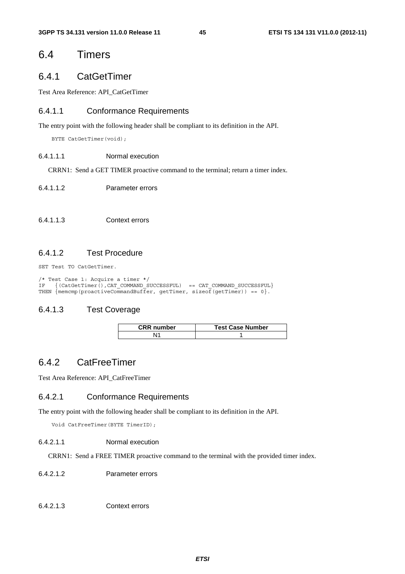# 6.4 Timers

# 6.4.1 CatGetTimer

Test Area Reference: API\_CatGetTimer

### 6.4.1.1 Conformance Requirements

The entry point with the following header shall be compliant to its definition in the API.

BYTE CatGetTimer(void);

#### 6.4.1.1.1 Normal execution

CRRN1: Send a GET TIMER proactive command to the terminal; return a timer index.

### 6.4.1.1.2 Parameter errors

#### 6.4.1.1.3 Context errors

### 6.4.1.2 Test Procedure

SET Test TO CatGetTimer.

```
/* Test Case 1: Acquire a timer */ 
IF \{(\text{CatGetTimer}(),\text{CAT } \text{COMMAND } \text{SUCESSFUL}) \ == \text{CAT } \text{COMMAND } \text{SUCESSFUL}\}THEN {\overline{\{\text{memcmp}(\text{proactiveCommandBuffer, getTimer, sizeof (getTimer)) = 0\}}}.
```
## 6.4.1.3 Test Coverage

| <b>CRR</b> number | <b>Test Case Number</b> |
|-------------------|-------------------------|
|                   |                         |

# 6.4.2 CatFreeTimer

Test Area Reference: API\_CatFreeTimer

### 6.4.2.1 Conformance Requirements

The entry point with the following header shall be compliant to its definition in the API.

Void CatFreeTimer(BYTE TimerID);

#### 6.4.2.1.1 Normal execution

CRRN1: Send a FREE TIMER proactive command to the terminal with the provided timer index.

6.4.2.1.2 Parameter errors

```
6.4.2.1.3 Context errors
```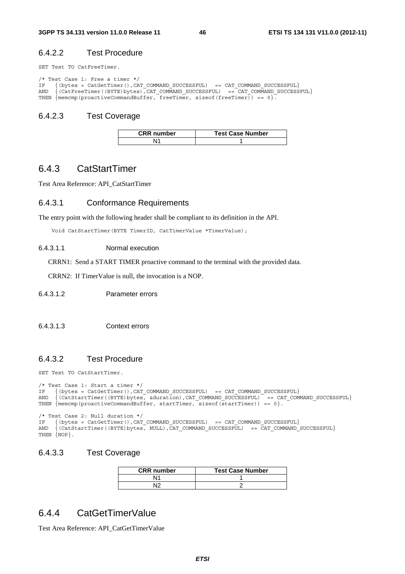### 6.4.2.2 Test Procedure

SET Test TO CatFreeTimer.

```
/* Test Case 1: Free a timer */ 
IF \{(\text{bytes} = \text{CatGetTimer}(), \text{CAT} \text{COMMAND} \text{ SUCCESSFUL}) == \text{CAT} \text{COMMAND} \text{ SUCCESSFUL}\}AND \{ (CatFreeTimer((BYTE)bytes), CAT_COMMAND_SUCCESSFUL) == CAT_COMMAND_SUCCESSFUL}
THEN \{\text{mememp}(\text{proactiveCommandBuffer}, \text{freeTimer}, \text{sizeof}(\text{freeTimer})\}) = 0\}.
```
## 6.4.2.3 Test Coverage

| <b>CRR</b> number | <b>Test Case Number</b> |
|-------------------|-------------------------|
|                   |                         |

# 6.4.3 CatStartTimer

Test Area Reference: API\_CatStartTimer

### 6.4.3.1 Conformance Requirements

The entry point with the following header shall be compliant to its definition in the API.

Void CatStartTimer(BYTE TimerID, CatTimerValue \*TimerValue);

#### 6.4.3.1.1 Normal execution

CRRN1: Send a START TIMER proactive command to the terminal with the provided data.

CRRN2: If TimerValue is null, the invocation is a NOP.

- 6.4.3.1.2 Parameter errors
- 6.4.3.1.3 Context errors

### 6.4.3.2 Test Procedure

SET Test TO CatStartTimer.

```
/* Test Case 1: Start a timer */ 
IF \{(\text{bytes} = \text{CatGetTimer}(), \text{CAT} \text{COMMAND} \text{SUCCESFUL}) = \text{CAT} \text{COMMAND} \text{SUCCESFUL}\}AND {(CatStartTimer((BYTE)bytes, &duration),CAT_COMMAND_SUCCESSFUL) == CAT_COMMAND_SUCCESSFUL} 
THEN {memcmp(proactiveCommandBuffer, startTimer, sizeof(startTimer)) == 0}. 
/* Test Case 2: Null duration */<br>IF {(bytes = CatGetTimer() CAT
IF \{(\text{bytes} = \text{CatGetTimer}(), \text{CAT} \text{COMMAND} \text{SUCCESFUL}) = \text{CAT} \text{COMMAND} \text{SUCCESFUL}\}AND {(CatStartTimer((BYTE)bytes, NULL),CAT_COMMAND_SUCCESSFUL) == CAT_COMMAND_SUCCESSFUL}
THEN \{NOP\}.
```
### 6.4.3.3 Test Coverage

| <b>CRR</b> number | <b>Test Case Number</b> |
|-------------------|-------------------------|
| N٢                |                         |
| N12               |                         |

## 6.4.4 CatGetTimerValue

Test Area Reference: API\_CatGetTimerValue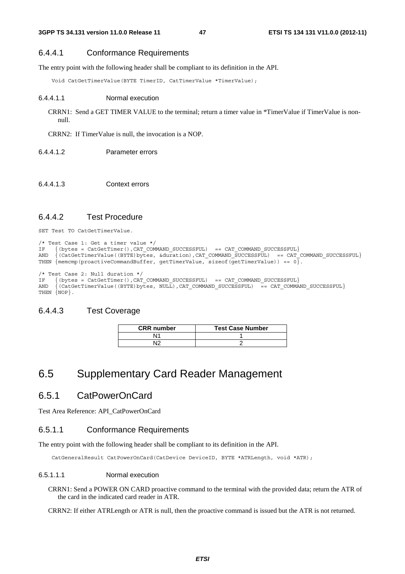## 6.4.4.1 Conformance Requirements

The entry point with the following header shall be compliant to its definition in the API.

Void CatGetTimerValue(BYTE TimerID, CatTimerValue \*TimerValue);

#### 6.4.4.1.1 Normal execution

CRRN1: Send a GET TIMER VALUE to the terminal; return a timer value in \*TimerValue if TimerValue is nonnull.

CRRN2: If TimerValue is null, the invocation is a NOP.

- 6.4.4.1.2 Parameter errors
- 6.4.4.1.3 Context errors

## 6.4.4.2 Test Procedure

SET Test TO CatGetTimerValue.

```
/* Test Case 1: Get a timer value */<br>IF ( (bytes = CatGetTimer().CAT COM
IF \{(\text{bytes} = \text{CatGetTimer}(), \text{CAT} \text{COMMAND} \text{SUCCESFUL}) = \text{CAT} \text{COMMAND} \text{SUCCESFUL}\}AND {(CatGetTimerValue((BYTE)bytes, &duration),CAT_COMMAND_SUCCESSFUL) == CAT_COMMAND_SUCCESSFUL}
THEN {mememp(proactiveCommandBuffer, getTimerValue, sizeof(getTimerValue)) == 0}./* Test Case 2: Null duration */<br>IF ( (bytes = CatGetTimer().CAT
      \{(bytes = CatGetTimer(), CATCOMMAND-SUCCESSFUL) == CATCOMMAND-SUCCESSFUL\}AND \{(\text{CatGetTimerValue}((\text{BYTE})\text{bytes}, \text{NULL}), \text{CAT}\text{COMMAND}\text{ SUCESSFUL}) = \text{CAT}\text{COMMAND}\text{ SUCESSFUL}\}
```
### 6.4.4.3 Test Coverage

THEN  $\{NOP\}$ .

| <b>CRR</b> number | <b>Test Case Number</b> |
|-------------------|-------------------------|
| Ν1                |                         |
| N12               |                         |

# 6.5 Supplementary Card Reader Management

# 6.5.1 CatPowerOnCard

Test Area Reference: API\_CatPowerOnCard

## 6.5.1.1 Conformance Requirements

The entry point with the following header shall be compliant to its definition in the API.

CatGeneralResult CatPowerOnCard(CatDevice DeviceID, BYTE \*ATRLength, void \*ATR);

### 6.5.1.1.1 Normal execution

CRRN1: Send a POWER ON CARD proactive command to the terminal with the provided data; return the ATR of the card in the indicated card reader in ATR.

CRRN2: If either ATRLength or ATR is null, then the proactive command is issued but the ATR is not returned.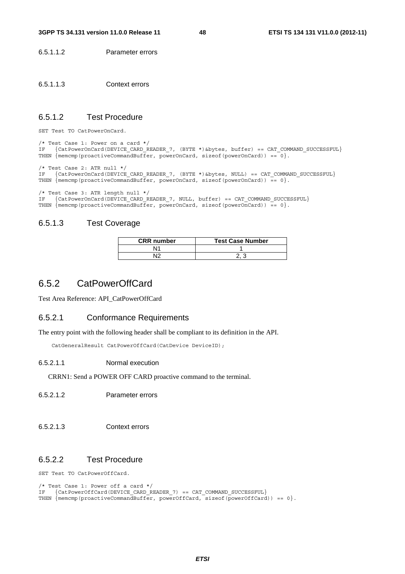6.5.1.1.2 Parameter errors

6.5.1.1.3 Context errors

### 6.5.1.2 Test Procedure

SET Test TO CatPowerOnCard.

```
/* Test Case 1: Power on a card */ 
IF {CatPowerOnCard(DEVICE CARD_READER_7, (BYTE *)&bytes, buffer) == CAT_COMMAND_SUCCESSFUL}
THEN {meump (proactiveCommandBuffer, powerOnCard, sizeof(powerOnCard)) == 0}./* Test Case 2: ATR null */ 
IF {CatPowerOnCard(DEVICE_CARD_READER_7, (BYTE *)&bytes, NULL) == CAT_COMMAND_SUCCESSFUL} 
THEN {memcmp(proactiveCommandBuffer, powerOnCard, sizeof(powerOnCard)) == 0}.
```
/\* Test Case 3: ATR length null \*/

IF {CatPowerOnCard(DEVICE\_CARD\_READER\_7, NULL, buffer) == CAT\_COMMAND\_SUCCESSFUL} THEN  ${memcmp(proactiveCommandBuffer, powerOnCard, sizeof(powerOnCard)) = 0}.$ 

### 6.5.1.3 Test Coverage

| <b>CRR</b> number | <b>Test Case Number</b> |
|-------------------|-------------------------|
| N1                |                         |
| N١C               |                         |

# 6.5.2 CatPowerOffCard

Test Area Reference: API\_CatPowerOffCard

#### 6.5.2.1 Conformance Requirements

The entry point with the following header shall be compliant to its definition in the API.

CatGeneralResult CatPowerOffCard(CatDevice DeviceID);

#### 6.5.2.1.1 Normal execution

CRRN1: Send a POWER OFF CARD proactive command to the terminal.

- 6.5.2.1.2 Parameter errors
- 6.5.2.1.3 Context errors

### 6.5.2.2 Test Procedure

SET Test TO CatPowerOffCard.

```
/* Test Case 1: Power off a card */ 
IF {CatPowerOffCard(DEVICE CARD_READER_7) == CAT_COMMAND_SUCCESSFUL}
THEN {memcmp(proactiveCommandBuffer, powerOffCard, sizeof(powerOffCard)) == 0}.
```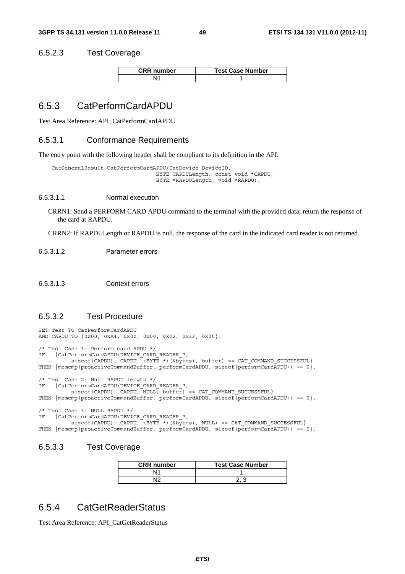### 6.5.2.3 Test Coverage

| <b>CRR</b> number | <b>Test Case Number</b> |
|-------------------|-------------------------|
|                   |                         |

# 6.5.3 CatPerformCardAPDU

Test Area Reference: API\_CatPerformCardAPDU

#### 6.5.3.1 Conformance Requirements

The entry point with the following header shall be compliant to its definition in the API.

```
 CatGeneralResult CatPerformCardAPDU(CatDevice DeviceID, 
                                  BYTE CAPDULength, const void *CAPDU, 
                                  BYTE *RAPDULength, void *RAPDU);
```
6.5.3.1.1 Normal execution

CRRN1: Send a PERFORM CARD APDU command to the terminal with the provided data; return the response of the card at RAPDU.

CRRN2: If RAPDULength or RAPDU is null, the response of the card in the indicated card reader is not returned.

- 6.5.3.1.2 Parameter errors
- 6.5.3.1.3 Context errors

### 6.5.3.2 Test Procedure

SET Test TO CatPerformCardAPDU AND CAPDU TO {0x00, 0xA4, 0x00, 0x00, 0x02, 0x3F, 0x00}. /\* Test Case 1: Perform card APDU \*/ IF {CatPerformCardAPDU(DEVICE\_CARD\_READER\_7, sizeof(CAPDU), CAPDU,  $(BYTE *)(&bytes)$ , buffer) == CAT\_COMMAND\_SUCCESSFUL} THEN  ${meump(proactiveCommandBuffer, performCardAPDU, sizeof(performatAPDU)) == 0}.$ /\* Test Case 2: Null RAPDU length \*/ IF {CatPerformCardAPDU(DEVICE CARD READER 7,  $sizeof(CAPDU)$ ,  $CAPDU$ ,  $NULL$ ,  $buffer$ ) ==  $CAT_{COMMND_{SUCESSFUL}}$ THEN  ${memp(proactiveCommandBuffer, performCardAPDU, sizeof (performCardAPDU)) == 0}.$ /\* Test Case 3: NULL RAPDU \*/ IF {CatPerformCardAPDU(DEVICE CARD READER 7, sizeof(CAPDU), CAPDU,  $(BYTE *)(&bytes)$ , NULL) == CAT COMMAND SUCCESSFUL} THEN  ${memp(proactiveCommandBuffer, performedAPDU, sizeof (performCardAPDU)) = 0}.$ 

### 6.5.3.3 Test Coverage

| <b>CRR</b> number | <b>Test Case Number</b> |
|-------------------|-------------------------|
| N1                |                         |
| N١C               |                         |

# 6.5.4 CatGetReaderStatus

Test Area Reference: API\_CatGetReaderStatus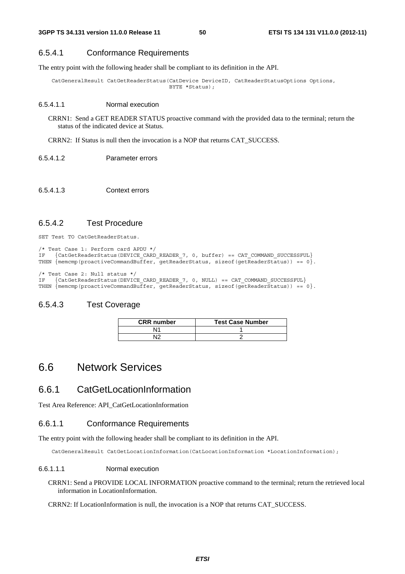### 6.5.4.1 Conformance Requirements

The entry point with the following header shall be compliant to its definition in the API.

 CatGeneralResult CatGetReaderStatus(CatDevice DeviceID, CatReaderStatusOptions Options, BYTE \*Status);

#### 6.5.4.1.1 Normal execution

CRRN1: Send a GET READER STATUS proactive command with the provided data to the terminal; return the status of the indicated device at Status.

CRRN2: If Status is null then the invocation is a NOP that returns CAT\_SUCCESS.

6.5.4.1.2 Parameter errors

### 6.5.4.1.3 Context errors

### 6.5.4.2 Test Procedure

SET Test TO CatGetReaderStatus.

```
/* Test Case 1: Perform card APDU */ 
IF {CatGetReaderStatus(DEVICE_CARD_READER_7, 0, buffer) == CAT_COMMAND_SUCCESSFUL} 
THEN {memcmp(proactiveCommandBuffer, getReaderStatus, sizeof(getReaderStatus)) == 0}. 
/* Test Case 2: Null status */<br>IF {CatGetReaderStatus(DEVIC)
```
 $\{CatGetReaderStatus(DEVICE CARD READER 7, 0, NULL) = CATCOMMAND SUCCESFUL\}$ THEN  ${$  memcmp(proactiveCommandBuffer, getReaderStatus, sizeof(getReaderStatus)) == 0}.

### 6.5.4.3 Test Coverage

| <b>CRR</b> number | <b>Test Case Number</b> |
|-------------------|-------------------------|
|                   |                         |
|                   |                         |

# 6.6 Network Services

# 6.6.1 CatGetLocationInformation

Test Area Reference: API\_CatGetLocationInformation

### 6.6.1.1 Conformance Requirements

The entry point with the following header shall be compliant to its definition in the API.

CatGeneralResult CatGetLocationInformation(CatLocationInformation \*LocationInformation);

#### 6.6.1.1.1 Normal execution

CRRN1: Send a PROVIDE LOCAL INFORMATION proactive command to the terminal; return the retrieved local information in LocationInformation.

CRRN2: If LocationInformation is null, the invocation is a NOP that returns CAT\_SUCCESS.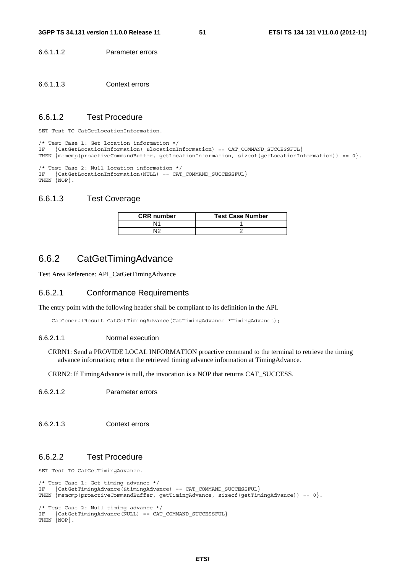6.6.1.1.2 Parameter errors

6.6.1.1.3 Context errors

### 6.6.1.2 Test Procedure

SET Test TO CatGetLocationInformation.

/\* Test Case 1: Get location information \*/ IF {CatGetLocationInformation( &locationInformation) == CAT\_COMMAND\_SUCCESSFUL} THEN {memcmp(proactiveCommandBuffer, getLocationInformation, sizeof(getLocationInformation)) == 0}.

/\* Test Case 2: Null location information \*/ IF {CatGetLocationInformation(NULL) == CAT\_COMMAND\_SUCCESSFUL} THEN {NOP}.

### 6.6.1.3 Test Coverage

| <b>CRR</b> number | <b>Test Case Number</b> |
|-------------------|-------------------------|
| N1                |                         |
| רוא               |                         |

# 6.6.2 CatGetTimingAdvance

Test Area Reference: API\_CatGetTimingAdvance

### 6.6.2.1 Conformance Requirements

The entry point with the following header shall be compliant to its definition in the API.

CatGeneralResult CatGetTimingAdvance(CatTimingAdvance \*TimingAdvance);

#### 6.6.2.1.1 Normal execution

CRRN1: Send a PROVIDE LOCAL INFORMATION proactive command to the terminal to retrieve the timing advance information; return the retrieved timing advance information at TimingAdvance.

CRRN2: If TimingAdvance is null, the invocation is a NOP that returns CAT\_SUCCESS.

- 6.6.2.1.2 Parameter errors
- 6.6.2.1.3 Context errors

### 6.6.2.2 Test Procedure

SET Test TO CatGetTimingAdvance.

```
/* Test Case 1: Get timing advance */ 
IF {CatGetTimingAdvance(&timingAdvance) == CAT COMMAND SUCCESSFUL}
THEN \{\text{memp}(\text{proactiveCommandBuffer}, \text{getTimingAdvance}, \text{sizeof}(\text{getTimingAdvance})) == 0\}.
```

```
/* Test Case 2: Null timing advance */ 
    {CateUimingAdvance(NULL) == CAT_COMMAND SUCCESSFUL}
THEN NOP.
```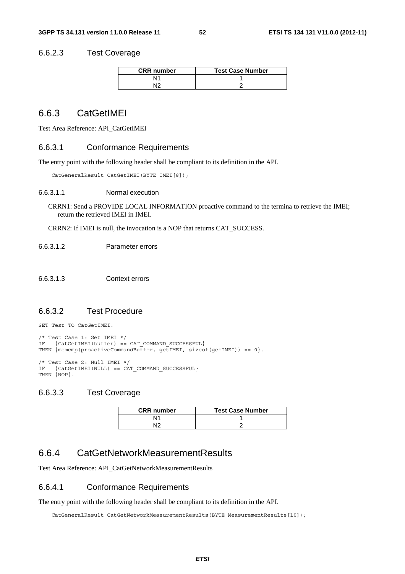### 6.6.2.3 Test Coverage

| <b>CRR</b> number | <b>Test Case Number</b> |
|-------------------|-------------------------|
| ۱1                |                         |
| מו                |                         |

# 6.6.3 CatGetIMEI

Test Area Reference: API\_CatGetIMEI

#### 6.6.3.1 Conformance Requirements

The entry point with the following header shall be compliant to its definition in the API.

CatGeneralResult CatGetIMEI(BYTE IMEI[8]);

#### 6.6.3.1.1 Normal execution

CRRN1: Send a PROVIDE LOCAL INFORMATION proactive command to the termina to retrieve the IMEI; return the retrieved IMEI in IMEI.

CRRN2: If IMEI is null, the invocation is a NOP that returns CAT\_SUCCESS.

6.6.3.1.2 Parameter errors

6.6.3.1.3 Context errors

## 6.6.3.2 Test Procedure

SET Test TO CatGetIMEI.

```
/* Test Case 1: Get IMEI */ 
IF {CatGetIMEI(buffer) == CAT COMMAND SUCCESSFUL}
THEN \{ memcmp(proactiveCommandBuffer, getIMEI, sizeof(getIMEI)) == 0\}.
/* Test Case 2: Null IMEI */<br>IF {CatGetIMEI(NULL) == CA^c{CatedLIMEI(NULL) == CAT\_COMMAND_SUCCESFUL}THEN \{NOP\}.
```
# 6.6.3.3 Test Coverage

| <b>CRR</b> number | <b>Test Case Number</b> |
|-------------------|-------------------------|
| N1                |                         |
| NΙO               |                         |

# 6.6.4 CatGetNetworkMeasurementResults

Test Area Reference: API\_CatGetNetworkMeasurementResults

### 6.6.4.1 Conformance Requirements

The entry point with the following header shall be compliant to its definition in the API.

CatGeneralResult CatGetNetworkMeasurementResults(BYTE MeasurementResults[10]);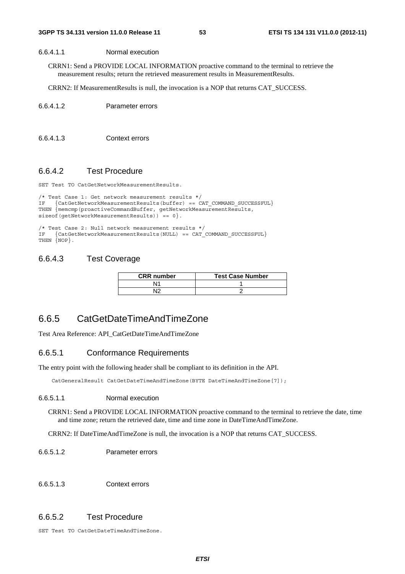### 6.6.4.1.1 Normal execution

CRRN1: Send a PROVIDE LOCAL INFORMATION proactive command to the terminal to retrieve the measurement results; return the retrieved measurement results in MeasurementResults.

CRRN2: If MeasurementResults is null, the invocation is a NOP that returns CAT\_SUCCESS.

```
6.6.4.1.2 Parameter errors
```
6.6.4.1.3 Context errors

## 6.6.4.2 Test Procedure

SET Test TO CatGetNetworkMeasurementResults.

```
/* Test Case 1: Get network measurement results */ 
IF {CatGetNetworkMeasurementResults(buffer) == CAT_COMMAND_SUCCESSFUL} 
THEN {memcmp(proactiveCommandBuffer, getNetworkMeasurementResults, 
sizeof(qetNetworkMeasurementResults)) == 0}.
```

```
/* Test Case 2: Null network measurement results */<br>IF {CatGetNetworkMeasurementResults(NULL) == CAT
     {Cate the two rkmeasurements results(NULL)} = CAT COMMAND SUCCESSFUL
THEN {NOP}.
```
# 6.6.4.3 Test Coverage

| <b>CRR</b> number | <b>Test Case Number</b> |
|-------------------|-------------------------|
| N1                |                         |
|                   |                         |

# 6.6.5 CatGetDateTimeAndTimeZone

Test Area Reference: API\_CatGetDateTimeAndTimeZone

## 6.6.5.1 Conformance Requirements

The entry point with the following header shall be compliant to its definition in the API.

CatGeneralResult CatGetDateTimeAndTimeZone(BYTE DateTimeAndTimeZone[7]);

### 6.6.5.1.1 Normal execution

CRRN1: Send a PROVIDE LOCAL INFORMATION proactive command to the terminal to retrieve the date, time and time zone; return the retrieved date, time and time zone in DateTimeAndTimeZone.

CRRN2: If DateTimeAndTimeZone is null, the invocation is a NOP that returns CAT\_SUCCESS.

### 6.6.5.1.2 Parameter errors

### 6.6.5.1.3 Context errors

## 6.6.5.2 Test Procedure

SET Test TO CatGetDateTimeAndTimeZone.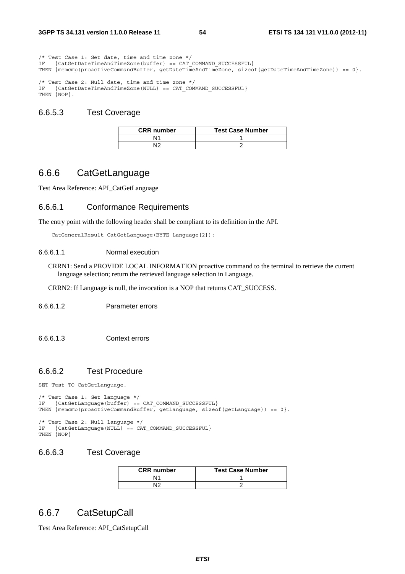/\* Test Case 1: Get date, time and time zone \*/ IF {CatGetDateTimeAndTimeZone(buffer) == CAT\_COMMAND\_SUCCESSFUL} THEN {memcmp(proactiveCommandBuffer, getDateTimeAndTimeZone, sizeof(getDateTimeAndTimeZone)) == 0}. /\* Test Case 2: Null date, time and time zone \*/<br> $TF = \{CatGetDaterimeAndTimeZone(NIII.L) = CAT COM$  $\{CatGetDateTimeAndTimeZone(NULL) == CAT COMMAND SUCCESSFUL\}$ THEN {NOP}.

### 6.6.5.3 Test Coverage

| <b>CRR</b> number | <b>Test Case Number</b> |
|-------------------|-------------------------|
|                   |                         |
|                   |                         |

## 6.6.6 CatGetLanguage

Test Area Reference: API\_CatGetLanguage

### 6.6.6.1 Conformance Requirements

The entry point with the following header shall be compliant to its definition in the API.

```
 CatGeneralResult CatGetLanguage(BYTE Language[2]);
```
#### 6.6.6.1.1 Normal execution

CRRN1: Send a PROVIDE LOCAL INFORMATION proactive command to the terminal to retrieve the current language selection; return the retrieved language selection in Language.

CRRN2: If Language is null, the invocation is a NOP that returns CAT\_SUCCESS.

#### 6.6.6.1.2 Parameter errors

6.6.6.1.3 Context errors

### 6.6.6.2 Test Procedure

SET Test TO CatGetLanguage.

```
/* Test Case 1: Get language */ 
IF {CatGetLanguage(buffer) == CAT COMMAND SUCCESSFUL}
THEN \{\text{memgroup}(proxitiveCommandBuffer, getLanguage, size of (getLanguage)) == 0\}./* Test Case 2: Null language */ 
IF {CatGetLanguage(NULL) == CAT_COMMAND SUCCESSFUL}
```
# 6.6.6.3 Test Coverage

THEN  $\{NOP\}$ 

| <b>CRR</b> number | <b>Test Case Number</b> |
|-------------------|-------------------------|
|                   |                         |
|                   |                         |

# 6.6.7 CatSetupCall

Test Area Reference: API\_CatSetupCall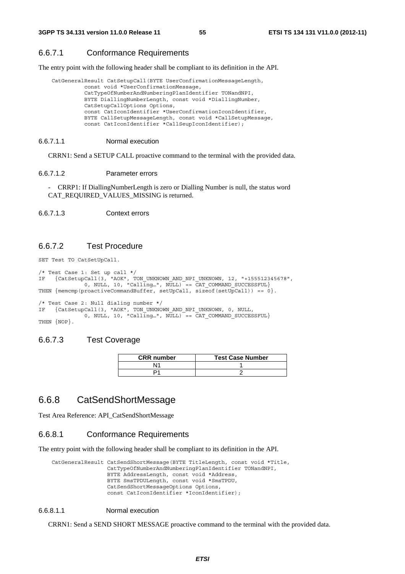### 6.6.7.1 Conformance Requirements

The entry point with the following header shall be compliant to its definition in the API.

```
 CatGeneralResult CatSetupCall(BYTE UserConfirmationMessageLength, 
           const void *UserConfirmationMessage, 
           CatTypeOfNumberAndNumberingPlanIdentifier TONandNPI, 
           BYTE DiallingNumberLength, const void *DiallingNumber, 
           CatSetupCallOptions Options, 
           const CatIconIdentifier *UserConfirmationIconIdentifier, 
           BYTE CallSetupMessageLength, const void *CallSetupMessage, 
           const CatIconIdentifier *CallSeupIconIdentifier);
```
#### 6.6.7.1.1 Normal execution

CRRN1: Send a SETUP CALL proactive command to the terminal with the provided data.

#### 6.6.7.1.2 Parameter errors

- CRRP1: If DiallingNumberLength is zero or Dialling Number is null, the status word CAT\_REQUIRED\_VALUES\_MISSING is returned.

6.6.7.1.3 Context errors

### 6.6.7.2 Test Procedure

SET Test TO CatSetUpCall.

```
/* Test Case 1: Set up call */ 
IF {CatSetupCall(3, "AOK", TON_UNKNOWN_AND_NPI_UNKNOWN, 12, "+155512345678", 
 0, NULL, 10, "Calling…", NULL) == CAT_COMMAND_SUCCESSFUL} 
THEN { memcmp(proactiveCommandBuffer, setUpCall, sizeof(setUpCall)) == 0}.
/* Test Case 2: Null dialing number */ 
IF {CatSetupCall(3, "AOK", TON_UNKNOWN_AND_NPI_UNKNOWN, 0, NULL,
```
0, NULL, 10, "Calling...",  $NULL$ ) == CAT COMMAND SUCCESSFUL} THEN  $\{NOP\}$ .

### 6.6.7.3 Test Coverage

| <b>CRR</b> number | <b>Test Case Number</b> |
|-------------------|-------------------------|
|                   |                         |
|                   |                         |

## 6.6.8 CatSendShortMessage

Test Area Reference: API\_CatSendShortMessage

### 6.6.8.1 Conformance Requirements

The entry point with the following header shall be compliant to its definition in the API.

 CatGeneralResult CatSendShortMessage(BYTE TitleLength, const void \*Title, CatTypeOfNumberAndNumberingPlanIdentifier TONandNPI, BYTE AddressLength, const void \*Address, BYTE SmsTPDULength, const void \*SmsTPDU, CatSendShortMessageOptions Options, const CatIconIdentifier \*IconIdentifier);

#### 6.6.8.1.1 Normal execution

CRRN1: Send a SEND SHORT MESSAGE proactive command to the terminal with the provided data.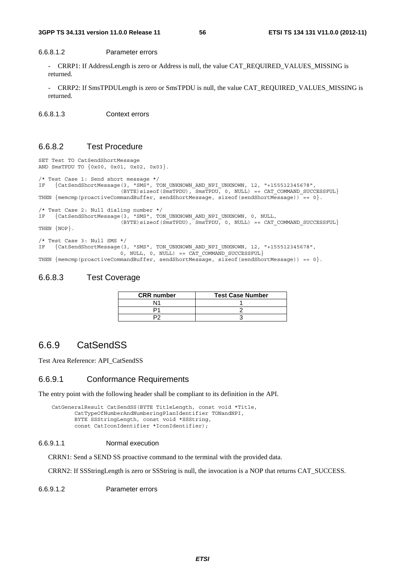### 6.6.8.1.2 Parameter errors

- CRRP1: If AddressLength is zero or Address is null, the value CAT\_REQUIRED\_VALUES\_MISSING is returned.

CRRP2: If SmsTPDULength is zero or SmsTPDU is null, the value CAT\_REQUIRED\_VALUES\_MISSING is returned.

6.6.8.1.3 Context errors

## 6.6.8.2 Test Procedure

```
SET Test TO CatSendShortMessage 
AND SmsTPDU TO {0x00, 0x01, 0x02, 0x03}. 
/* Test Case 1: Send short message */ 
IF {CatSendShortMessage(3, "SMS", TON_UNKNOWN_AND_NPI_UNKNOWN, 12, "+155512345678", 
                        (BYTE)sizeof(SmsTPDU), SmsTPDU, 0, NULL) == CAT COMMAND SUCCESSFUL}
THEN {memcmp(proactiveCommandBuffer, sendShortMessage, sizeof(sendShortMessage)) == 0}.
/* Test Case 2: Null dialing number */ 
IF {CatSendShortMessage(3, "SMS", TON_UNKNOWN_AND_NPI_UNKNOWN, 0, NULL, 
                        (BYTE)sizeof(SmsTPDU), SmsTPDU, 0, NULL) == CAT_COMMAND_SUCCESSFUL}
THEN \{NOP\}.
/* Test Case 3: Null SMS */ 
IF {CatSendShortMessage(3, "SMS", TON_UNKNOWN_AND_NPI_UNKNOWN, 12, "+155512345678", 
0, NULL, 0, NULL) == CAT COMMAND SUCCESSFUL}
```
THEN {memcmp(proactiveCommandBuffer, sendShortMessage, sizeof(sendShortMessage)) == 0}.

### 6.6.8.3 Test Coverage

| <b>CRR</b> number | <b>Test Case Number</b> |
|-------------------|-------------------------|
| N11               |                         |
|                   |                         |
|                   |                         |

## 6.6.9 CatSendSS

Test Area Reference: API\_CatSendSS

#### 6.6.9.1 Conformance Requirements

The entry point with the following header shall be compliant to its definition in the API.

```
 CatGeneralResult CatSendSS(BYTE TitleLength, const void *Title, 
        CatTypeOfNumberAndNumberingPlanIdentifier TONandNPI, 
        BYTE SSStringLength, const void *SSString, 
        const CatIconIdentifier *IconIdentifier);
```
#### 6.6.9.1.1 Normal execution

CRRN1: Send a SEND SS proactive command to the terminal with the provided data.

CRRN2: If SSStringLength is zero or SSString is null, the invocation is a NOP that returns CAT\_SUCCESS.

6.6.9.1.2 Parameter errors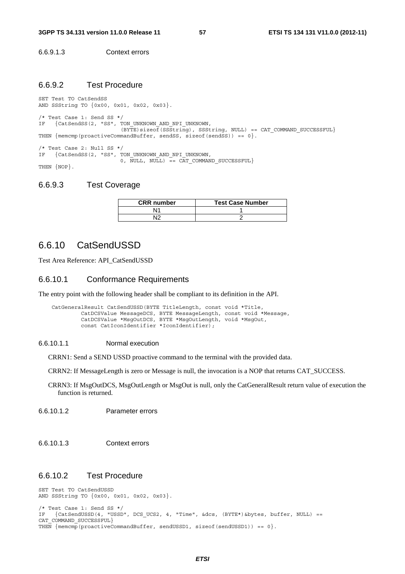6.6.9.1.3 Context errors

### 6.6.9.2 Test Procedure

SET Test TO CatSendSS AND SSString TO {0x00, 0x01, 0x02, 0x03}. /\* Test Case 1: Send SS \*/ IF {CatSendSS(2, "SS", TON UNKNOWN AND NPI UNKNOWN,  $(BYTE)$ sizeof(SSString), SSString, NULL) == CAT\_COMMAND\_SUCCESSFUL} THEN  ${meump(preactiveCommandBuffer, sendsS, sizeof(sends)) == 0}.$ /\* Test Case 2: Null SS \*/ IF {CatSendSS(2, "SS", TON UNKNOWN AND NPI UNKNOWN,  $0, \overline{NULL}, \overline{NULL}$  == CAT COMMAND SUCCESSFUL} THEN  $\{NOP\}$ .

### 6.6.9.3 Test Coverage

| <b>CRR</b> number | <b>Test Case Number</b> |
|-------------------|-------------------------|
| N1                |                         |
| רוא               |                         |

## 6.6.10 CatSendUSSD

Test Area Reference: API\_CatSendUSSD

#### 6.6.10.1 Conformance Requirements

The entry point with the following header shall be compliant to its definition in the API.

```
 CatGeneralResult CatSendUSSD(BYTE TitleLength, const void *Title, 
          CatDCSValue MessageDCS, BYTE MessageLength, const void *Message, 
          CatDCSValue *MsgOutDCS, BYTE *MsgOutLength, void *MsgOut, 
          const CatIconIdentifier *IconIdentifier);
```
#### 6.6.10.1.1 Normal execution

CRRN1: Send a SEND USSD proactive command to the terminal with the provided data.

CRRN2: If MessageLength is zero or Message is null, the invocation is a NOP that returns CAT\_SUCCESS.

CRRN3: If MsgOutDCS, MsgOutLength or MsgOut is null, only the CatGeneralResult return value of execution the function is returned.

6.6.10.1.2 Parameter errors

6.6.10.1.3 Context errors

### 6.6.10.2 Test Procedure

SET Test TO CatSendUSSD AND SSString TO {0x00, 0x01, 0x02, 0x03}. /\* Test Case 1: Send SS \*/ IF {CatSendUSSD(4, "USSD", DCS UCS2, 4, "Time", &dcs, (BYTE\*)&bytes, buffer, NULL) == CAT\_COMMAND\_SUCCESSFUL} THEN  ${\overline{\text{mem}}\text{ (proactiveCommon}}$  { ${\overline{\text{mem}}\text{ (proactiveCommon}}$ } = 0}.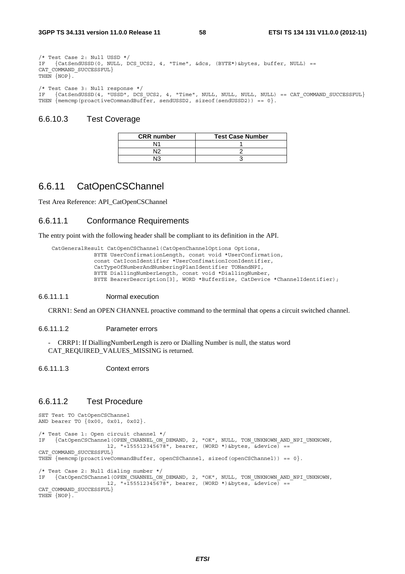```
/* Test Case 2: Null USSD */ 
IF {CatSendUSSD(0, NULL, DCS UCS2, 4, "Time", &dcs, (BYTE*)&bytes, buffer, NULL) ==
CAT_COMMAND_SUCCESSFUL} 
THEN \{NOP\}.
/* Test Case 3: Null response */ 
IF {CatSendUSSD(4, "USSD", DCS_UCS2, 4, "Time", NULL, NULL, NULL, NULL) == CAT_COMMAND_SUCCESSFUL} 
THEN {meuchp(proactiveCommandBuffer, sendUSSD2, sizeof(sendUSSD2)) == 0}.
```
### 6.6.10.3 Test Coverage

| <b>CRR</b> number | <b>Test Case Number</b> |
|-------------------|-------------------------|
| N۲                |                         |
|                   |                         |
|                   |                         |

# 6.6.11 CatOpenCSChannel

Test Area Reference: API\_CatOpenCSChannel

### 6.6.11.1 Conformance Requirements

The entry point with the following header shall be compliant to its definition in the API.

```
 CatGeneralResult CatOpenCSChannel(CatOpenChannelOptions Options, 
                BYTE UserConfirmationLength, const void *UserConfirmation, 
                const CatIconIdentifier *UserConfimationIconIdentifier, 
                CatTypeOfNumberAndNumberingPlanIdentifier TONandNPI, 
 BYTE DiallingNumberLength, const void *DiallingNumber, 
 BYTE BearerDescription[3], WORD *BufferSize, CatDevice *ChannelIdentifier);
```
#### 6.6.11.1.1 Normal execution

CRRN1: Send an OPEN CHANNEL proactive command to the terminal that opens a circuit switched channel.

#### 6.6.11.1.2 Parameter errors

- CRRP1: If DiallingNumberLength is zero or Dialling Number is null, the status word CAT\_REQUIRED\_VALUES\_MISSING is returned.

6.6.11.1.3 Context errors

### 6.6.11.2 Test Procedure

```
SET Test TO CatOpenCSChannel 
AND bearer TO {0x00, 0x01, 0x02}. 
/* Test Case 1: Open circuit channel */ 
IF {CatOpenCSChannel(OPEN_CHANNEL_ON_DEMAND, 2, "OK", NULL, TON_UNKNOWN_AND_NPI_UNKNOWN,
 12, "+155512345678", bearer, (WORD *)&bytes, &device) == 
CAT_COMMAND_SUCCESSFUL}
THEN {menemp(proactiveCommandBuffer, openCSChannel, sizeof(openCSChannel)) == 0}./* Test Case 2: Null dialing number */ 
IF {CatOpenCSChannel(OPEN_CHANNEL_ON_DEMAND, 2, "OK", NULL, TON_UNKNOWN_AND_NPI_UNKNOWN, 
                    12, "+155512345678", \text{ bearer}, (WORD *)*bytes, \text{Sdevice} =CAT_COMMAND_SUCCESSFUL}
THEN \{NOP\}.
```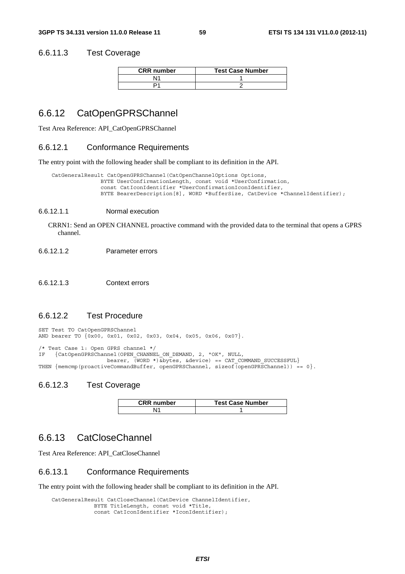### 6.6.11.3 Test Coverage

| <b>CRR</b> number | <b>Test Case Number</b> |
|-------------------|-------------------------|
|                   |                         |
|                   |                         |

## 6.6.12 CatOpenGPRSChannel

Test Area Reference: API\_CatOpenGPRSChannel

#### 6.6.12.1 Conformance Requirements

The entry point with the following header shall be compliant to its definition in the API.

```
 CatGeneralResult CatOpenGPRSChannel(CatOpenChannelOptions Options, 
                BYTE UserConfirmationLength, const void *UserConfirmation, 
                const CatIconIdentifier *UserConfirmationIconIdentifier, 
                BYTE BearerDescription[8], WORD *BufferSize, CatDevice *ChannelIdentifier);
```
#### 6.6.12.1.1 Normal execution

CRRN1: Send an OPEN CHANNEL proactive command with the provided data to the terminal that opens a GPRS channel.

6.6.12.1.2 Parameter errors

6.6.12.1.3 Context errors

### 6.6.12.2 Test Procedure

SET Test TO CatOpenGPRSChannel AND bearer TO {0x00, 0x01, 0x02, 0x03, 0x04, 0x05, 0x06, 0x07}.

/\* Test Case 1: Open GPRS channel \*/ IF {CatOpenGPRSChannel(OPEN\_CHANNEL\_ON\_DEMAND, 2, "OK", NULL, bearer, (WORD \*)&bytes, &device) == CAT\_COMMAND\_SUCCESSFUL} THEN  ${memp(proactiveCommandBuffer, openGPRSChannel, sizeof (openGPRSChannel)) == 0}.$ 

#### 6.6.12.3 Test Coverage

| <b>CRR</b> number | <b>Test Case Number</b> |
|-------------------|-------------------------|
| \11               |                         |

# 6.6.13 CatCloseChannel

Test Area Reference: API\_CatCloseChannel

#### 6.6.13.1 Conformance Requirements

The entry point with the following header shall be compliant to its definition in the API.

```
 CatGeneralResult CatCloseChannel(CatDevice ChannelIdentifier, 
 BYTE TitleLength, const void *Title, 
 const CatIconIdentifier *IconIdentifier);
```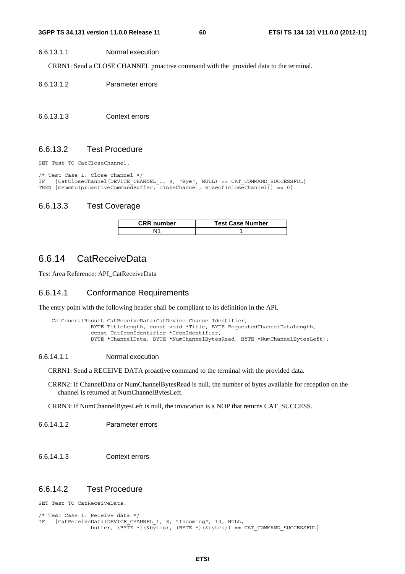#### 6.6.13.1.1 Normal execution

CRRN1: Send a CLOSE CHANNEL proactive command with the provided data to the terminal.

- 6.6.13.1.2 Parameter errors
- 6.6.13.1.3 Context errors

### 6.6.13.2 Test Procedure

SET Test TO CatCloseChannel.

```
/* Test Case 1: Close channel */ 
    {CatCloseChannel(DEVICE_CHAMNEL_1, 3, "Bye", NULL} == CAT COMMAND-SUCCESSFUL}THEN \{ memcmp(proactiveCommandBuffer, closeChannel, sizeof(closeChannel)) == 0\}.
```
## 6.6.13.3 Test Coverage

| <b>CRR</b> number | <b>Test Case Number</b> |
|-------------------|-------------------------|
|                   |                         |

# 6.6.14 CatReceiveData

Test Area Reference: API\_CatReceiveData

### 6.6.14.1 Conformance Requirements

The entry point with the following header shall be compliant to its definition in the API.

```
 CatGeneralResult CatReceiveData(CatDevice ChannelIdentifier, 
             BYTE TitleLength, const void *Title, BYTE RequestedChannelDataLength, 
             const CatIconIdentifier *IconIdentifier, 
             BYTE *ChannelData, BYTE *NumChannelBytesRead, BYTE *NumChannelBytesLeft);
```
#### 6.6.14.1.1 Normal execution

CRRN1: Send a RECEIVE DATA proactive command to the terminal with the provided data.

CRRN2: If ChannelData or NumChannelBytesRead is null, the number of bytes available for reception on the channel is returned at NumChannelBytesLeft.

CRRN3: If NumChannelBytesLeft is null, the invocation is a NOP that returns CAT\_SUCCESS.

6.6.14.1.2 Parameter errors

6.6.14.1.3 Context errors

### 6.6.14.2 Test Procedure

SET Test TO CatReceiveData.

```
/* Test Case 1: Receive data */ 
IF {CatReceiveData(DEVICE_CHANNEL_1, 8, "Incoming", 10, NULL, 
                buffer, (BYTE *)(&bytes), (BYTE *)(&bytes) == CAT COMMAND SUCCESSFUL}
```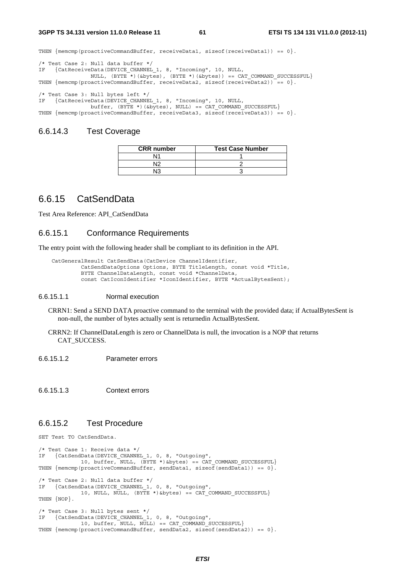**3GPP TS 34.131 version 11.0.0 Release 11 61 ETSI TS 134 131 V11.0.0 (2012-11)**

THEN  ${$  memcmp(proactiveCommandBuffer, receiveData1, sizeof(receiveData1)) == 0 ${}$ .

```
/* Test Case 2: Null data buffer */ 
IF {CatReceiveData(DEVICE_CHANNEL_1, 8, "Incoming", 10, NULL, 
                NULL, (BYTE *)(&bytes), (BYTE *)(&bytes)) == CAT_COMMAND_SUCCESSFUL} 
THEN { memcmp(proactiveCommandBuffer, receiveData2, sizeof(receiveData2)) = 0.
/* Test Case 3: Null bytes left */ 
IF {CatReceiveData(DEVICE_CHANNEL_1, 8, "Incoming", 10, NULL, 
 buffer, (BYTE *)(&bytes), NULL) == CAT_COMMAND_SUCCESSFUL} 
THEN { memcmp(proactiveCommandBuffer, receiveData3, sizeof(receiveData3)) == 0{}.
```
## 6.6.14.3 Test Coverage

| <b>CRR</b> number | <b>Test Case Number</b> |
|-------------------|-------------------------|
|                   |                         |
| J٥                |                         |
| מו.               |                         |

# 6.6.15 CatSendData

Test Area Reference: API\_CatSendData

#### 6.6.15.1 Conformance Requirements

The entry point with the following header shall be compliant to its definition in the API.

```
 CatGeneralResult CatSendData(CatDevice ChannelIdentifier, 
          CatSendDataOptions Options, BYTE TitleLength, const void *Title, 
          BYTE ChannelDataLength, const void *ChannelData, 
          const CatIconIdentifier *IconIdentifier, BYTE *ActualBytesSent);
```
#### 6.6.15.1.1 Normal execution

CRRN1: Send a SEND DATA proactive command to the terminal with the provided data; if ActualBytesSent is non-null, the number of bytes actually sent is returnedin ActualBytesSent.

- CRRN2: If ChannelDataLength is zero or ChannelData is null, the invocation is a NOP that returns CAT\_SUCCESS.
- 6.6.15.1.2 Parameter errors

6.6.15.1.3 Context errors

### 6.6.15.2 Test Procedure

SET Test TO CatSendData.

/\* Test Case 1: Receive data \*/ IF {CatSendData(DEVICE\_CHANNEL\_1, 0, 8, "Outgoing", 10, buffer, NULL, (BYTE \*)&bytes) == CAT COMMAND SUCCESSFUL} THEN  ${meump(proactiveCommandBuffer, sendData1, sizeof(sendData1)) == 0}.$ /\* Test Case 2: Null data buffer \*/ IF {CatSendData(DEVICE\_CHANNEL\_1, 0, 8, "Outgoing", 10, NULL, NULL, (BYTE \*)&bytes) == CAT\_COMMAND\_SUCCESSFUL} THEN  $\{NOP\}$ . /\* Test Case 3: Null bytes sent \*/ IF {CatSendData(DEVICE\_CHANNEL\_1, 0, 8, "Outgoing", 10, buffer, NULL, NULL) == CAT\_COMMAND\_SUCCESSFUL} THEN  ${meump (proactiveCommandBuffer, sendData2, sizeof(sendData2)) == 0}.$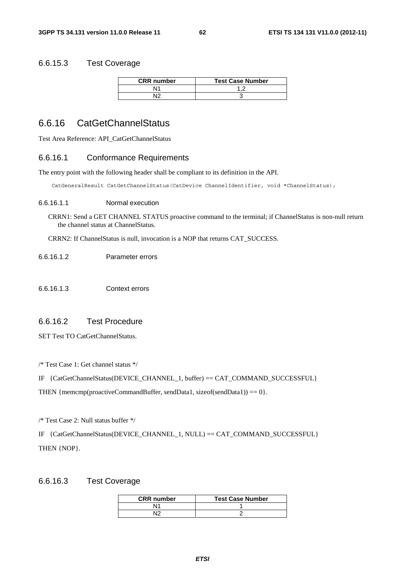### 6.6.15.3 Test Coverage

| <b>CRR</b> number | <b>Test Case Number</b> |
|-------------------|-------------------------|
| N1                |                         |
| NΙG               |                         |

# 6.6.16 CatGetChannelStatus

Test Area Reference: API\_CatGetChannelStatus

### 6.6.16.1 Conformance Requirements

The entry point with the following header shall be compliant to its definition in the API.

CatGeneralResult CatGetChannelStatus(CatDevice ChannelIdentifier, void \*ChannelStatus);

#### 6.6.16.1.1 Normal execution

CRRN1: Send a GET CHANNEL STATUS proactive command to the terminal; if ChannelStatus is non-null return the channel status at ChannelStatus.

CRRN2: If ChannelStatus is null, invocation is a NOP that returns CAT\_SUCCESS.

- 6.6.16.1.2 Parameter errors
- 6.6.16.1.3 Context errors

### 6.6.16.2 Test Procedure

SET Test TO CatGetChannelStatus.

/\* Test Case 1: Get channel status \*/

IF {CatGetChannelStatus(DEVICE\_CHANNEL\_1, buffer) == CAT\_COMMAND\_SUCCESSFUL}

THEN { $memp(proactiveCommandBuffer, sendData1, sizeof(sendData1)) = 0$  }.

/\* Test Case 2: Null status buffer \*/

IF {CatGetChannelStatus(DEVICE\_CHANNEL\_1, NULL) == CAT\_COMMAND\_SUCCESSFUL} THEN {NOP}.

### 6.6.16.3 Test Coverage

| <b>CRR</b> number | <b>Test Case Number</b> |
|-------------------|-------------------------|
| ۱4                |                         |
|                   |                         |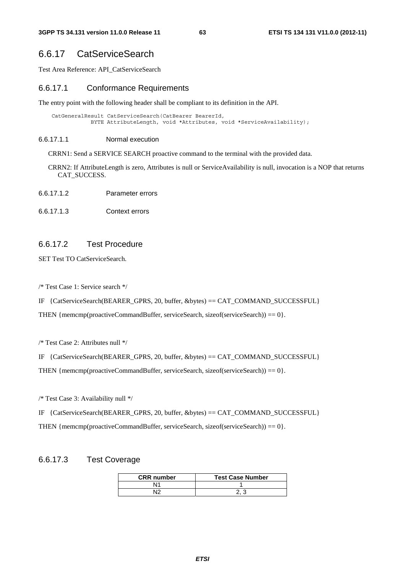# 6.6.17 CatServiceSearch

Test Area Reference: API\_CatServiceSearch

### 6.6.17.1 Conformance Requirements

The entry point with the following header shall be compliant to its definition in the API.

```
 CatGeneralResult CatServiceSearch(CatBearer BearerId, 
            BYTE AttributeLength, void *Attributes, void *ServiceAvailability);
```
#### 6.6.17.1.1 Normal execution

CRRN1: Send a SERVICE SEARCH proactive command to the terminal with the provided data.

CRRN2: If AttributeLength is zero, Attributes is null or ServiceAvailability is null, invocation is a NOP that returns CAT\_SUCCESS.

- 6.6.17.1.2 Parameter errors
- 6.6.17.1.3 Context errors

## 6.6.17.2 Test Procedure

SET Test TO CatServiceSearch.

/\* Test Case 1: Service search \*/

IF {CatServiceSearch(BEARER\_GPRS, 20, buffer, &bytes) == CAT\_COMMAND\_SUCCESSFUL}

THEN { $mememp(proxitiveCommandBuffer, serviceSearch, size of (serviceSearch)) == 0$ }.

/\* Test Case 2: Attributes null \*/

IF  ${Cats}$ erviceSearch(BEARER\_GPRS, 20, buffer, &bytes) == CAT\_COMMAND\_SUCCESSFUL}

THEN {memcmp(proactiveCommandBuffer, serviceSearch, sizeof(serviceSearch)) == 0}.

/\* Test Case 3: Availability null \*/

IF {CatServiceSearch(BEARER\_GPRS, 20, buffer, &bytes) == CAT\_COMMAND\_SUCCESSFUL}

THEN { $mememp(rootiveCommandBuffer, serviceSearch, size of (serviceSearch)) = 0$  }.

### 6.6.17.3 Test Coverage

| <b>CRR</b> number | <b>Test Case Number</b> |
|-------------------|-------------------------|
|                   |                         |
|                   |                         |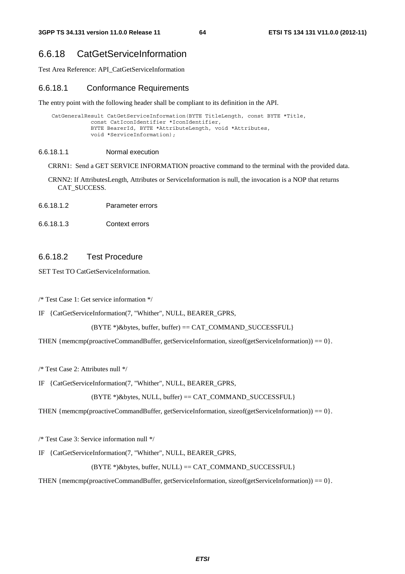# 6.6.18 CatGetServiceInformation

Test Area Reference: API\_CatGetServiceInformation

#### 6.6.18.1 Conformance Requirements

The entry point with the following header shall be compliant to its definition in the API.

```
 CatGeneralResult CatGetServiceInformation(BYTE TitleLength, const BYTE *Title, 
             const CatIconIdentifier *IconIdentifier, 
             BYTE BearerId, BYTE *AttributeLength, void *Attributes, 
             void *ServiceInformation);
```
#### 6.6.18.1.1 Normal execution

CRRN1: Send a GET SERVICE INFORMATION proactive command to the terminal with the provided data.

- CRNN2: If AttributesLength, Attributes or ServiceInformation is null, the invocation is a NOP that returns CAT\_SUCCESS.
- 6.6.18.1.2 Parameter errors
- 6.6.18.1.3 Context errors

### 6.6.18.2 Test Procedure

SET Test TO CatGetServiceInformation.

/\* Test Case 1: Get service information \*/

IF {CatGetServiceInformation(7, "Whither", NULL, BEARER\_GPRS,

```
 (BYTE *)&bytes, buffer, buffer) == CAT_COMMAND_SUCCESSFUL}
```
THEN {memcmp(proactiveCommandBuffer, getServiceInformation, sizeof(getServiceInformation)) == 0}.

/\* Test Case 2: Attributes null \*/

IF {CatGetServiceInformation(7, "Whither", NULL, BEARER\_GPRS,

 $(BYTE*)$ &bytes, NULL, buffer) == CAT\_COMMAND\_SUCCESSFUL}

THEN {memcmp(proactiveCommandBuffer, getServiceInformation, sizeof(getServiceInformation)) == 0}.

/\* Test Case 3: Service information null \*/

IF {CatGetServiceInformation(7, "Whither", NULL, BEARER\_GPRS,

 $(BYTE^*)$ &bytes, buffer, NULL) = CAT COMMAND SUCCESSFUL}

THEN {memcmp(proactiveCommandBuffer, getServiceInformation, sizeof(getServiceInformation)) == 0}.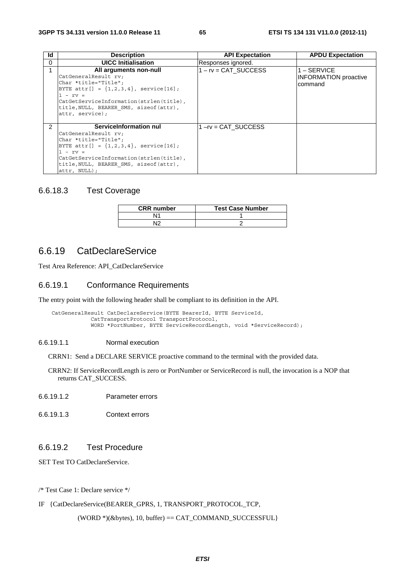| Id            | <b>Description</b>                                                                                                                                                                                                                                        | <b>API Expectation</b> | <b>APDU Expectation</b>                                  |
|---------------|-----------------------------------------------------------------------------------------------------------------------------------------------------------------------------------------------------------------------------------------------------------|------------------------|----------------------------------------------------------|
| $\Omega$      | <b>UICC</b> Initialisation                                                                                                                                                                                                                                | Responses ignored.     |                                                          |
|               | All arguments non-null<br>CatGeneralResult rv;<br>Char *title="Title";<br>BYTE attr[] = $\{1, 2, 3, 4\}$ , service[16];<br>$1 - rv =$<br>CatGetServiceInformation(strlen(title),<br>title, NULL, BEARER SMS, sizeof (attr),<br>attr, service);            | $1 - rv = CAT$ SUCCESS | $1 -$ SERVICE<br><b>INFORMATION</b> proactive<br>command |
| $\mathcal{P}$ | ServiceInformation nul<br>CatGeneralResult rv;<br>Char *title="Title";<br>BYTE attr[] = $\{1, 2, 3, 4\}$ , service[16];<br>$1 - rv =$<br>CatGetServiceInformation(strlen(title),<br>title, NULL, BEARER SMS, sizeof (attr),<br>$ $ attr, NULL $\rangle$ ; | $1 - rv = CAT$ SUCCESS |                                                          |

### 6.6.18.3 Test Coverage

| <b>CRR</b> number | <b>Test Case Number</b> |
|-------------------|-------------------------|
| N1                |                         |
| N١C               |                         |

# 6.6.19 CatDeclareService

Test Area Reference: API\_CatDeclareService

### 6.6.19.1 Conformance Requirements

The entry point with the following header shall be compliant to its definition in the API.

```
 CatGeneralResult CatDeclareService(BYTE BearerId, BYTE ServiceId, 
             CatTransportProtocol TransportProtocol, 
             WORD *PortNumber, BYTE ServiceRecordLength, void *ServiceRecord);
```
#### 6.6.19.1.1 Normal execution

CRRN1: Send a DECLARE SERVICE proactive command to the terminal with the provided data.

CRRN2: If ServiceRecordLength is zero or PortNumber or ServiceRecord is null, the invocation is a NOP that returns CAT\_SUCCESS.

- 6.6.19.1.2 Parameter errors
- 6.6.19.1.3 Context errors

## 6.6.19.2 Test Procedure

SET Test TO CatDeclareService.

/\* Test Case 1: Declare service \*/

IF {CatDeclareService(BEARER\_GPRS, 1, TRANSPORT\_PROTOCOL\_TCP,

 $(WORD *)(&bytes), 10, buffer) == CAT\_COMMAND_SUCCESSFUL$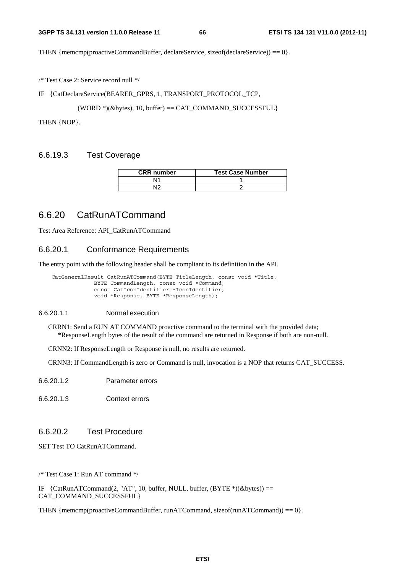THEN {memcmp(proactiveCommandBuffer, declareService, sizeof(declareService)) ==  $0$  }.

/\* Test Case 2: Service record null \*/

IF {CatDeclareService(BEARER\_GPRS, 1, TRANSPORT\_PROTOCOL\_TCP,

(WORD \*)(&bytes), 10, buffer) == CAT\_COMMAND\_SUCCESSFUL}

THEN {NOP}.

### 6.6.19.3 Test Coverage

| <b>CRR</b> number | <b>Test Case Number</b> |
|-------------------|-------------------------|
|                   |                         |
|                   |                         |

# 6.6.20 CatRunATCommand

Test Area Reference: API\_CatRunATCommand

### 6.6.20.1 Conformance Requirements

The entry point with the following header shall be compliant to its definition in the API.

```
 CatGeneralResult CatRunATCommand(BYTE TitleLength, const void *Title, 
 BYTE CommandLength, const void *Command, 
 const CatIconIdentifier *IconIdentifier, 
               void *Response, BYTE *ResponseLength);
```
### 6.6.20.1.1 Normal execution

CRRN1: Send a RUN AT COMMAND proactive command to the terminal with the provided data; \*ResponseLength bytes of the result of the command are returned in Response if both are non-null.

CRNN2: If ResponseLength or Response is null, no results are returned.

CRNN3: If CommandLength is zero or Command is null, invocation is a NOP that returns CAT\_SUCCESS.

- 6.6.20.1.2 Parameter errors
- 6.6.20.1.3 Context errors

## 6.6.20.2 Test Procedure

SET Test TO CatRunATCommand.

/\* Test Case 1: Run AT command \*/

IF  ${CartanATCommand(2, "AT", 10, buffer, NULL, buffer, (BYTE*)(&bytes)) ==$ CAT\_COMMAND\_SUCCESSFUL}

THEN { $memcmp(proxativeCommandBuffer, runATCommand, sizeof(numATCommand)) = 0$  }.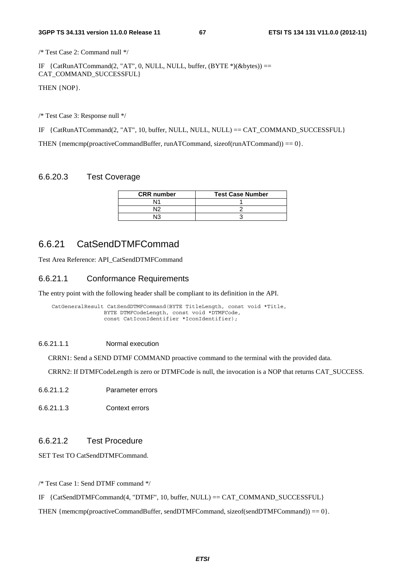/\* Test Case 2: Command null \*/

IF  ${CatRunATCommand(2, "AT", 0, NULL, NULL, buffer, (BYTE *)(&bytes)) ==}$ CAT\_COMMAND\_SUCCESSFUL}

THEN {NOP}.

/\* Test Case 3: Response null \*/

IF {CatRunATCommand(2, "AT", 10, buffer, NULL, NULL, NULL) == CAT\_COMMAND\_SUCCESSFUL}

THEN {memcmp(proactiveCommandBuffer, runATCommand, sizeof(runATCommand)) ==  $0$  }.

### 6.6.20.3 Test Coverage

| <b>CRR</b> number | <b>Test Case Number</b> |
|-------------------|-------------------------|
|                   |                         |
|                   |                         |
|                   |                         |

# 6.6.21 CatSendDTMFCommad

Test Area Reference: API\_CatSendDTMFCommand

### 6.6.21.1 Conformance Requirements

The entry point with the following header shall be compliant to its definition in the API.

```
 CatGeneralResult CatSendDTMFCommand(BYTE TitleLength, const void *Title, 
                 BYTE DTMFCodeLength, const void *DTMFCode, 
                 const CatIconIdentifier *IconIdentifier);
```
#### 6.6.21.1.1 Normal execution

CRRN1: Send a SEND DTMF COMMAND proactive command to the terminal with the provided data.

CRRN2: If DTMFCodeLength is zero or DTMFCode is null, the invocation is a NOP that returns CAT\_SUCCESS.

- 6.6.21.1.2 Parameter errors
- 6.6.21.1.3 Context errors

### 6.6.21.2 Test Procedure

SET Test TO CatSendDTMFCommand.

/\* Test Case 1: Send DTMF command \*/

IF {CatSendDTMFCommand(4, "DTMF", 10, buffer, NULL) == CAT\_COMMAND\_SUCCESSFUL}

THEN { $memp(proactiveCommandBuffer, sendDTMFCommand, sizeof(sendDTMFCommand)) = 0$  }.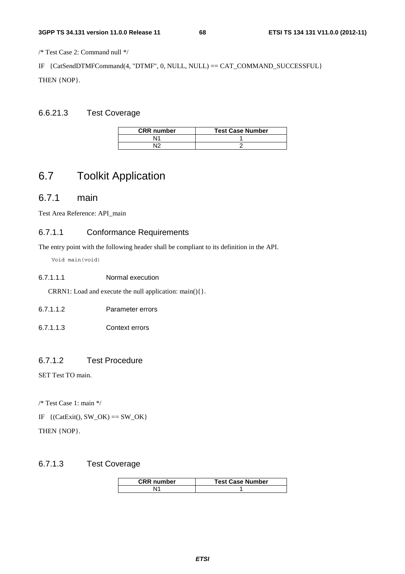/\* Test Case 2: Command null \*/

IF {CatSendDTMFCommand(4, "DTMF", 0, NULL, NULL) == CAT\_COMMAND\_SUCCESSFUL} THEN {NOP}.

## 6.6.21.3 Test Coverage

| <b>CRR</b> number | <b>Test Case Number</b> |
|-------------------|-------------------------|
| N14               |                         |
| ۸I٢               |                         |

# 6.7 Toolkit Application

# 6.7.1 main

Test Area Reference: API\_main

## 6.7.1.1 Conformance Requirements

The entry point with the following header shall be compliant to its definition in the API.

Void main(void)

#### 6.7.1.1.1 Normal execution

CRRN1: Load and execute the null application: main(){}.

- 6.7.1.1.2 Parameter errors
- 6.7.1.1.3 Context errors

## 6.7.1.2 Test Procedure

SET Test TO main.

/\* Test Case 1: main \*/

IF  $\{(\text{CatExit}), \text{SW\_OK}\} = \text{SW\_OK}\}$ 

THEN {NOP}.

### 6.7.1.3 Test Coverage

| <b>CRR</b> number | <b>Test Case Number</b> |
|-------------------|-------------------------|
|                   |                         |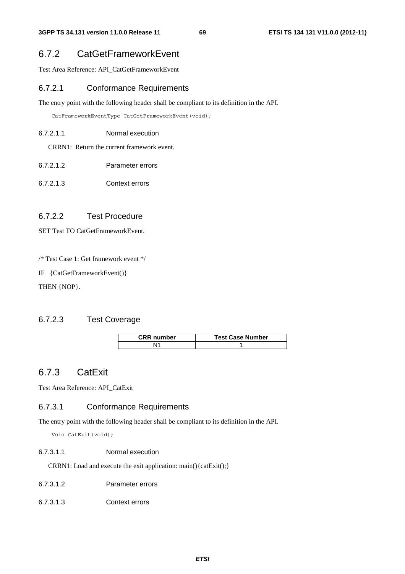# 6.7.2 CatGetFrameworkEvent

Test Area Reference: API\_CatGetFrameworkEvent

### 6.7.2.1 Conformance Requirements

The entry point with the following header shall be compliant to its definition in the API.

CatFrameworkEventType CatGetFrameworkEvent(void);

6.7.2.1.1 Normal execution

CRRN1: Return the current framework event.

- 6.7.2.1.2 Parameter errors
- 6.7.2.1.3 Context errors

### 6.7.2.2 Test Procedure

SET Test TO CatGetFrameworkEvent.

/\* Test Case 1: Get framework event \*/

IF {CatGetFrameworkEvent()}

THEN {NOP}.

## 6.7.2.3 Test Coverage

| <b>CRR</b> number | <b>Test Case Number</b> |
|-------------------|-------------------------|
|                   |                         |

# 6.7.3 CatExit

Test Area Reference: API\_CatExit

## 6.7.3.1 Conformance Requirements

The entry point with the following header shall be compliant to its definition in the API.

Void CatExit(void);

#### 6.7.3.1.1 Normal execution

CRRN1: Load and execute the exit application: main(){catExit();}

- 6.7.3.1.2 Parameter errors
- 6.7.3.1.3 Context errors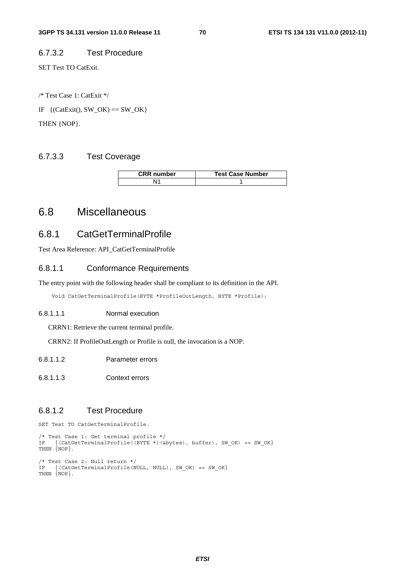## 6.7.3.2 Test Procedure

SET Test TO CatExit.

/\* Test Case 1: CatExit \*/ IF  $\{(\text{CatExit}), \text{SW\_OK}\} = \text{SW\_OK}\}$ THEN {NOP}.

## 6.7.3.3 Test Coverage

| <b>CRR</b> number | <b>Test Case Number</b> |
|-------------------|-------------------------|
|                   |                         |

# 6.8 Miscellaneous

# 6.8.1 CatGetTerminalProfile

Test Area Reference: API\_CatGetTerminalProfile

### 6.8.1.1 Conformance Requirements

The entry point with the following header shall be compliant to its definition in the API.

Void CatGetTerminalProfile(BYTE \*ProfileOutLength, BYTE \*Profile);

#### 6.8.1.1.1 Normal execution

CRRN1: Retrieve the current terminal profile.

CRRN2: If ProfileOutLength or Profile is null, the invocation is a NOP.

- 6.8.1.1.2 Parameter errors
- 6.8.1.1.3 Context errors

### 6.8.1.2 Test Procedure

SET Test TO CatGetTerminalProfile.

```
/* Test Case 1: Get terminal profile */ 
IF \{ (CatGetTerminalProfile((BYTE *) (&bytes), buffer), SW_OK) == SW_OK}
THEN \{NOP\}.
/* Test Case 2: Null return */ 
IF {(CatGetTerminalProfile(NULL, NULL), SW OK) == SW OK}
THEN {NOP}.
```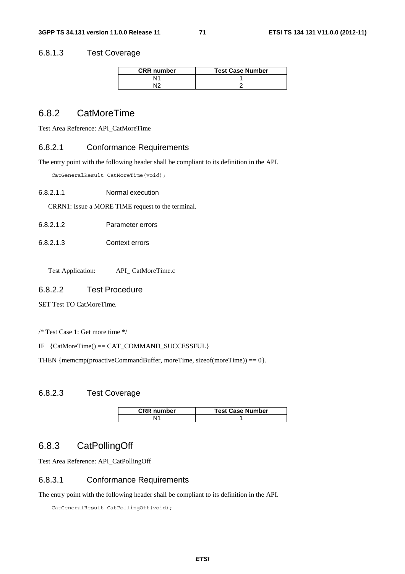### 6.8.1.3 Test Coverage

| <b>CRR</b> number | <b>Test Case Number</b> |
|-------------------|-------------------------|
| \l1               |                         |
| م ۱۸              |                         |

# 6.8.2 CatMoreTime

Test Area Reference: API\_CatMoreTime

### 6.8.2.1 Conformance Requirements

The entry point with the following header shall be compliant to its definition in the API.

CatGeneralResult CatMoreTime(void);

CRRN1: Issue a MORE TIME request to the terminal.

| Parameter errors |
|------------------|
|                  |

6.8.2.1.3 Context errors

Test Application: API\_ CatMoreTime.c

#### 6.8.2.2 Test Procedure

SET Test TO CatMoreTime.

/\* Test Case 1: Get more time \*/

### IF {CatMoreTime() == CAT\_COMMAND\_SUCCESSFUL}

THEN {memcmp(proactiveCommandBuffer, moreTime, sizeof(moreTime)) == 0}.

### 6.8.2.3 Test Coverage

| <b>CRR</b> number | <b>Test Case Number</b> |
|-------------------|-------------------------|
|                   |                         |

# 6.8.3 CatPollingOff

Test Area Reference: API\_CatPollingOff

#### 6.8.3.1 Conformance Requirements

The entry point with the following header shall be compliant to its definition in the API.

```
 CatGeneralResult CatPollingOff(void);
```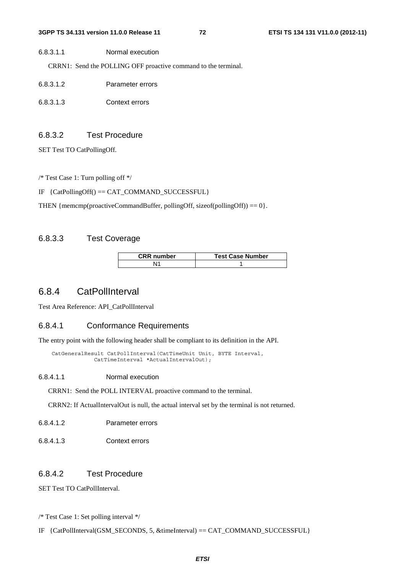CRRN1: Send the POLLING OFF proactive command to the terminal.

- 6.8.3.1.2 Parameter errors
- 6.8.3.1.3 Context errors

### 6.8.3.2 Test Procedure

SET Test TO CatPollingOff.

/\* Test Case 1: Turn polling off \*/

IF {CatPollingOff() == CAT\_COMMAND\_SUCCESSFUL}

THEN { $memp(proactiveCommandBuffer, pollingOff, sizeof(pollingOff)) = 0$  }.

# 6.8.3.3 Test Coverage

| <b>CRR number</b> | <b>Test Case Number</b> |
|-------------------|-------------------------|
|                   |                         |

# 6.8.4 CatPollInterval

Test Area Reference: API\_CatPollInterval

# 6.8.4.1 Conformance Requirements

The entry point with the following header shall be compliant to its definition in the API.

 CatGeneralResult CatPollInterval(CatTimeUnit Unit, BYTE Interval, CatTimeInterval \*ActualIntervalOut);

6.8.4.1.1 Normal execution

CRRN1: Send the POLL INTERVAL proactive command to the terminal.

CRRN2: If ActualIntervalOut is null, the actual interval set by the terminal is not returned.

6.8.4.1.2 Parameter errors

6.8.4.1.3 Context errors

### 6.8.4.2 Test Procedure

SET Test TO CatPollInterval.

/\* Test Case 1: Set polling interval \*/

IF {CatPollInterval(GSM\_SECONDS, 5, &timeInterval) == CAT\_COMMAND\_SUCCESSFUL}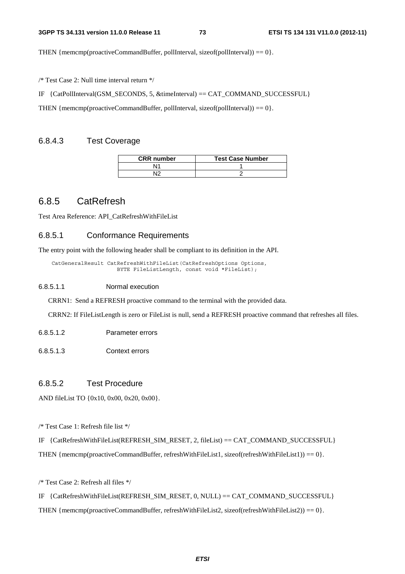THEN { $memp(proactiveCommandBuffer, pollInterval, sizeof(pollInterval)) == 0$  }.

/\* Test Case 2: Null time interval return \*/

IF {CatPollInterval(GSM\_SECONDS, 5, &timeInterval) == CAT\_COMMAND\_SUCCESSFUL}

THEN { $memp(proactiveCommandBuffer, pollInterval, sizeof(pollInterval)) = 0$  }.

# 6.8.4.3 Test Coverage

| <b>CRR</b> number | <b>Test Case Number</b> |
|-------------------|-------------------------|
|                   |                         |
|                   |                         |

# 6.8.5 CatRefresh

Test Area Reference: API\_CatRefreshWithFileList

# 6.8.5.1 Conformance Requirements

The entry point with the following header shall be compliant to its definition in the API.

 CatGeneralResult CatRefreshWithFileList(CatRefreshOptions Options, BYTE FileListLength, const void \*FileList);

#### 6.8.5.1.1 Normal execution

CRRN1: Send a REFRESH proactive command to the terminal with the provided data.

CRRN2: If FileListLength is zero or FileList is null, send a REFRESH proactive command that refreshes all files.

- 6.8.5.1.2 Parameter errors
- 6.8.5.1.3 Context errors

# 6.8.5.2 Test Procedure

AND fileList TO {0x10, 0x00, 0x20, 0x00}.

/\* Test Case 1: Refresh file list \*/

IF {CatRefreshWithFileList(REFRESH\_SIM\_RESET, 2, fileList) == CAT\_COMMAND\_SUCCESSFUL} THEN {memcmp(proactiveCommandBuffer, refreshWithFileList1, sizeof(refreshWithFileList1)) == 0}.

/\* Test Case 2: Refresh all files \*/

IF {CatRefreshWithFileList(REFRESH\_SIM\_RESET, 0, NULL) == CAT\_COMMAND\_SUCCESSFUL}

THEN {memcmp(proactiveCommandBuffer, refreshWithFileList2, sizeof(refreshWithFileList2)) == 0}.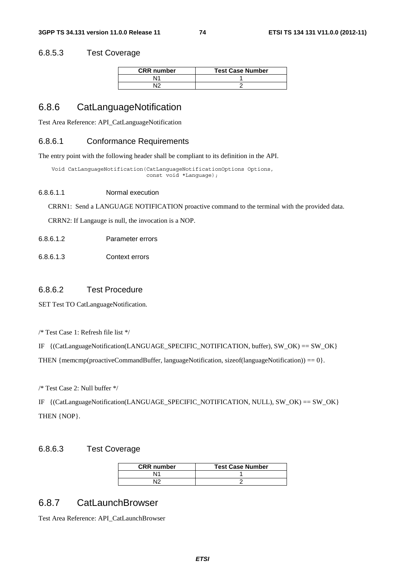### 6.8.5.3 Test Coverage

| <b>CRR</b> number | <b>Test Case Number</b> |
|-------------------|-------------------------|
| \l1               |                         |
| √∣^               |                         |

# 6.8.6 CatLanguageNotification

Test Area Reference: API\_CatLanguageNotification

### 6.8.6.1 Conformance Requirements

The entry point with the following header shall be compliant to its definition in the API.

 Void CatLanguageNotification(CatLanguageNotificationOptions Options, const void \*Language);

#### 6.8.6.1.1 Normal execution

CRRN1: Send a LANGUAGE NOTIFICATION proactive command to the terminal with the provided data.

CRRN2: If Langauge is null, the invocation is a NOP.

- 6.8.6.1.2 Parameter errors
- 6.8.6.1.3 Context errors

### 6.8.6.2 Test Procedure

SET Test TO CatLanguageNotification.

/\* Test Case 1: Refresh file list \*/

```
IF {(CatLanguageNotification(LANGUAGE_SPECIFIC_NOTIFICATION, buffer), SW_OK) == SW_OK}
```
THEN {memcmp(proactiveCommandBuffer, languageNotification, sizeof(languageNotification)) == 0}.

/\* Test Case 2: Null buffer \*/

IF {(CatLanguageNotification(LANGUAGE\_SPECIFIC\_NOTIFICATION, NULL), SW\_OK) == SW\_OK} THEN {NOP}.

# 6.8.6.3 Test Coverage

| <b>CRR</b> number | <b>Test Case Number</b> |
|-------------------|-------------------------|
| Ν1                |                         |
| מוח               |                         |

# 6.8.7 CatLaunchBrowser

Test Area Reference: API\_CatLaunchBrowser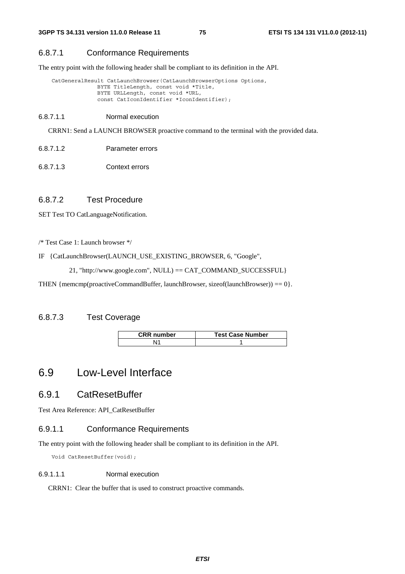### 6.8.7.1 Conformance Requirements

The entry point with the following header shall be compliant to its definition in the API.

```
CatGeneralResult CatLaunchBrowser(CatLaunchBrowserOptions Options,
               BYTE TitleLength, const void *Title, 
               BYTE URLLength, const void *URL, 
               const CatIconIdentifier *IconIdentifier);
```
6.8.7.1.1 Normal execution

CRRN1: Send a LAUNCH BROWSER proactive command to the terminal with the provided data.

6.8.7.1.2 Parameter errors

6.8.7.1.3 Context errors

# 6.8.7.2 Test Procedure

SET Test TO CatLanguageNotification.

/\* Test Case 1: Launch browser \*/

```
IF {CatLaunchBrowser(LAUNCH_USE_EXISTING_BROWSER, 6, "Google",
```
21, "http://www.google.com", NULL) == CAT\_COMMAND\_SUCCESSFUL}

THEN { $mememp(rootiveCommandBuffer, launchBrouser, sizeof(launchBrouser)) = 0$  }.

# 6.8.7.3 Test Coverage

| <b>CRR</b> number | <b>Test Case Number</b> |
|-------------------|-------------------------|
|                   |                         |

# 6.9 Low-Level Interface

# 6.9.1 CatResetBuffer

Test Area Reference: API\_CatResetBuffer

# 6.9.1.1 Conformance Requirements

The entry point with the following header shall be compliant to its definition in the API.

Void CatResetBuffer(void);

### 6.9.1.1.1 Normal execution

CRRN1: Clear the buffer that is used to construct proactive commands.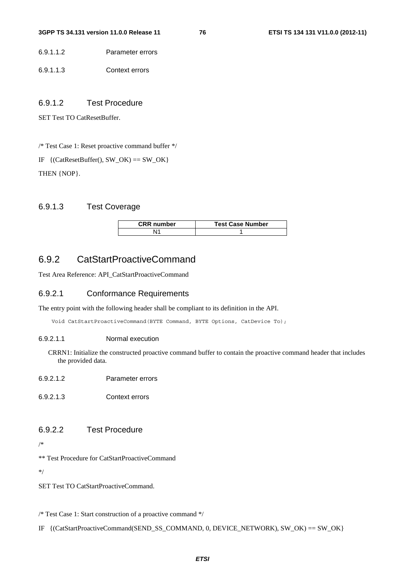6.9.1.1.2 Parameter errors

6.9.1.1.3 Context errors

# 6.9.1.2 Test Procedure

SET Test TO CatResetBuffer.

/\* Test Case 1: Reset proactive command buffer \*/

IF  $\{(\text{CatResetBuffer}(), SW_OK) == SW_OK\}$ THEN {NOP}.

# 6.9.1.3 Test Coverage

| <b>CRR</b> number | <b>Test Case Number</b> |
|-------------------|-------------------------|
|                   |                         |

# 6.9.2 CatStartProactiveCommand

Test Area Reference: API\_CatStartProactiveCommand

### 6.9.2.1 Conformance Requirements

The entry point with the following header shall be compliant to its definition in the API.

Void CatStartProactiveCommand(BYTE Command, BYTE Options, CatDevice To);

### 6.9.2.1.1 Normal execution

CRRN1: Initialize the constructed proactive command buffer to contain the proactive command header that includes the provided data.

- 6.9.2.1.2 Parameter errors
- 6.9.2.1.3 Context errors

# 6.9.2.2 Test Procedure

/\*

\*\* Test Procedure for CatStartProactiveCommand

\*/

SET Test TO CatStartProactiveCommand.

/\* Test Case 1: Start construction of a proactive command \*/

IF {(CatStartProactiveCommand(SEND\_SS\_COMMAND, 0, DEVICE\_NETWORK), SW\_OK) == SW\_OK}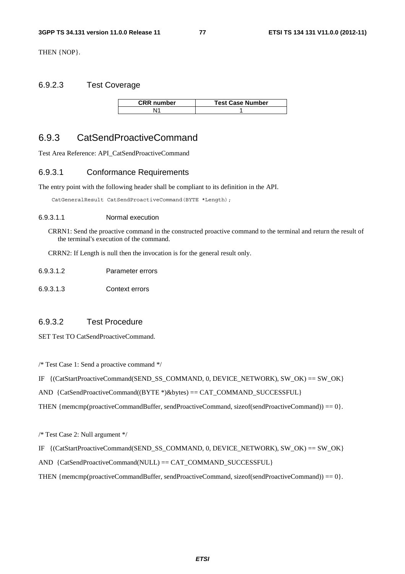THEN {NOP}.

# 6.9.2.3 Test Coverage

| <b>CRR</b> number | <b>Test Case Number</b> |
|-------------------|-------------------------|
|                   |                         |

# 6.9.3 CatSendProactiveCommand

Test Area Reference: API\_CatSendProactiveCommand

# 6.9.3.1 Conformance Requirements

The entry point with the following header shall be compliant to its definition in the API.

CatGeneralResult CatSendProactiveCommand(BYTE \*Length);

#### 6.9.3.1.1 Normal execution

CRRN1: Send the proactive command in the constructed proactive command to the terminal and return the result of the terminal's execution of the command.

CRRN2: If Length is null then the invocation is for the general result only.

| 6.9.3.1.2 | Parameter errors |
|-----------|------------------|
|           |                  |

6.9.3.1.3 Context errors

# 6.9.3.2 Test Procedure

SET Test TO CatSendProactiveCommand.

/\* Test Case 1: Send a proactive command \*/

```
IF \{CatStartProduct} (CatStartProactiveCommand(SEND_SS_COMMAND, 0, DEVICE_NETWORK), SW_OK) == SW_OK\}
```
AND {CatSendProactiveCommand((BYTE \*)&bytes) == CAT\_COMMAND\_SUCCESSFUL}

THEN {memcmp(proactiveCommandBuffer, sendProactiveCommand, sizeof(sendProactiveCommand)) == 0}.

/\* Test Case 2: Null argument \*/

```
IF {(CatStartProactiveCommand(SEND_SS_COMMAND, 0, DEVICE_NETWORK), SW_OK) == SW_OK}
```
AND  ${Catsend}$ ProactiveCommand(NULL) == CAT\_COMMAND\_SUCCESSFUL ${C}$ 

THEN {memcmp(proactiveCommandBuffer, sendProactiveCommand, sizeof(sendProactiveCommand)) == 0}.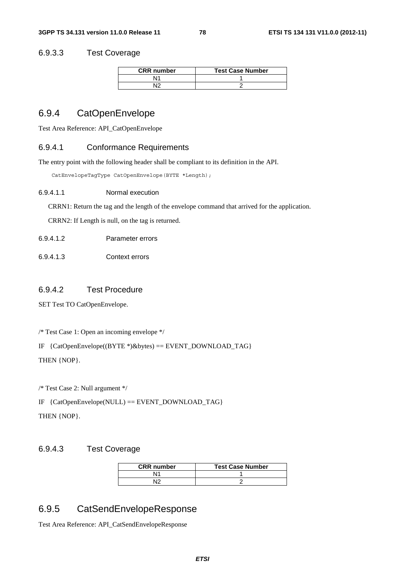### 6.9.3.3 Test Coverage

| <b>CRR</b> number | <b>Test Case Number</b> |
|-------------------|-------------------------|
| N1                |                         |
| ١C                |                         |

# 6.9.4 CatOpenEnvelope

Test Area Reference: API\_CatOpenEnvelope

## 6.9.4.1 Conformance Requirements

The entry point with the following header shall be compliant to its definition in the API.

CatEnvelopeTagType CatOpenEnvelope(BYTE \*Length);

#### 6.9.4.1.1 Normal execution

CRRN1: Return the tag and the length of the envelope command that arrived for the application.

CRRN2: If Length is null, on the tag is returned.

| 6.9.4.1.2 | Parameter errors |
|-----------|------------------|
|           |                  |

6.9.4.1.3 Context errors

### 6.9.4.2 Test Procedure

SET Test TO CatOpenEnvelope.

/\* Test Case 1: Open an incoming envelope \*/

IF {CatOpenEnvelope((BYTE \*)&bytes) == EVENT\_DOWNLOAD\_TAG}

THEN {NOP}.

/\* Test Case 2: Null argument \*/

IF {CatOpenEnvelope(NULL) == EVENT\_DOWNLOAD\_TAG}

THEN {NOP}.

# 6.9.4.3 Test Coverage

| <b>CRR</b> number | <b>Test Case Number</b> |
|-------------------|-------------------------|
| N1                |                         |
| N٢                |                         |

# 6.9.5 CatSendEnvelopeResponse

Test Area Reference: API\_CatSendEnvelopeResponse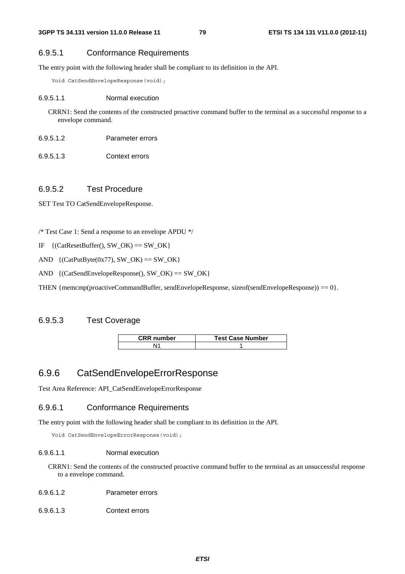# 6.9.5.1 Conformance Requirements

The entry point with the following header shall be compliant to its definition in the API.

Void CatSendEnvelopeResponse(void);

### 6.9.5.1.1 Normal execution

CRRN1: Send the contents of the constructed proactive command buffer to the terminal as a successful response to a envelope command.

- 6.9.5.1.2 Parameter errors
- 6.9.5.1.3 Context errors

# 6.9.5.2 Test Procedure

SET Test TO CatSendEnvelopeResponse.

/\* Test Case 1: Send a response to an envelope APDU \*/

- IF  $\{(CatResetBuffer(), SW_OK) == SW_OK\}$
- AND  $\{(\text{CatPutByte}(0x77), SW OK) == SW OK\}$
- AND  $\{(\text{CatSendEnvelopeResponse}(), SW_OK) == SW_OK\}$

THEN {memcmp(proactiveCommandBuffer, sendEnvelopeResponse, sizeof(sendEnvelopeResponse)) ==  $0$  }.

# 6.9.5.3 Test Coverage

| <b>CRR</b> number | <b>Test Case Number</b> |
|-------------------|-------------------------|
| ۱1                |                         |

# 6.9.6 CatSendEnvelopeErrorResponse

Test Area Reference: API\_CatSendEnvelopeErrorResponse

### 6.9.6.1 Conformance Requirements

The entry point with the following header shall be compliant to its definition in the API.

Void CatSendEnvelopeErrorResponse(void);

### 6.9.6.1.1 Normal execution

CRRN1: Send the contents of the constructed proactive command buffer to the terminal as an unsuccessful response to a envelope command.

- 6.9.6.1.2 Parameter errors
- 6.9.6.1.3 Context errors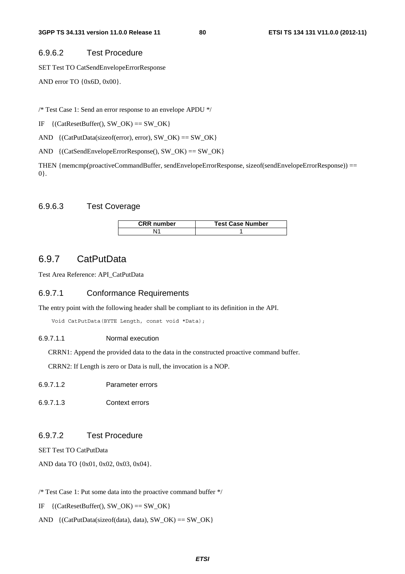#### 6.9.6.2 Test Procedure

SET Test TO CatSendEnvelopeErrorResponse

AND error TO {0x6D, 0x00}.

/\* Test Case 1: Send an error response to an envelope APDU \*/

IF  $\{(CatResetBuffer(), SWOK) == SWOK\}$ 

AND {(CatPutData(sizeof(error), error), SW\_OK) == SW\_OK}

AND {(CatSendEnvelopeErrorResponse(), SW\_OK) == SW\_OK}

THEN {memcmp(proactiveCommandBuffer, sendEnvelopeErrorResponse, sizeof(sendEnvelopeErrorResponse)) == 0}.

# 6.9.6.3 Test Coverage

| <b>CRR</b> number | <b>Test Case Number</b> |
|-------------------|-------------------------|
|                   |                         |

# 6.9.7 CatPutData

Test Area Reference: API\_CatPutData

### 6.9.7.1 Conformance Requirements

The entry point with the following header shall be compliant to its definition in the API.

Void CatPutData(BYTE Length, const void \*Data);

#### 6.9.7.1.1 Normal execution

CRRN1: Append the provided data to the data in the constructed proactive command buffer.

CRRN2: If Length is zero or Data is null, the invocation is a NOP.

- 6.9.7.1.2 Parameter errors
- 6.9.7.1.3 Context errors

# 6.9.7.2 Test Procedure

SET Test TO CatPutData

AND data TO {0x01, 0x02, 0x03, 0x04}.

/\* Test Case 1: Put some data into the proactive command buffer \*/

IF  $\{(CatResetBuffer(), SWOK) == SWOK\}$ 

AND  $\{(\text{CatPutData}(\text{sizeof}(\text{data}), \text{data}), \text{SW\_OK}) == \text{SW\_OK}\}\$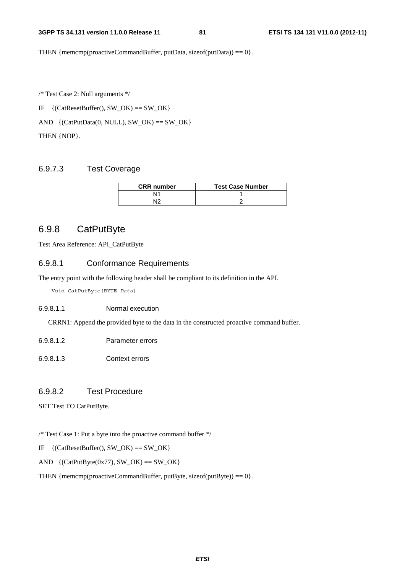THEN { $memp(proactiveCommandBuffer, putData, sizeof(putData)) = 0$  }.

/\* Test Case 2: Null arguments \*/

IF  $\{({\text{Cat}ResetBuffer(), SW_OK) == SW_OK}\}$ 

 $AND \{(CatPutData(0, NULL), SW_OK) == SW_OK\}$ 

THEN {NOP}.

# 6.9.7.3 Test Coverage

| <b>CRR</b> number | <b>Test Case Number</b> |
|-------------------|-------------------------|
|                   |                         |
|                   |                         |

# 6.9.8 CatPutByte

Test Area Reference: API\_CatPutByte

### 6.9.8.1 Conformance Requirements

The entry point with the following header shall be compliant to its definition in the API.

Void CatPutByte(BYTE *Data*)

#### 6.9.8.1.1 Normal execution

CRRN1: Append the provided byte to the data in the constructed proactive command buffer.

- 6.9.8.1.2 Parameter errors
- 6.9.8.1.3 Context errors

# 6.9.8.2 Test Procedure

SET Test TO CatPutByte.

/\* Test Case 1: Put a byte into the proactive command buffer \*/

- IF  $\{({\text{Cat}ResetBuffer(), SW_OK) == SW_OK}\}$
- AND  $\{(\text{CatPutByte}(0x77), SW_OK) == SW_OK\}$

THEN { $memp(proactiveCommandBuffer, putByte, sizeof(putByte)) = 0$  }.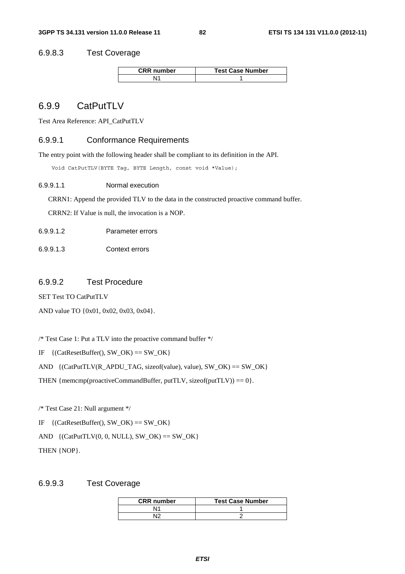### 6.9.8.3 Test Coverage

| <b>CRR</b> number | <b>Test Case Number</b> |
|-------------------|-------------------------|
|                   |                         |

# 6.9.9 CatPutTLV

Test Area Reference: API\_CatPutTLV

# 6.9.9.1 Conformance Requirements

The entry point with the following header shall be compliant to its definition in the API.

Void CatPutTLV(BYTE Tag, BYTE Length, const void \*Value);

6.9.9.1.1 Normal execution

CRRN1: Append the provided TLV to the data in the constructed proactive command buffer.

CRRN2: If Value is null, the invocation is a NOP.

6.9.9.1.2 Parameter errors

6.9.9.1.3 Context errors

### 6.9.9.2 Test Procedure

SET Test TO CatPutTLV

AND value TO {0x01, 0x02, 0x03, 0x04}.

/\* Test Case 1: Put a TLV into the proactive command buffer \*/

IF  $\{({\text{CatResetBuffer}}(), \text{SW\_OK}) == \text{SW\_OK}\}$ 

AND  $\{(\text{CatPutTLV}(R_APDU_TAG, \text{sizeof}(\text{value}), \text{value}), SW_OK) == SW_OK\}$ 

THEN { $memp(proactiveCommandBuffer, putTLV, sizeof(putTLV)) = 0$  }.

/\* Test Case 21: Null argument \*/

IF  $\{(CatResetBuffer(), SWOK) == SWOK\}$ 

AND  $\{(\text{CatPut}TU(0, 0, NULL), SW_OK) == SW_OK\}$ 

THEN {NOP}.

### 6.9.9.3 Test Coverage

| <b>CRR</b> number | <b>Test Case Number</b> |
|-------------------|-------------------------|
|                   |                         |
|                   |                         |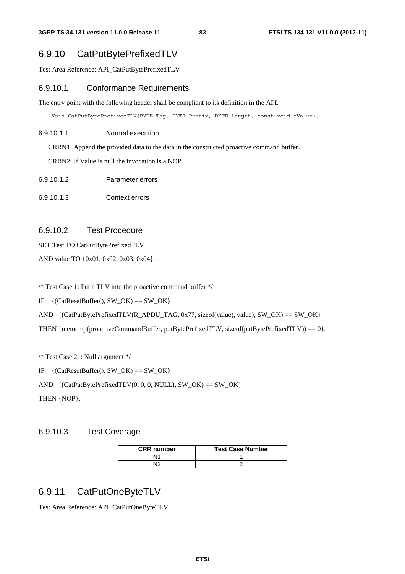# 6.9.10 CatPutBytePrefixedTLV

Test Area Reference: API\_CatPutBytePrefixedTLV

### 6.9.10.1 Conformance Requirements

The entry point with the following header shall be compliant to its definition in the API.

Void CatPutBytePrefixedTLV(BYTE Tag, BYTE Prefix, BYTE Length, const void \*Value);

#### 6.9.10.1.1 Normal execution

CRRN1: Append the provided data to the data in the constructed proactive command buffer.

CRRN2: If Value is null the invocation is a NOP.

- 6.9.10.1.2 Parameter errors
- 6.9.10.1.3 Context errors

### 6.9.10.2 Test Procedure

SET Test TO CatPutBytePrefixedTLV

AND value TO {0x01, 0x02, 0x03, 0x04}.

/\* Test Case 1: Put a TLV into the proactive command buffer \*/

IF  $\{({\text{CatResetBuffer}}(), \text{SW\_OK}) == \text{SW\_OK}\}$ 

AND  $\{({\text{CatPutBytePrefixedTLV(R_APDU_TAG, 0x77, sizeof(value), value}), SW_OK) == SW_OK}\}$ 

THEN {memcmp(proactiveCommandBuffer, putBytePrefixedTLV, sizeof(putBytePrefixedTLV)) == 0}.

/\* Test Case 21: Null argument \*/

IF  $\{({\text{CatResetBuffer}}), {\text{SW}}\subset {\text{OK}}\} = {\text{SW}}\subset {\text{OK}}$ 

AND  $\{({\text{CatPutBytePrefixedTLV}(0, 0, 0, NULL), SW_OK}) = SW_OK\}$ 

THEN {NOP}.

## 6.9.10.3 Test Coverage

| <b>CRR</b> number | <b>Test Case Number</b> |
|-------------------|-------------------------|
|                   |                         |
|                   |                         |

# 6.9.11 CatPutOneByteTLV

Test Area Reference: API\_CatPutOneByteTLV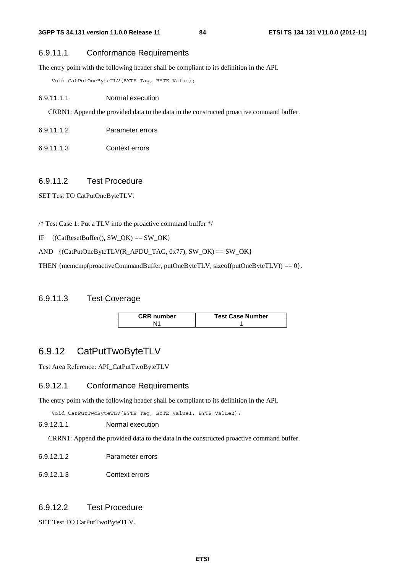# 6.9.11.1 Conformance Requirements

The entry point with the following header shall be compliant to its definition in the API.

Void CatPutOneByteTLV(BYTE Tag, BYTE Value);

#### 6.9.11.1.1 Normal execution

CRRN1: Append the provided data to the data in the constructed proactive command buffer.

- 6.9.11.1.2 Parameter errors
- 6.9.11.1.3 Context errors

#### 6.9.11.2 Test Procedure

SET Test TO CatPutOneByteTLV.

/\* Test Case 1: Put a TLV into the proactive command buffer \*/

IF  $\{(\text{CatResetBuffer}(), \text{SW\_OK}) == \text{SW\_OK}\}$ 

AND  $\{({\text{CatPutOneByteTLV(R_APDU_TAG}, 0x77), SW_OK}) = SW_OK\}$ 

THEN {memcmp(proactiveCommandBuffer, putOneByteTLV, sizeof(putOneByteTLV)) ==  $0$  }.

#### 6.9.11.3 Test Coverage

| <b>CRR</b> number | <b>Test Case Number</b> |
|-------------------|-------------------------|
|                   |                         |

# 6.9.12 CatPutTwoByteTLV

Test Area Reference: API\_CatPutTwoByteTLV

# 6.9.12.1 Conformance Requirements

The entry point with the following header shall be compliant to its definition in the API.

Void CatPutTwoByteTLV(BYTE Tag, BYTE Value1, BYTE Value2);

#### 6.9.12.1.1 Normal execution

CRRN1: Append the provided data to the data in the constructed proactive command buffer.

- 6.9.12.1.2 Parameter errors
- 6.9.12.1.3 Context errors

# 6.9.12.2 Test Procedure

SET Test TO CatPutTwoByteTLV.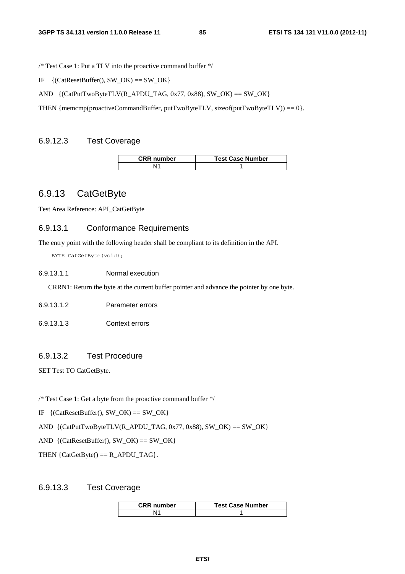/\* Test Case 1: Put a TLV into the proactive command buffer \*/

IF  $\{({\text{CatResetBuffer}}(), {\text{SW\_OK}}) == {\text{SW\_OK}}\}$ 

AND  $\{({\text{CatPutTwoByteTLV}(R\_APDU\_TAG, 0x77, 0x88), SW_OK}) = SW_OK\}$ 

THEN {memcmp(proactiveCommandBuffer, putTwoByteTLV, sizeof(putTwoByteTLV)) ==  $0$  }.

### 6.9.12.3 Test Coverage

| <b>CRR</b> number | <b>Test Case Number</b> |
|-------------------|-------------------------|
|                   |                         |

# 6.9.13 CatGetByte

Test Area Reference: API\_CatGetByte

# 6.9.13.1 Conformance Requirements

The entry point with the following header shall be compliant to its definition in the API.

BYTE CatGetByte(void);

### 6.9.13.1.1 Normal execution

CRRN1: Return the byte at the current buffer pointer and advance the pointer by one byte.

6.9.13.1.2 Parameter errors

6.9.13.1.3 Context errors

# 6.9.13.2 Test Procedure

SET Test TO CatGetByte.

/\* Test Case 1: Get a byte from the proactive command buffer \*/

IF  $\{({\text{Cat}ResetBuffer(), SW_OK) == SW_OK}\}$ 

AND  $\{({CatPutTwoByteTLV(R_APDU_TAG, 0x77, 0x88), SW_OK}) == SW_OK\}$ 

AND  $\{(\text{CatResetBuffer}(), SW_OK) == SW_OK\}$ 

THEN  ${CatGetByte() == R_APDU_TAG}.$ 

#### 6.9.13.3 Test Coverage

| <b>CRR</b> number | <b>Test Case Number</b> |
|-------------------|-------------------------|
| <b>14</b>         |                         |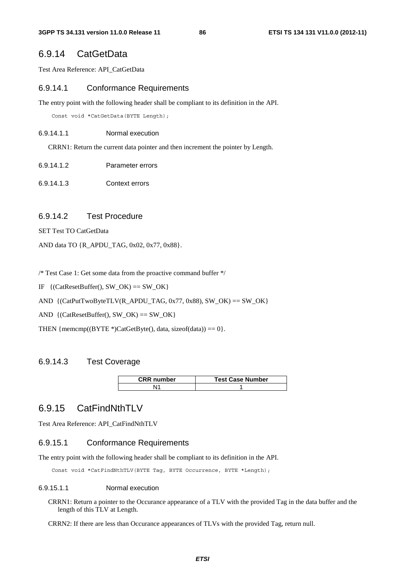# 6.9.14 CatGetData

Test Area Reference: API\_CatGetData

#### 6.9.14.1 Conformance Requirements

The entry point with the following header shall be compliant to its definition in the API.

Const void \*CatGetData(BYTE Length);

#### 6.9.14.1.1 Normal execution

CRRN1: Return the current data pointer and then increment the pointer by Length.

- 6.9.14.1.2 Parameter errors
- 6.9.14.1.3 Context errors

#### 6.9.14.2 Test Procedure

SET Test TO CatGetData

AND data TO {R\_APDU\_TAG, 0x02, 0x77, 0x88}.

/\* Test Case 1: Get some data from the proactive command buffer \*/

IF  $\{(\text{CatResetBuffer}(), SW_OK) == SW_OK\}$ 

AND {(CatPutTwoByteTLV(R\_APDU\_TAG, 0x77, 0x88), SW\_OK) == SW\_OK}

AND  $\{(\text{CatResetBuffer}(), SW_OK) == SW_OK\}$ 

THEN { $memp((BYTE*)CatGetByte()$ , data, sizeof(data)) == 0}.

### 6.9.14.3 Test Coverage

| <b>CRR</b> number | <b>Test Case Number</b> |
|-------------------|-------------------------|
|                   |                         |

# 6.9.15 CatFindNthTLV

Test Area Reference: API\_CatFindNthTLV

#### 6.9.15.1 Conformance Requirements

The entry point with the following header shall be compliant to its definition in the API.

Const void \*CatFindNthTLV(BYTE Tag, BYTE Occurrence, BYTE \*Length);

#### 6.9.15.1.1 Normal execution

CRRN1: Return a pointer to the Occurance appearance of a TLV with the provided Tag in the data buffer and the length of this TLV at Length.

CRRN2: If there are less than Occurance appearances of TLVs with the provided Tag, return null.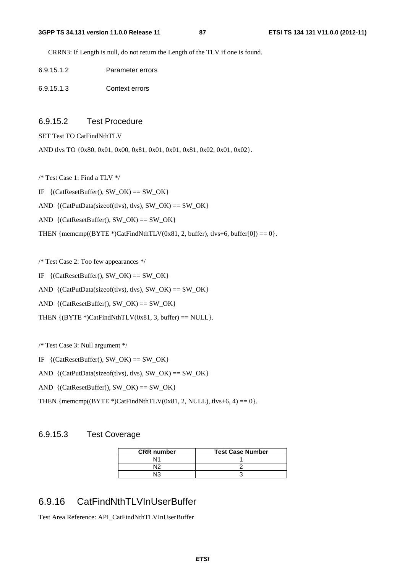CRRN3: If Length is null, do not return the Length of the TLV if one is found.

| Parameter errors |
|------------------|
|                  |

6.9.15.1.3 Context errors

#### 6.9.15.2 Test Procedure

SET Test TO CatFindNthTLV

AND tlvs TO {0x80, 0x01, 0x00, 0x81, 0x01, 0x01, 0x81, 0x02, 0x01, 0x02}.

/\* Test Case 1: Find a TLV \*/

IF  $\{(\text{CatResetBuffer}(), SW_OK) == SW_OK\}$ 

AND  $\{({\text{CatPutData}}(sizeof(tvs), tvs), SW_OK) == SW_OK\}$ 

AND  $\{(\text{CatResetBuffer}(), SW_OK) == SW_OK\}$ 

THEN { $memp((BYTE*)CatFindNthTLV(0x81, 2, buffer),$  tlvs+6, buffer[0]) == 0}.

/\* Test Case 2: Too few appearances \*/

IF  $\{({\text{Cat}ResetBuffer(), SW_OK) == SW_OK}\}$ 

AND  $\{({\text{CatPutData}}(sizeof(tvs), tvs), SW_OK) == SW_OK\}$ 

AND  $\{(\text{CatResetBuffer}(), SWOK) == SWOK\}$ 

THEN  $\{ (BYTE^*)\text{CatFindNthTLV}(0x81, 3, buffer) == NULL \}.$ 

/\* Test Case 3: Null argument \*/

IF  $\{({\text{Cat}ResetBuffer(), SW_OK) == SW_OK}\}$ 

AND  $\{({\text{CatPutData}}(sizeof(tvs), tvs), SW_OK) == SW_OK\}$ 

AND  $\{(\text{CatResetBuffer}(), SW_OK) == SW_OK\}$ 

THEN { $mememp((BYTE*)CatFindNthTLV(0x81, 2, NULL),$  tlvs+6, 4) = 0}.

# 6.9.15.3 Test Coverage

| <b>CRR</b> number | <b>Test Case Number</b> |
|-------------------|-------------------------|
|                   |                         |
| J۵                |                         |
| ю                 |                         |

# 6.9.16 CatFindNthTLVInUserBuffer

Test Area Reference: API\_CatFindNthTLVInUserBuffer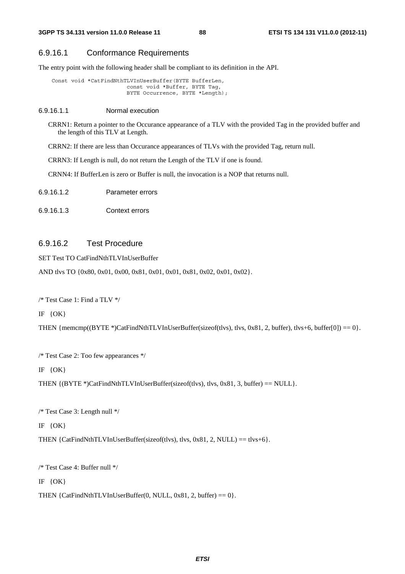# 6.9.16.1 Conformance Requirements

The entry point with the following header shall be compliant to its definition in the API.

```
 Const void *CatFindNthTLVInUserBuffer(BYTE BufferLen, 
                         const void *Buffer, BYTE Tag, 
                         BYTE Occurrence, BYTE *Length);
```
#### 6.9.16.1.1 Normal execution

CRRN1: Return a pointer to the Occurance appearance of a TLV with the provided Tag in the provided buffer and the length of this TLV at Length.

CRRN2: If there are less than Occurance appearances of TLVs with the provided Tag, return null.

CRRN3: If Length is null, do not return the Length of the TLV if one is found.

CRNN4: If BufferLen is zero or Buffer is null, the invocation is a NOP that returns null.

| 6.9.16.1.2 | Parameter errors |
|------------|------------------|
|------------|------------------|

6.9.16.1.3 Context errors

# 6.9.16.2 Test Procedure

SET Test TO CatFindNthTLVInUserBuffer

AND tlvs TO {0x80, 0x01, 0x00, 0x81, 0x01, 0x01, 0x81, 0x02, 0x01, 0x02}.

/\* Test Case 1: Find a TLV \*/

IF  $\{OK\}$ 

THEN { $memcmp((BYTE*)CatFindNthTLVInUserBuffer(sizeof(tlvs), tlvs, 0x81, 2, buffer), tlvs+6, buffer[0]) = 0$ }.

/\* Test Case 2: Too few appearances \*/

IF {OK}

THEN  $\{ (BYTE^*)\text{CatFindNthTLVInUserBuffer} (size of (tvs), tvs, 0x81, 3, buffer) == NULL \}.$ 

/\* Test Case 3: Length null \*/

IF {OK}

THEN  ${CatFindNthTLVInUserBuffer(sizeof(tlvs), tlvs, 0x81, 2, NULL) = tlvs+6}.$ 

/\* Test Case 4: Buffer null \*/

IF {OK}

THEN {CatFindNthTLVInUserBuffer(0, NULL, 0x81, 2, buffer) ==  $0$  }.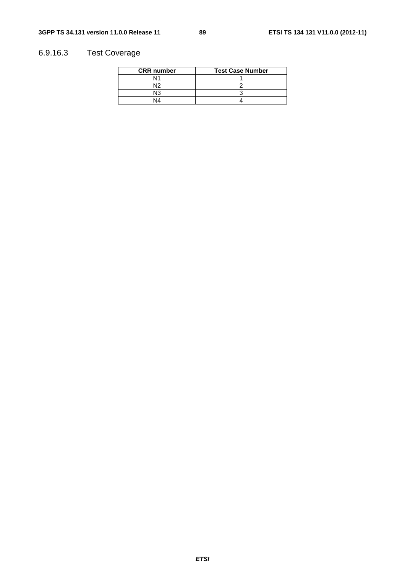# 6.9.16.3 Test Coverage

| <b>CRR</b> number | <b>Test Case Number</b> |
|-------------------|-------------------------|
| N1                |                         |
| N١                |                         |
| NЗ                |                         |
| N4                |                         |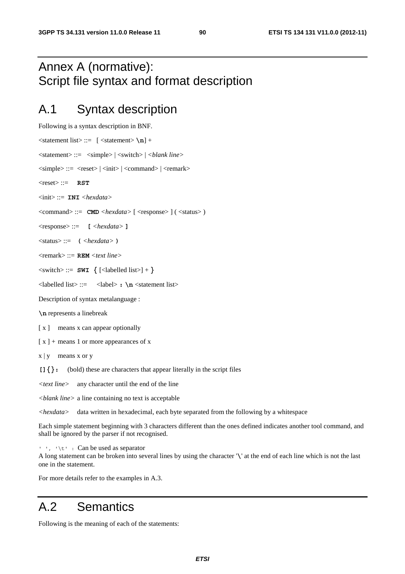# Annex A (normative): Script file syntax and format description

# A.1 Syntax description

```
Following is a syntax description in BNF. 
\langlestatement list\rangle ::= \{ \langlestatement\rangle \n] +<statement> ::= <simple> | <switch> | <blank line>
\langlesimple\rangle ::= \langlereset\rangle |\langleinit\rangle |\langle \langlecommand\rangle |\langle \rangle \langle remark\rangle<reset> ::= RST
<init> ::= INI <hexdata>
<command> ::= CMD <hexdata> [ <response> ] ( <status> ) 
<response> ::= [ <hexdata> ]
<status> ::= ( <hexdata> ) 
<remark> ::= REM <text line>
\langleswitch> ::= SWI {\langle [\langlelabelled list>] + }
<labelled list> ::= <label> : \n <statement list> 
Description of syntax metalanguage : 
\n represents a linebreak 
[x] means x can appear optionally
[x] + means 1 or more appearances of x
x | y means x or y
[]{}: (bold) these are characters that appear literally in the script files 
<text line> any character until the end of the line
```
*<blank line>* a line containing no text is acceptable

*<hexdata>* data written in hexadecimal, each byte separated from the following by a whitespace

Each simple statement beginning with 3 characters different than the ones defined indicates another tool command, and shall be ignored by the parser if not recognised.

' ', '\t' : Can be used as separator

A long statement can be broken into several lines by using the character '**\**' at the end of each line which is not the last one in the statement.

For more details refer to the examples in A.3.

# A.2 Semantics

Following is the meaning of each of the statements: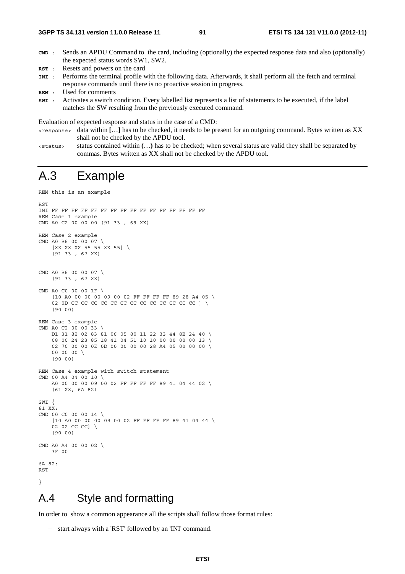- **CMD** : Sends an APDU Command to the card, including (optionally) the expected response data and also (optionally) the expected status words SW1, SW2.
- **RST** : Resets and powers on the card
- **INI** : Performs the terminal profile with the following data. Afterwards, it shall perform all the fetch and terminal response commands until there is no proactive session in progress.

**SWI** : Activates a switch condition. Every labelled list represents a list of statements to be executed, if the label matches the SW resulting from the previously executed command.

Evaluation of expected response and status in the case of a CMD:

- <response> data within **[**…**]** has to be checked, it needs to be present for an outgoing command. Bytes written as XX shall not be checked by the APDU tool.
- <status> status contained within **(**…**)** has to be checked; when several status are valid they shall be separated by commas. Bytes written as XX shall not be checked by the APDU tool.

# A.3 Example

```
REM this is an example
```

```
RST 
INI FF FF FF FF FF FF FF FF FF FF FF FF FF FF FF FF 
REM Case 1 example 
CMD A0 C2 00 00 00 (91 33 , 69 XX) 
REM Case 2 example 
CMD A0 B6 00 00 07 \ 
     [XX XX XX 55 55 XX 55] \ 
     (91 33 , 67 XX) 
CMD A0 B6 00 00 07 \ 
     (91 33 , 67 XX) 
CMD A0 C0 00 00 1F \ 
     [10 A0 00 00 00 09 00 02 FF FF FF FF 89 28 A4 05 \ 
     02 0D CC CC CC CC CC CC CC CC CC CC CC CC CC ] \ 
     (90 00) 
REM Case 3 example 
CMD A0 C2 00 00 33 \ 
     D1 31 82 02 83 81 06 05 80 11 22 33 44 8B 24 40 \ 
     08 00 24 23 85 18 41 04 51 10 10 00 00 00 00 13 \ 
     02 70 00 00 0E 0D 00 00 00 00 28 A4 05 00 00 00 \ 
     00 00 00 \ 
     (90 00) 
REM Case 4 example with switch statement 
CMD 00 A4 04 00 10 \ 
     A0 00 00 00 09 00 02 FF FF FF FF 89 41 04 44 02 \ 
     (61 XX, 6A 82) 
SWI { 
61 XX: 
CMD 00 C0 00 00 14 \ 
     [10 A0 00 00 00 09 00 02 FF FF FF FF 89 41 04 44 \ 
    02 02 CC CC]
     (90 00) 
CMD A0 A4 00 00 02 \ 
     3F 00 
6A 82: 
RST 
}
```
# A.4 Style and formatting

In order to show a common appearance all the scripts shall follow those format rules:

− start always with a 'RST' followed by an 'INI' command.

**REM** : Used for comments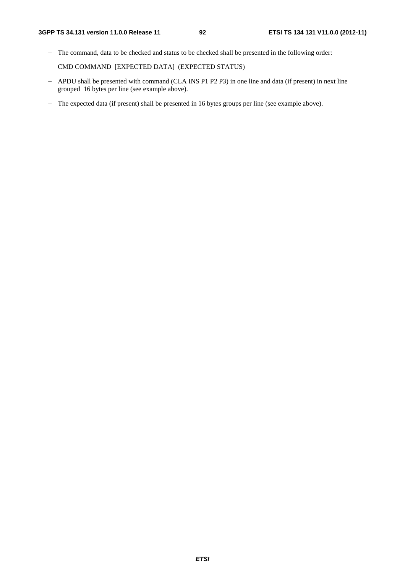− The command, data to be checked and status to be checked shall be presented in the following order:

CMD COMMAND [EXPECTED DATA] (EXPECTED STATUS)

- − APDU shall be presented with command (CLA INS P1 P2 P3) in one line and data (if present) in next line grouped 16 bytes per line (see example above).
- − The expected data (if present) shall be presented in 16 bytes groups per line (see example above).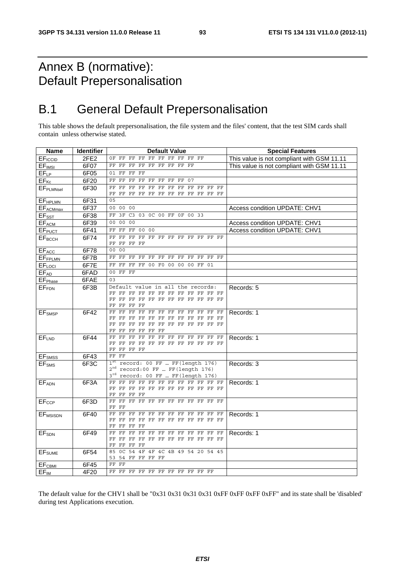# Annex B (normative): Default Prepersonalisation

# B.1 General Default Prepersonalisation

This table shows the default prepersonalisation, the file system and the files' content, that the test SIM cards shall contain unless otherwise stated.

| <b>Name</b>                | <b>Identifier</b> | <b>Default Value</b>                                                                                                    | <b>Special Features</b>                    |
|----------------------------|-------------------|-------------------------------------------------------------------------------------------------------------------------|--------------------------------------------|
| EF <sub>ICCID</sub>        | 2FE2              | $_{\rm FF}$<br>FF<br>FF<br>FF FF<br>OF FF<br>FF<br>FF<br>$_{\rm FF}$                                                    | This value is not compliant with GSM 11.11 |
| EF <sub>IMSI</sub>         | 6F07              | FF FF FF FF<br>FF<br>FF FF<br>FF FF                                                                                     | This value is not compliant with GSM 11.11 |
| $EF_{LP}$                  | 6F05              | 01 FF FF<br>$_{\rm FF}$                                                                                                 |                                            |
| $EF_{\sf Kc}$              | 6F20              | FF FF<br>$_{\rm FF}$<br>FF FF FF FF<br>FF 07                                                                            |                                            |
| <b>EFPLMNsel</b>           | 6F30              | FF FF<br>FF<br>FF<br>FF FF<br>$\rm FF$<br>$_{\rm FF}$<br>FF<br>FF FF<br>FF                                              |                                            |
|                            |                   | FF<br>FF FF FF FF FF FF FF FF FF FF FF                                                                                  |                                            |
| <b>EFHPLMN</b>             | 6F31              | 05                                                                                                                      |                                            |
| EF <sub>ACMmax</sub>       | 6F37              | 00 00 00                                                                                                                | Access condition UPDATE: CHV1              |
| EF <sub>SST</sub>          | 6F38              | 3F C3 03 0C 00 FF 0F 00 33<br>FF                                                                                        |                                            |
| <b>EFACM</b>               | 6F39              | 00 00 00                                                                                                                | Access condition UPDATE: CHV1              |
| <b>EFPUCT</b>              | 6F41              | FF FF 00 00<br>FF                                                                                                       | Access condition UPDATE: CHV1              |
| <b>EF<sub>BCCH</sub></b>   | 6F74              | FF FF FF FF FF FF FF FF FF FF FF<br>FF                                                                                  |                                            |
|                            |                   | FF FF FF FF                                                                                                             |                                            |
| EFACC                      | 6F78              | 00 00                                                                                                                   |                                            |
| EFFPLMN                    | 6F7B              | FF FF FF<br>FF FF FF FF<br>FF FF<br>$_{\rm FF}$<br>FF FF                                                                |                                            |
| EFLOCI                     | 6F7E              | $_{\rm FF}$<br>FF 00 F0<br>FF<br>$_{\rm FF}$<br>0 <sup>0</sup><br>0 <sup>0</sup><br>0 <sup>0</sup><br>$_{\rm FF}$<br>01 |                                            |
| EFAD                       | 6FAD              | 00 FF FF                                                                                                                |                                            |
| <b>EF</b> <sub>Phase</sub> | 6FAE              | 03                                                                                                                      |                                            |
| <b>EFFDN</b>               | 6F3B              | Default value in all the records:                                                                                       | Records: 5                                 |
|                            |                   | FF FF FF FF FF FF FF FF FF FF FF FF<br>FF FF FF FF FF FF FF FF FF FF FF<br>FF                                           |                                            |
|                            |                   | FF.<br>FF FF FF                                                                                                         |                                            |
| <b>EF</b> <sub>SMSP</sub>  | 6F42              | FF FF FF FF FF FF FF FF FF FF FF FF                                                                                     | Records: 1                                 |
|                            |                   | FF FF FF FF FF FF FF FF FF FF FF<br>FF                                                                                  |                                            |
|                            |                   | FF FF FF FF FF FF FF FF FF FF FF<br>FF.                                                                                 |                                            |
|                            |                   | FF<br>FF FF FF FF FF                                                                                                    |                                            |
| EFLND                      | 6F44              | FF FF FF FF FF FF FF FF FF FF FF FF<br>FF FF FF FF FF FF FF FF FF FF FF<br>FF.                                          | Records: 1                                 |
|                            |                   | FF FF FF FF                                                                                                             |                                            |
| EF <sub>SMSS</sub>         | 6F43              | FF FF                                                                                                                   |                                            |
| EF <sub>SMS</sub>          | 6F3C              | $1st record: 00 FF  FF(length 176)$                                                                                     | Records: 3                                 |
|                            |                   | $2nd record: 00 FF$ FF (length 176)                                                                                     |                                            |
|                            |                   | $3^{rd}$ record: 00 FF $FF(length 176)$                                                                                 |                                            |
| EFADN                      | 6F3A              | FF FF FF FF FF FF FF FF FF FF FF FF                                                                                     | Records: 1                                 |
|                            |                   | FF FF FF FF FF FF FF FF FF FF FF FF                                                                                     |                                            |
|                            | 6F3D              | FF FF FF FF<br>FF FF FF FF FF FF FF FF FF<br>FF FF FF                                                                   |                                            |
| EF <sub>ccP</sub>          |                   | FF FF                                                                                                                   |                                            |
| EF <sub>MSISDN</sub>       | 6F40              | FF<br>$_{\rm FF}$<br>FF FF FF FF FF FF<br>FF FF FF<br>FF                                                                | Records: 1                                 |
|                            |                   | FF FF FF FF FF FF FF FF FF FF FF                                                                                        |                                            |
|                            |                   | FF<br>FF FF FF                                                                                                          |                                            |
| EF <sub>SDN</sub>          | 6F49              | $_{\rm FF}$<br>FF FF FF FF FF FF<br>FF<br>FF FF FF<br>FF.                                                               | Records: 1                                 |
|                            |                   | FF FF FF FF FF FF FF FF FF FF FF<br>FF.                                                                                 |                                            |
|                            |                   | FF FF<br>FF<br>FF<br>85<br>OC 54<br>4F 4F 4C 4B 49 54 20 54 45                                                          |                                            |
| <b>EF</b> <sub>SUME</sub>  | 6F54              | 53<br>54 FF FF FF FF                                                                                                    |                                            |
| EF <sub>CBMI</sub>         | 6F45              | FF FF                                                                                                                   |                                            |
| $EF_{IM}$                  | 4F20              | FF FF FF FF FF FF FF FF FF FF FF                                                                                        |                                            |

The default value for the CHV1 shall be "0x31 0x31 0x31 0x31 0xFF 0xFF 0xFF 0xFF" and its state shall be 'disabled' during test Applications execution.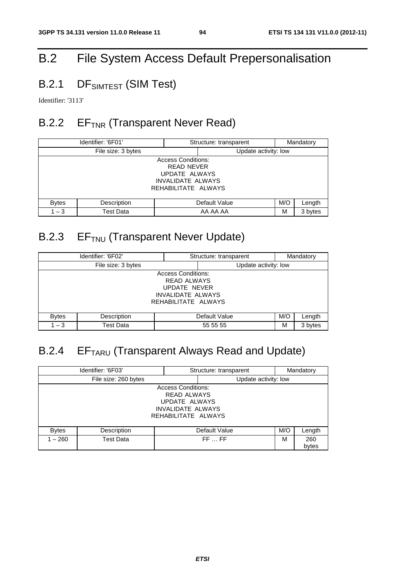# B.2 File System Access Default Prepersonalisation

# B.2.1 DF<sub>SIMTEST</sub> (SIM Test)

Identifier: '3113'

# B.2.2 EF<sub>TNR</sub> (Transparent Never Read)

| Identifier: '6F01'                                                                                                 |                              | Structure: transparent |                      | Mandatory |         |
|--------------------------------------------------------------------------------------------------------------------|------------------------------|------------------------|----------------------|-----------|---------|
|                                                                                                                    | File size: 3 bytes           |                        | Update activity: low |           |         |
| <b>Access Conditions:</b><br><b>READ NEVER</b><br>UPDATE ALWAYS<br><b>INVALIDATE ALWAYS</b><br>REHABILITATE ALWAYS |                              |                        |                      |           |         |
| <b>Bytes</b>                                                                                                       | Description<br>Default Value |                        |                      | M/O       | Length  |
| $1 - 3$                                                                                                            | <b>Test Data</b>             |                        | AA AA AA             | M         | 3 bytes |

# B.2.3 EF<sub>TNU</sub> (Transparent Never Update)

|                                                                                                                    | Identifier: '6F02' | Structure: transparent |                      | Mandatory |         |  |
|--------------------------------------------------------------------------------------------------------------------|--------------------|------------------------|----------------------|-----------|---------|--|
|                                                                                                                    | File size: 3 bytes |                        | Update activity: low |           |         |  |
| <b>Access Conditions:</b><br><b>READ ALWAYS</b><br>UPDATE NEVER<br><b>INVALIDATE ALWAYS</b><br>REHABILITATE ALWAYS |                    |                        |                      |           |         |  |
| M/O<br>Description<br>Default Value<br><b>Bytes</b>                                                                |                    |                        | Length               |           |         |  |
| $1 - 3$                                                                                                            | Test Data          | 55 55 55<br>М          |                      |           | 3 bytes |  |

# B.2.4 EF<sub>TARU</sub> (Transparent Always Read and Update)

|              | Identifier: '6F03'<br>Mandatory<br>Structure: transparent |                                                                                                                     |                      |     |              |
|--------------|-----------------------------------------------------------|---------------------------------------------------------------------------------------------------------------------|----------------------|-----|--------------|
|              | File size: 260 bytes                                      |                                                                                                                     | Update activity: low |     |              |
|              |                                                           | <b>Access Conditions:</b><br><b>READ ALWAYS</b><br>UPDATE ALWAYS<br><b>INVALIDATE ALWAYS</b><br>REHABILITATE ALWAYS |                      |     |              |
| <b>Bytes</b> | Description                                               |                                                                                                                     | Default Value        | M/O | Length       |
| $1 - 260$    | Test Data                                                 |                                                                                                                     | FFFF                 | м   | 260<br>bytes |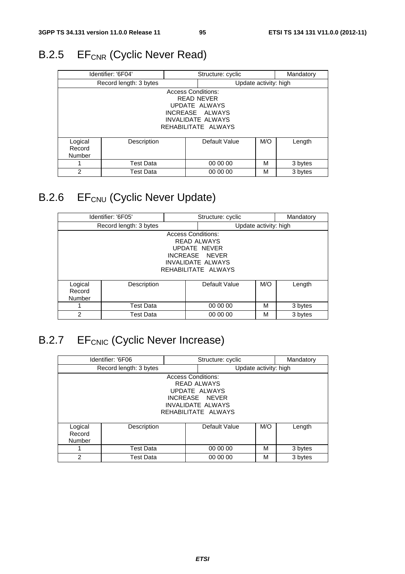# B.2.5 EF<sub>CNR</sub> (Cyclic Never Read)

| Identifier: '6F04'     |                  |                           | Structure: cyclic        |                       | Mandatory |  |
|------------------------|------------------|---------------------------|--------------------------|-----------------------|-----------|--|
| Record length: 3 bytes |                  |                           |                          | Update activity: high |           |  |
|                        |                  | <b>Access Conditions:</b> |                          |                       |           |  |
|                        | READ NEVER       |                           |                          |                       |           |  |
|                        |                  |                           | UPDATE ALWAYS            |                       |           |  |
|                        |                  |                           | INCREASE ALWAYS          |                       |           |  |
|                        |                  |                           | <b>INVALIDATE ALWAYS</b> |                       |           |  |
|                        |                  |                           | REHABILITATE ALWAYS      |                       |           |  |
|                        |                  |                           |                          |                       |           |  |
| Logical                | Description      |                           | Default Value            | M/O                   | Length    |  |
| Record                 |                  |                           |                          |                       |           |  |
| Number                 |                  |                           |                          |                       |           |  |
|                        | <b>Test Data</b> |                           | 00 00 00                 | М                     | 3 bytes   |  |
| $\overline{2}$         | Test Data        |                           | 00 00 00                 | М                     | 3 bytes   |  |

# B.2.6 EF<sub>CNU</sub> (Cyclic Never Update)

| Identifier: '6F05'                                                                                                                   |             |  | Structure: cyclic |                       | Mandatory |  |
|--------------------------------------------------------------------------------------------------------------------------------------|-------------|--|-------------------|-----------------------|-----------|--|
| Record length: 3 bytes                                                                                                               |             |  |                   | Update activity: high |           |  |
| <b>Access Conditions:</b><br><b>READ ALWAYS</b><br>UPDATE NEVER<br>INCREASE NEVER<br><b>INVALIDATE ALWAYS</b><br>REHABILITATE ALWAYS |             |  |                   |                       |           |  |
| Logical<br>Record<br>Number                                                                                                          | Description |  | Default Value     | M/O                   | Length    |  |
|                                                                                                                                      | Test Data   |  | 00 00 00          | М                     | 3 bytes   |  |
| $\mathcal{P}$                                                                                                                        | Test Data   |  | 00 00 00          | М                     | 3 bytes   |  |

# B.2.7 EF<sub>CNIC</sub> (Cyclic Never Increase)

|                        | Identifier: '6F06  |                           | Structure: cyclic        |                       | Mandatory |
|------------------------|--------------------|---------------------------|--------------------------|-----------------------|-----------|
| Record length: 3 bytes |                    |                           |                          | Update activity: high |           |
|                        |                    | <b>Access Conditions:</b> |                          |                       |           |
|                        | <b>READ ALWAYS</b> |                           |                          |                       |           |
|                        |                    |                           | UPDATE ALWAYS            |                       |           |
|                        |                    |                           | INCREASE NEVER           |                       |           |
|                        |                    |                           | <b>INVALIDATE ALWAYS</b> |                       |           |
|                        |                    |                           | REHABILITATE ALWAYS      |                       |           |
|                        |                    |                           |                          |                       |           |
| Logical                | Description        |                           | Default Value            | M/O                   | Length    |
| Record                 |                    |                           |                          |                       |           |
| Number                 |                    |                           |                          |                       |           |
| 1                      | Test Data          |                           | 00 00 00                 | M                     | 3 bytes   |
| 2                      | Test Data          |                           | 00 00 00                 | M                     | 3 bytes   |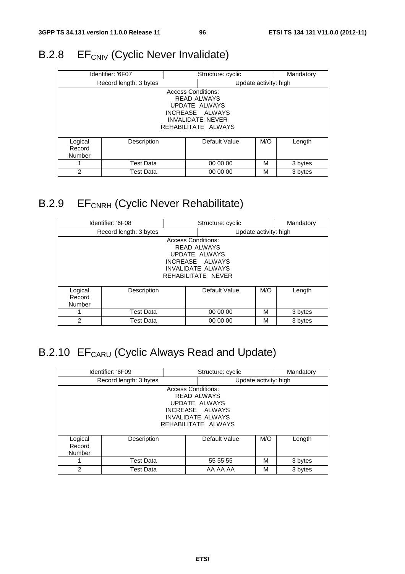# B.2.8 EF<sub>CNIV</sub> (Cyclic Never Invalidate)

| Identifier: '6F07      |                  |                           | Structure: cyclic       |                       | Mandatory |  |
|------------------------|------------------|---------------------------|-------------------------|-----------------------|-----------|--|
| Record length: 3 bytes |                  |                           |                         | Update activity: high |           |  |
|                        |                  | <b>Access Conditions:</b> |                         |                       |           |  |
|                        | READ ALWAYS      |                           |                         |                       |           |  |
|                        |                  |                           | UPDATE ALWAYS           |                       |           |  |
|                        |                  |                           | INCREASE ALWAYS         |                       |           |  |
|                        |                  |                           | <b>INVALIDATE NEVER</b> |                       |           |  |
|                        |                  |                           | REHABILITATE ALWAYS     |                       |           |  |
|                        |                  |                           |                         |                       |           |  |
| Logical                | Description      |                           | Default Value           | M/O                   | Length    |  |
| Record                 |                  |                           |                         |                       |           |  |
| Number                 |                  |                           |                         |                       |           |  |
|                        | <b>Test Data</b> |                           | 00 00 00                | М                     | 3 bytes   |  |
| $\overline{2}$         | Test Data        |                           | 00 00 00                | М                     | 3 bytes   |  |

# B.2.9 EF<sub>CNRH</sub> (Cyclic Never Rehabilitate)

|                        | Identifier: '6F08' | Structure: cyclic         |                          | Mandatory             |         |  |
|------------------------|--------------------|---------------------------|--------------------------|-----------------------|---------|--|
| Record length: 3 bytes |                    |                           |                          | Update activity: high |         |  |
|                        |                    | <b>Access Conditions:</b> |                          |                       |         |  |
|                        | <b>READ ALWAYS</b> |                           |                          |                       |         |  |
|                        |                    |                           | UPDATE ALWAYS            |                       |         |  |
|                        |                    |                           | INCREASE ALWAYS          |                       |         |  |
|                        |                    |                           | <b>INVALIDATE ALWAYS</b> |                       |         |  |
|                        |                    |                           | REHABILITATE NEVER       |                       |         |  |
|                        |                    |                           |                          |                       |         |  |
| Logical                | Description        |                           | Default Value            | M/O                   | Length  |  |
| Record                 |                    |                           |                          |                       |         |  |
| Number                 |                    |                           |                          |                       |         |  |
| 1                      | <b>Test Data</b>   |                           | 00 00 00                 | М                     | 3 bytes |  |
| 2                      | Test Data          |                           | 00 00 00                 | М                     | 3 bytes |  |

# B.2.10 EF<sub>CARU</sub> (Cyclic Always Read and Update)

| Identifier: '6F09'     |                  |                           | Structure: cyclic        |                       | Mandatory |  |
|------------------------|------------------|---------------------------|--------------------------|-----------------------|-----------|--|
| Record length: 3 bytes |                  |                           |                          | Update activity: high |           |  |
|                        |                  | <b>Access Conditions:</b> |                          |                       |           |  |
|                        |                  |                           | <b>READ ALWAYS</b>       |                       |           |  |
|                        |                  |                           | UPDATE ALWAYS            |                       |           |  |
|                        |                  |                           | INCREASE ALWAYS          |                       |           |  |
|                        |                  |                           | <b>INVALIDATE ALWAYS</b> |                       |           |  |
|                        |                  |                           | REHABILITATE ALWAYS      |                       |           |  |
|                        |                  |                           |                          |                       |           |  |
| Logical                | Description      |                           | Default Value            | M/O                   | Length    |  |
| Record                 |                  |                           |                          |                       |           |  |
| Number                 |                  |                           |                          |                       |           |  |
|                        | <b>Test Data</b> |                           | 55 55 55                 | М                     | 3 bytes   |  |
| 2                      | Test Data        |                           | AA AA AA                 | М                     | 3 bytes   |  |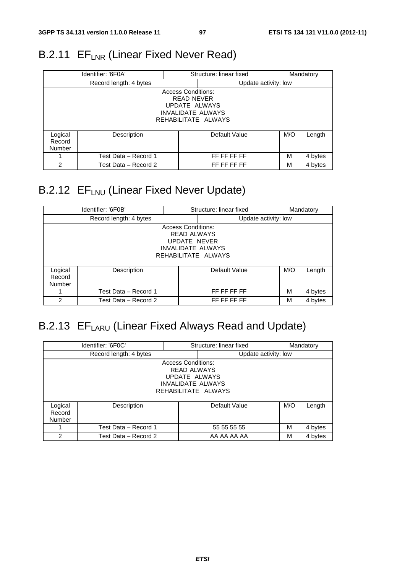# B.2.11 EF<sub>LNR</sub> (Linear Fixed Never Read)

| Identifier: '6F0A'                                                                                                 |                        |  | Structure: linear fixed<br>Mandatory |     |         |
|--------------------------------------------------------------------------------------------------------------------|------------------------|--|--------------------------------------|-----|---------|
|                                                                                                                    | Record length: 4 bytes |  | Update activity: low                 |     |         |
| <b>Access Conditions:</b><br><b>READ NEVER</b><br>UPDATE ALWAYS<br><b>INVALIDATE ALWAYS</b><br>REHABILITATE ALWAYS |                        |  |                                      |     |         |
| Logical<br>Record<br><b>Number</b>                                                                                 | Description            |  | Default Value                        | M/O | Length  |
|                                                                                                                    | Test Data - Record 1   |  | FF FF FF FF                          | М   | 4 bytes |
| 2                                                                                                                  | Test Data - Record 2   |  | FF FF FF FF                          | м   | 4 bytes |

# B.2.12 EF<sub>LNU</sub> (Linear Fixed Never Update)

| Identifier: '6F0B'                                                                                                 |                        |  | Structure: linear fixed<br>Mandatory |     |         |
|--------------------------------------------------------------------------------------------------------------------|------------------------|--|--------------------------------------|-----|---------|
|                                                                                                                    | Record length: 4 bytes |  | Update activity: low                 |     |         |
| <b>Access Conditions:</b><br><b>READ ALWAYS</b><br>UPDATE NEVER<br><b>INVALIDATE ALWAYS</b><br>REHABILITATE ALWAYS |                        |  |                                      |     |         |
| Logical<br>Record<br>Number                                                                                        | Description            |  | Default Value                        | M/O | Length  |
|                                                                                                                    | Test Data – Record 1   |  | FF FF FF FF                          | М   | 4 bytes |
| 2                                                                                                                  | Test Data - Record 2   |  | FF FF FF FF                          | М   | 4 bytes |

# B.2.13 EF<sub>LARU</sub> (Linear Fixed Always Read and Update)

| Identifier: '6F0C'                                                                                                  |                        |  | Structure: linear fixed<br>Mandatory |     |         |
|---------------------------------------------------------------------------------------------------------------------|------------------------|--|--------------------------------------|-----|---------|
|                                                                                                                     | Record length: 4 bytes |  | Update activity: low                 |     |         |
| <b>Access Conditions:</b><br><b>READ ALWAYS</b><br>UPDATE ALWAYS<br><b>INVALIDATE ALWAYS</b><br>REHABILITATE ALWAYS |                        |  |                                      |     |         |
| Logical<br>Record<br>Number                                                                                         | Description            |  | Default Value                        | M/O | Length  |
|                                                                                                                     | Test Data - Record 1   |  | 55 55 55 55                          | M   | 4 bytes |
| $\overline{2}$                                                                                                      | Test Data – Record 2   |  | AA AA AA AA                          | M   | 4 bytes |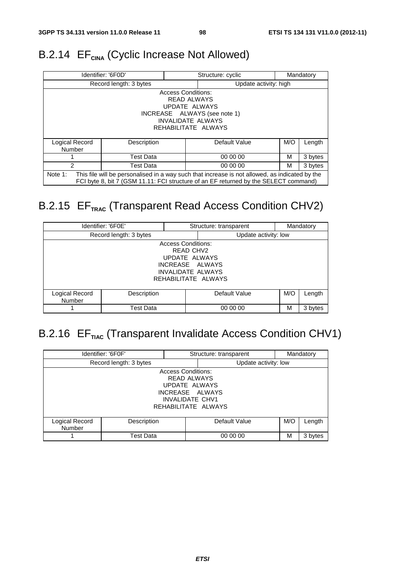# B.2.14 EF<sub>CINA</sub> (Cyclic Increase Not Allowed)

|                                                                                                                                                                                                   | Identifier: '6F0D'     | Structure: cyclic<br>Mandatory |                       |     |         |
|---------------------------------------------------------------------------------------------------------------------------------------------------------------------------------------------------|------------------------|--------------------------------|-----------------------|-----|---------|
|                                                                                                                                                                                                   | Record length: 3 bytes |                                | Update activity: high |     |         |
| <b>Access Conditions:</b><br><b>READ ALWAYS</b><br>UPDATE ALWAYS<br>INCREASE ALWAYS (see note 1)<br><b>INVALIDATE ALWAYS</b><br>REHABILITATE ALWAYS                                               |                        |                                |                       |     |         |
| Logical Record<br>Number                                                                                                                                                                          | Description            |                                | Default Value         | M/O | Length  |
|                                                                                                                                                                                                   | <b>Test Data</b>       |                                | 00 00 00              | м   | 3 bytes |
| $\mathcal{P}$                                                                                                                                                                                     | <b>Test Data</b>       |                                | 00 00 00              | м   | 3 bytes |
| Note 1:<br>This file will be personalised in a way such that increase is not allowed, as indicated by the<br>FCI byte 8, bit 7 (GSM 11.11: FCI structure of an EF returned by the SELECT command) |                        |                                |                       |     |         |

# B.2.15 EF<sub>TRAC</sub> (Transparent Read Access Condition CHV2)

|                                                                                                                               | Identifier: '6F0E'     |  | Structure: transparent |     | Mandatory |
|-------------------------------------------------------------------------------------------------------------------------------|------------------------|--|------------------------|-----|-----------|
|                                                                                                                               | Record length: 3 bytes |  | Update activity: low   |     |           |
| <b>Access Conditions:</b><br>READ CHV2<br>UPDATE ALWAYS<br>INCREASE ALWAYS<br><b>INVALIDATE ALWAYS</b><br>REHABILITATE ALWAYS |                        |  |                        |     |           |
| Logical Record<br><b>Number</b>                                                                                               | Description            |  | Default Value          | M/O | Length    |
|                                                                                                                               | Test Data              |  | 00 00 00               | м   | 3 bytes   |

# B.2.16 EF<sub>TIAC</sub> (Transparent Invalidate Access Condition CHV1)

|                                 | Identifier: '6F0F'     | Mandatory<br>Structure: transparent                                                                                                  |                      |     |         |
|---------------------------------|------------------------|--------------------------------------------------------------------------------------------------------------------------------------|----------------------|-----|---------|
|                                 | Record length: 3 bytes |                                                                                                                                      | Update activity: low |     |         |
|                                 |                        | <b>Access Conditions:</b><br><b>READ ALWAYS</b><br>UPDATE ALWAYS<br>INCREASE ALWAYS<br><b>INVALIDATE CHV1</b><br>REHABILITATE ALWAYS |                      |     |         |
| Logical Record<br><b>Number</b> | Description            |                                                                                                                                      | Default Value        | M/O | Length  |
|                                 | Test Data              |                                                                                                                                      | 00 00 00             | м   | 3 bytes |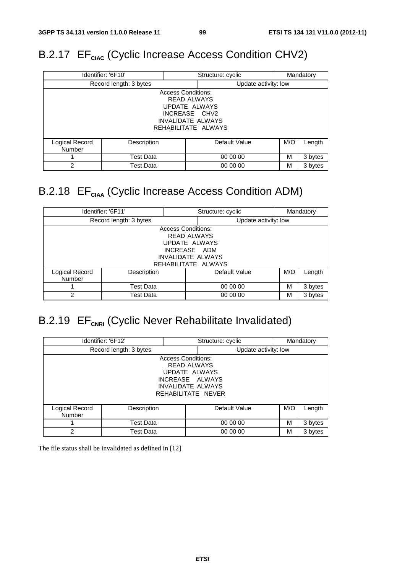# B.2.17 EF<sub>CIAC</sub> (Cyclic Increase Access Condition CHV2)

|                                                                                                                                      | Identifier: '6F10'     | Structure: cyclic<br>Mandatory |                      |   |         |
|--------------------------------------------------------------------------------------------------------------------------------------|------------------------|--------------------------------|----------------------|---|---------|
|                                                                                                                                      | Record length: 3 bytes |                                | Update activity: low |   |         |
| <b>Access Conditions:</b><br><b>READ ALWAYS</b><br>UPDATE ALWAYS<br>INCREASE CHV2<br><b>INVALIDATE ALWAYS</b><br>REHABILITATE ALWAYS |                        |                                |                      |   |         |
| Logical Record<br><b>Number</b>                                                                                                      | Description            |                                | Default Value        |   | Length  |
|                                                                                                                                      | <b>Test Data</b>       |                                | 00 00 00             | М | 3 bytes |
| 2                                                                                                                                    | <b>Test Data</b>       |                                | 00 00 00             | М | 3 bytes |

# B.2.18 EF<sub>CIAA</sub> (Cyclic Increase Access Condition ADM)

|                                                                                                              | Identifier: '6F11'     | Mandatory<br>Structure: cyclic |                      |     |         |
|--------------------------------------------------------------------------------------------------------------|------------------------|--------------------------------|----------------------|-----|---------|
|                                                                                                              | Record length: 3 bytes |                                | Update activity: low |     |         |
| <b>Access Conditions:</b><br><b>READ ALWAYS</b><br>UPDATE ALWAYS<br>INCREASE ADM<br><b>INVALIDATE ALWAYS</b> |                        |                                |                      |     |         |
|                                                                                                              |                        | REHABILITATE ALWAYS            |                      |     |         |
| Logical Record<br>Number                                                                                     | Description            |                                | Default Value        | M/O | Length  |
|                                                                                                              | Test Data              |                                | 00 00 00             | м   | 3 bytes |
| $\mathfrak{p}$                                                                                               | Test Data              |                                | 00 00 00             | M   | 3 bytes |

# B.2.19 EF<sub>CNRI</sub> (Cyclic Never Rehabilitate Invalidated)

|                                                                                                                                       | Identifier: '6F12'     |  | Structure: cyclic    |     | Mandatory |
|---------------------------------------------------------------------------------------------------------------------------------------|------------------------|--|----------------------|-----|-----------|
|                                                                                                                                       | Record length: 3 bytes |  | Update activity: low |     |           |
| <b>Access Conditions:</b><br><b>READ ALWAYS</b><br>UPDATE ALWAYS<br>INCREASE ALWAYS<br><b>INVALIDATE ALWAYS</b><br>REHABILITATE NEVER |                        |  |                      |     |           |
| Logical Record<br>Number                                                                                                              | Description            |  | Default Value        | M/O | Length    |
|                                                                                                                                       | Test Data              |  | 00 00 00             | M   | 3 bytes   |
| $\mathfrak{p}$                                                                                                                        | Test Data              |  | 00 00 00             | M   | 3 bytes   |

The file status shall be invalidated as defined in [12]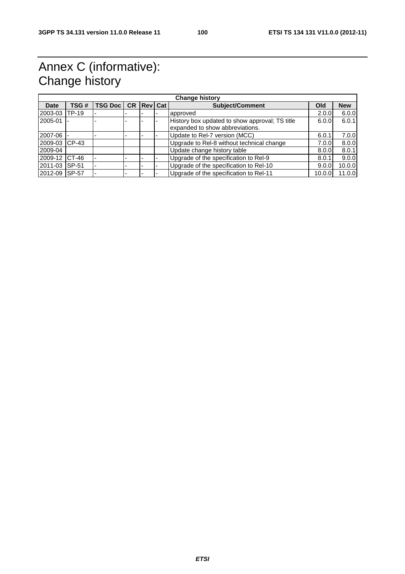# Annex C (informative): Change history

|               | <b>Change history</b> |                |           |                |  |                                                                                   |        |            |
|---------------|-----------------------|----------------|-----------|----------------|--|-----------------------------------------------------------------------------------|--------|------------|
| <b>Date</b>   | TSG#                  | <b>TSG Doc</b> | <b>CR</b> | <b>Rev</b> Cat |  | <b>Subject/Comment</b>                                                            | Old    | <b>New</b> |
| 2003-03       | <b>TP-19</b>          |                |           |                |  | approved                                                                          | 2.0.0  | 6.0.0      |
| 2005-01       |                       |                |           |                |  | History box updated to show approval; TS title<br>expanded to show abbreviations. | 6.0.0  | 6.0.1      |
| 2007-06       |                       |                |           |                |  | Update to Rel-7 version (MCC)                                                     | 6.0.1  | 7.0.0      |
| 2009-03       | $CP-43$               |                |           |                |  | Upgrade to Rel-8 without technical change                                         | 7.0.0  | 8.0.0      |
| 2009-04       |                       |                |           |                |  | Update change history table                                                       | 8.0.0  | 8.0.1      |
| 2009-12       | CT-46                 |                |           |                |  | Upgrade of the specification to Rel-9                                             | 8.0.1  | 9.0.0      |
| 2011-03       | $SP-51$               |                |           |                |  | Upgrade of the specification to Rel-10                                            | 9.0.0  | 10.0.0     |
| 2012-09 SP-57 |                       |                |           |                |  | Upgrade of the specification to Rel-11                                            | 10.0.0 | 11.0.0     |